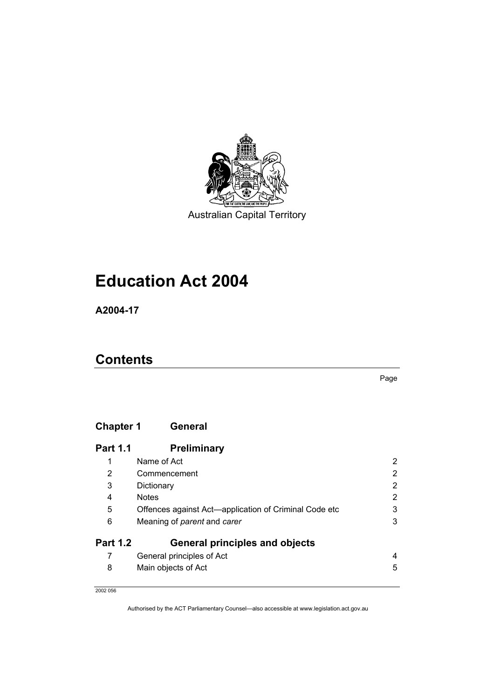

Australian Capital Territory

# **Education Act 2004**

**A2004-17** 

## **Contents**

Page

### **Chapter 1 General**

| <b>Part 1.1</b> | <b>Preliminary</b>                                    |                |
|-----------------|-------------------------------------------------------|----------------|
| 1               | Name of Act                                           | 2              |
| 2               | Commencement                                          | $\overline{2}$ |
| 3               | Dictionary                                            | $\overline{2}$ |
| 4               | <b>Notes</b>                                          | $\overline{2}$ |
| 5               | Offences against Act-application of Criminal Code etc | 3              |
| 6               | Meaning of parent and carer                           | 3              |
| <b>Part 1.2</b> | <b>General principles and objects</b>                 |                |
|                 | General principles of Act                             | 4              |
| 8               | Main objects of Act                                   | 5              |
|                 |                                                       |                |

2002 056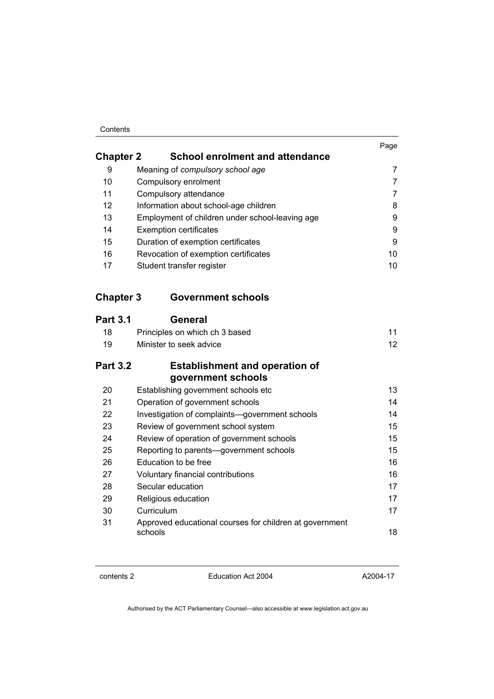# Contents

|                  |                                                             | Page            |
|------------------|-------------------------------------------------------------|-----------------|
| <b>Chapter 2</b> | <b>School enrolment and attendance</b>                      |                 |
| 9                | Meaning of compulsory school age                            | 7               |
| 10               | Compulsory enrolment                                        | $\overline{7}$  |
| 11               | Compulsory attendance                                       | $\overline{7}$  |
| 12               | Information about school-age children                       | 8               |
| 13               | Employment of children under school-leaving age             | 9               |
| 14               | <b>Exemption certificates</b>                               | 9               |
| 15               | Duration of exemption certificates                          | 9               |
| 16               | Revocation of exemption certificates                        | 10              |
| 17               | Student transfer register                                   | 10              |
| <b>Chapter 3</b> | <b>Government schools</b>                                   |                 |
| <b>Part 3.1</b>  | <b>General</b>                                              |                 |
| 18               | Principles on which ch 3 based                              | 11              |
| 19               | Minister to seek advice                                     | 12 <sub>2</sub> |
| <b>Part 3.2</b>  | <b>Establishment and operation of</b><br>government schools |                 |
| 20               | Establishing government schools etc                         | 13              |
| 21               | Operation of government schools                             | 14              |
| 22               | Investigation of complaints-government schools              | 14              |
| 23               | Review of government school system                          | 15              |
| 24               | Review of operation of government schools                   | 15              |
| 25               | Reporting to parents-government schools                     | 15              |
| 26               | Education to be free                                        | 16              |
| 27               | Voluntary financial contributions                           | 16              |
|                  |                                                             |                 |

| 28 | Secular education                                                  | 17 |
|----|--------------------------------------------------------------------|----|
| 29 | Religious education                                                | 17 |
| 30 | Curriculum                                                         | 17 |
| 31 | Approved educational courses for children at government<br>schools | 18 |

contents 2 Education Act 2004

A2004-17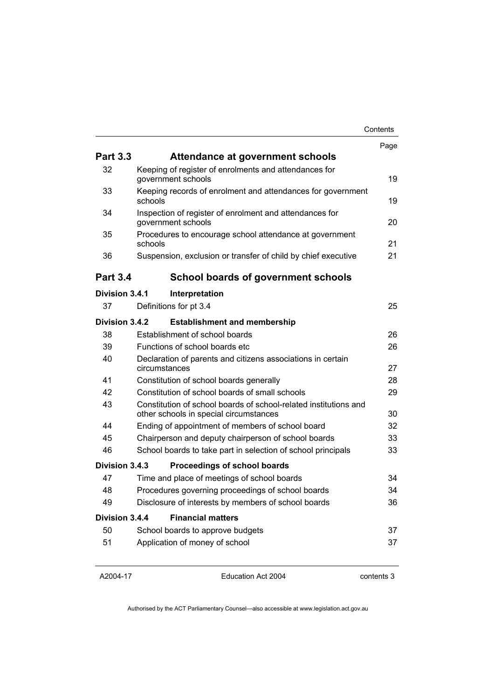|                 |                                                                                                            | Contents |
|-----------------|------------------------------------------------------------------------------------------------------------|----------|
|                 |                                                                                                            | Page     |
| <b>Part 3.3</b> | Attendance at government schools                                                                           |          |
| 32              | Keeping of register of enrolments and attendances for<br>government schools                                | 19       |
| 33              | Keeping records of enrolment and attendances for government<br>schools                                     | 19       |
| 34              | Inspection of register of enrolment and attendances for<br>government schools                              | 20       |
| 35              | Procedures to encourage school attendance at government<br>schools                                         | 21       |
| 36              | Suspension, exclusion or transfer of child by chief executive                                              | 21       |
| <b>Part 3.4</b> | <b>School boards of government schools</b>                                                                 |          |
| Division 3.4.1  | Interpretation                                                                                             |          |
| 37              | Definitions for pt 3.4                                                                                     | 25       |
| Division 3.4.2  | <b>Establishment and membership</b>                                                                        |          |
| 38              | Establishment of school boards                                                                             | 26       |
| 39              | Functions of school boards etc                                                                             | 26       |
| 40              | Declaration of parents and citizens associations in certain<br>circumstances                               | 27       |
| 41              | Constitution of school boards generally                                                                    | 28       |
| 42              | Constitution of school boards of small schools                                                             | 29       |
| 43              | Constitution of school boards of school-related institutions and<br>other schools in special circumstances | 30       |
| 44              | Ending of appointment of members of school board                                                           | 32       |
| 45              | Chairperson and deputy chairperson of school boards                                                        | 33       |
| 46              | School boards to take part in selection of school principals                                               | 33       |
| Division 3.4.3  | Proceedings of school boards                                                                               |          |
| 47              | Time and place of meetings of school boards                                                                | 34       |
| 48              | Procedures governing proceedings of school boards                                                          | 34       |
| 49              | Disclosure of interests by members of school boards                                                        | 36       |
| Division 3.4.4  | <b>Financial matters</b>                                                                                   |          |
| 50              | School boards to approve budgets                                                                           | 37       |
| 51              | Application of money of school                                                                             | 37       |
|                 |                                                                                                            |          |

A2004-17

Education Act 2004

contents 3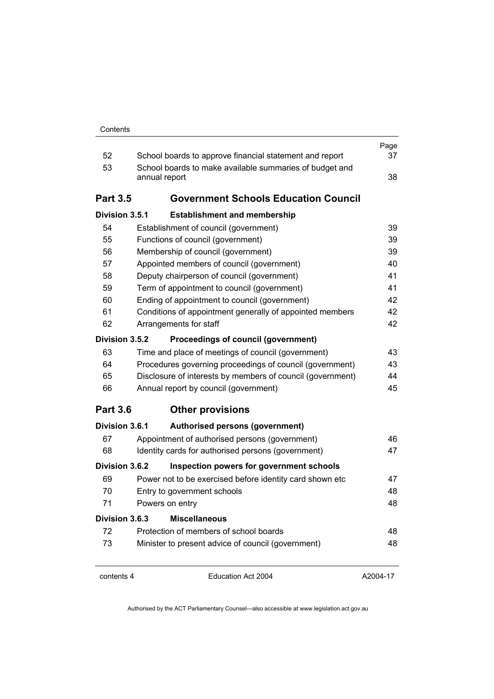| 52              | School boards to approve financial statement and report                  | Page<br>37 |
|-----------------|--------------------------------------------------------------------------|------------|
| 53              | School boards to make available summaries of budget and<br>annual report | 38         |
| <b>Part 3.5</b> | <b>Government Schools Education Council</b>                              |            |
| Division 3.5.1  | <b>Establishment and membership</b>                                      |            |
| 54              | Establishment of council (government)                                    | 39         |
| 55              | Functions of council (government)                                        | 39         |
| 56              | Membership of council (government)                                       | 39         |
| 57              | Appointed members of council (government)                                | 40         |
| 58              | Deputy chairperson of council (government)                               | 41         |
| 59              | Term of appointment to council (government)                              | 41         |
| 60              | Ending of appointment to council (government)                            | 42         |
| 61              | Conditions of appointment generally of appointed members                 | 42         |
| 62              | Arrangements for staff                                                   | 42         |
| Division 3.5.2  | Proceedings of council (government)                                      |            |
| 63              | Time and place of meetings of council (government)                       | 43         |
| 64              | Procedures governing proceedings of council (government)                 | 43         |
| 65              | Disclosure of interests by members of council (government)               | 44         |
| 66              | Annual report by council (government)                                    | 45         |
| <b>Part 3.6</b> | <b>Other provisions</b>                                                  |            |
| Division 3.6.1  | <b>Authorised persons (government)</b>                                   |            |
| 67              | Appointment of authorised persons (government)                           | 46         |
| 68              | Identity cards for authorised persons (government)                       | 47         |
| Division 3.6.2  | Inspection powers for government schools                                 |            |
| 69              | Power not to be exercised before identity card shown etc                 | 47         |
| 70              | Entry to government schools                                              | 48         |
| 71              | Powers on entry                                                          | 48         |
| Division 3.6.3  | <b>Miscellaneous</b>                                                     |            |
| 72              | Protection of members of school boards                                   | 48         |
| 73              | Minister to present advice of council (government)                       | 48         |
| contents 4      | Education Act 2004                                                       | A2004-17   |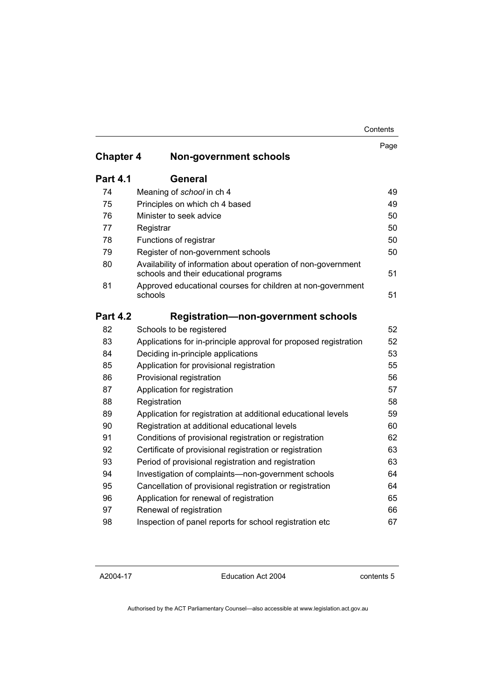|                  |                                                                                                         | Page |
|------------------|---------------------------------------------------------------------------------------------------------|------|
| <b>Chapter 4</b> | <b>Non-government schools</b>                                                                           |      |
| <b>Part 4.1</b>  | General                                                                                                 |      |
| 74               | Meaning of school in ch 4                                                                               | 49   |
| 75               | Principles on which ch 4 based                                                                          | 49   |
| 76               | Minister to seek advice                                                                                 | 50   |
| 77               | Registrar                                                                                               | 50   |
| 78               | Functions of registrar                                                                                  | 50   |
| 79               | Register of non-government schools                                                                      | 50   |
| 80               | Availability of information about operation of non-government<br>schools and their educational programs | 51   |
| 81               | Approved educational courses for children at non-government<br>schools                                  | 51   |
| <b>Part 4.2</b>  | Registration-non-government schools                                                                     |      |
| 82               | Schools to be registered                                                                                | 52   |
| 83               | Applications for in-principle approval for proposed registration                                        | 52   |
| 84               | Deciding in-principle applications                                                                      | 53   |
| 85               | Application for provisional registration                                                                | 55   |
| 86               | Provisional registration                                                                                | 56   |
| 87               | Application for registration                                                                            | 57   |
| 88               | Registration                                                                                            | 58   |
| 89               | Application for registration at additional educational levels                                           | 59   |
| 90               | Registration at additional educational levels                                                           | 60   |
| 91               | Conditions of provisional registration or registration                                                  | 62   |
| 92               | Certificate of provisional registration or registration                                                 | 63   |
| 93               | Period of provisional registration and registration                                                     | 63   |
| 94               | Investigation of complaints—non-government schools                                                      | 64   |
| 95               | Cancellation of provisional registration or registration                                                | 64   |
| 96               | Application for renewal of registration                                                                 | 65   |
| 97               | Renewal of registration                                                                                 | 66   |
| 98               | Inspection of panel reports for school registration etc                                                 | 67   |

A2004-17

Education Act 2004

contents 5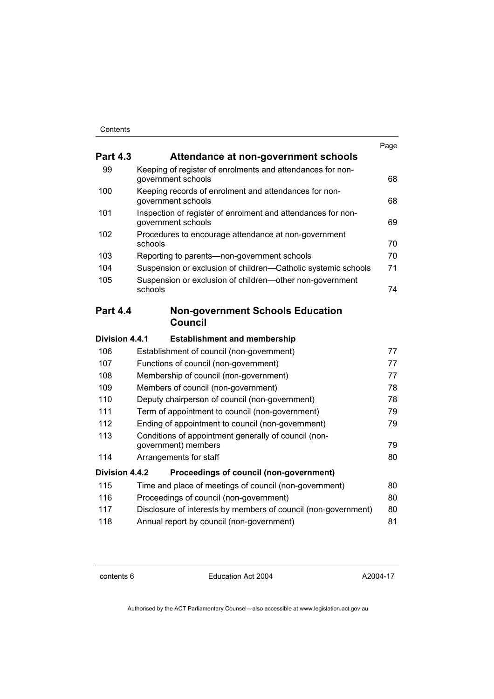|                                                                                    | Page |
|------------------------------------------------------------------------------------|------|
| Attendance at non-government schools                                               |      |
| Keeping of register of enrolments and attendances for non-<br>government schools   | 68   |
| Keeping records of enrolment and attendances for non-<br>government schools        | 68   |
| Inspection of register of enrolment and attendances for non-<br>government schools | 69   |
| Procedures to encourage attendance at non-government<br>schools                    | 70   |
| Reporting to parents-non-government schools                                        | 70   |
| Suspension or exclusion of children—Catholic systemic schools                      | 71   |
| Suspension or exclusion of children-other non-government<br>schools                | 74   |
| <b>Non-government Schools Education</b><br><b>Council</b>                          |      |
| Division 4.4.1<br><b>Establishment and membership</b>                              |      |
| Establishment of council (non-government)                                          | 77   |
| Functions of council (non-government)                                              | 77   |
| Membership of council (non-government)                                             | 77   |
| Members of council (non-government)                                                | 78   |
| Deputy chairperson of council (non-government)                                     | 78   |
| Term of appointment to council (non-government)                                    | 79   |
| Ending of appointment to council (non-government)                                  | 79   |
| Conditions of appointment generally of council (non-<br>government) members        | 79   |
| Arrangements for staff                                                             | 80   |
| Division 4.4.2<br>Proceedings of council (non-government)                          |      |
| Time and place of meetings of council (non-government)                             | 80   |
| Proceedings of council (non-government)                                            | 80   |
| Disclosure of interests by members of council (non-government)                     | 80   |
| Annual report by council (non-government)                                          | 81   |
|                                                                                    |      |

contents 6 Education Act 2004

A2004-17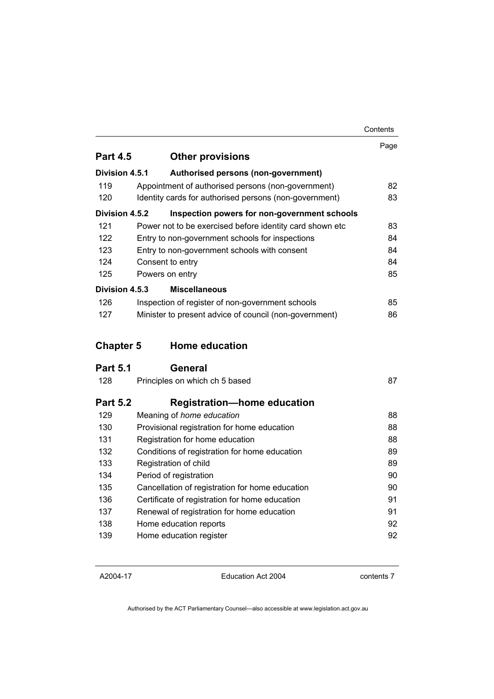|                  |                                                          | Contents |
|------------------|----------------------------------------------------------|----------|
| <b>Part 4.5</b>  |                                                          | Page     |
|                  | <b>Other provisions</b>                                  |          |
| Division 4.5.1   | Authorised persons (non-government)                      |          |
| 119              | Appointment of authorised persons (non-government)       | 82       |
| 120              | Identity cards for authorised persons (non-government)   | 83       |
| Division 4.5.2   | Inspection powers for non-government schools             |          |
| 121              | Power not to be exercised before identity card shown etc | 83       |
| 122              | Entry to non-government schools for inspections          | 84       |
| 123              | Entry to non-government schools with consent             | 84       |
| 124              | Consent to entry                                         | 84       |
| 125              | Powers on entry                                          | 85       |
| Division 4.5.3   | <b>Miscellaneous</b>                                     |          |
| 126              | Inspection of register of non-government schools         | 85       |
| 127              | Minister to present advice of council (non-government)   | 86       |
| <b>Chapter 5</b> | <b>Home education</b>                                    |          |
| <b>Part 5.1</b>  | <b>General</b>                                           |          |
| 128              | Principles on which ch 5 based                           | 87       |
| <b>Part 5.2</b>  | <b>Registration-home education</b>                       |          |
| 129              | Meaning of home education                                | 88       |
| 130              | Provisional registration for home education              | 88       |
| 131              | Registration for home education                          | 88       |
| 132              | Conditions of registration for home education            | 89       |
| 133              | Registration of child                                    | 89       |
| 134              | Period of registration                                   | 90       |
| 135              | Cancellation of registration for home education          | 90       |
| 136              | Certificate of registration for home education           | 91       |
| 137              | Renewal of registration for home education               | 91       |
| 138              | Home education reports                                   | 92       |
| 139              | Home education register                                  | 92       |

A2004-17

Education Act 2004

contents 7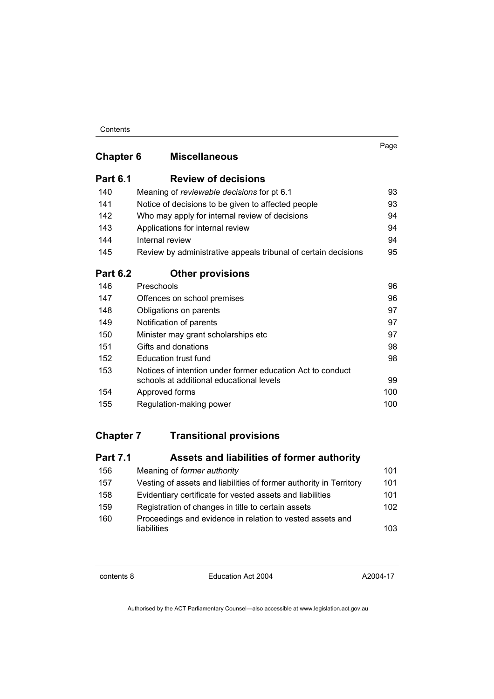|                  |                                                                                                        | Page |
|------------------|--------------------------------------------------------------------------------------------------------|------|
| <b>Chapter 6</b> | <b>Miscellaneous</b>                                                                                   |      |
| <b>Part 6.1</b>  | <b>Review of decisions</b>                                                                             |      |
| 140              | Meaning of reviewable decisions for pt 6.1                                                             | 93   |
| 141              | Notice of decisions to be given to affected people                                                     | 93   |
| 142              | Who may apply for internal review of decisions                                                         | 94   |
| 143              | Applications for internal review                                                                       | 94   |
| 144              | Internal review                                                                                        | 94   |
| 145              | Review by administrative appeals tribunal of certain decisions                                         | 95   |
| <b>Part 6.2</b>  | <b>Other provisions</b>                                                                                |      |
| 146              | Preschools                                                                                             | 96   |
| 147              | Offences on school premises                                                                            | 96   |
| 148              | Obligations on parents                                                                                 | 97   |
| 149              | Notification of parents                                                                                | 97   |
| 150              | Minister may grant scholarships etc                                                                    | 97   |
| 151              | Gifts and donations                                                                                    | 98   |
| 152              | Education trust fund                                                                                   | 98   |
| 153              | Notices of intention under former education Act to conduct<br>schools at additional educational levels | 99   |
| 154              | Approved forms                                                                                         | 100  |
| 155              | Regulation-making power                                                                                | 100  |

### **Chapter 7 Transitional provisions**

| <b>Part 7.1</b> | Assets and liabilities of former authority                               |     |
|-----------------|--------------------------------------------------------------------------|-----|
| 156             | Meaning of former authority                                              | 101 |
| 157             | Vesting of assets and liabilities of former authority in Territory       | 101 |
| 158             | Evidentiary certificate for vested assets and liabilities                | 101 |
| 159             | Registration of changes in title to certain assets                       | 102 |
| 160             | Proceedings and evidence in relation to vested assets and<br>liabilities | 103 |

contents 8 Education Act 2004

A2004-17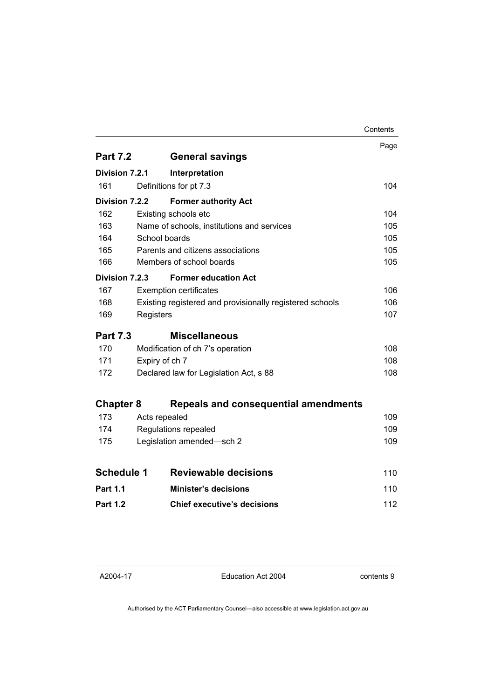|                   |                |                                                          | Contents |
|-------------------|----------------|----------------------------------------------------------|----------|
|                   |                |                                                          | Page     |
| <b>Part 7.2</b>   |                | <b>General savings</b>                                   |          |
| Division 7.2.1    |                | Interpretation                                           |          |
| 161               |                | Definitions for pt 7.3                                   | 104      |
| Division 7.2.2    |                | <b>Former authority Act</b>                              |          |
| 162               |                | Existing schools etc                                     | 104      |
| 163               |                | Name of schools, institutions and services               | 105      |
| 164               | School boards  |                                                          | 105      |
| 165               |                | Parents and citizens associations                        | 105      |
| 166               |                | Members of school boards                                 | 105      |
| Division 7.2.3    |                | <b>Former education Act</b>                              |          |
| 167               |                | <b>Exemption certificates</b>                            | 106      |
| 168               |                | Existing registered and provisionally registered schools | 106      |
| 169               | Registers      |                                                          | 107      |
| <b>Part 7.3</b>   |                | <b>Miscellaneous</b>                                     |          |
| 170               |                | Modification of ch 7's operation                         | 108      |
| 171               | Expiry of ch 7 |                                                          | 108      |
| 172               |                | Declared law for Legislation Act, s 88                   | 108      |
| <b>Chapter 8</b>  |                | Repeals and consequential amendments                     |          |
| 173               | Acts repealed  |                                                          | 109      |
| 174               |                | Regulations repealed                                     | 109      |
| 175               |                | Legislation amended-sch 2                                | 109      |
|                   |                |                                                          |          |
| <b>Schedule 1</b> |                | <b>Reviewable decisions</b>                              | 110      |
| <b>Part 1.1</b>   |                | <b>Minister's decisions</b>                              | 110      |
| <b>Part 1.2</b>   |                | <b>Chief executive's decisions</b>                       | 112      |

Education Act 2004

contents 9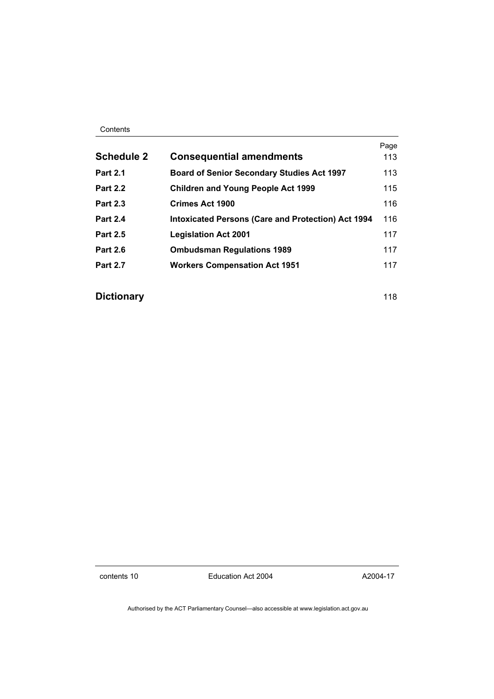#### Contents

| <b>Schedule 2</b> | <b>Consequential amendments</b>                           | Page<br>113 |
|-------------------|-----------------------------------------------------------|-------------|
| <b>Part 2.1</b>   | <b>Board of Senior Secondary Studies Act 1997</b>         | 113         |
| <b>Part 2.2</b>   | <b>Children and Young People Act 1999</b>                 | 115         |
| <b>Part 2.3</b>   | <b>Crimes Act 1900</b>                                    | 116         |
| <b>Part 2.4</b>   | <b>Intoxicated Persons (Care and Protection) Act 1994</b> | 116         |
| <b>Part 2.5</b>   | <b>Legislation Act 2001</b>                               | 117         |
| <b>Part 2.6</b>   | <b>Ombudsman Regulations 1989</b>                         | 117         |
| <b>Part 2.7</b>   | <b>Workers Compensation Act 1951</b>                      | 117         |

### **Dictionary** 118

contents 10 Education Act 2004

A2004-17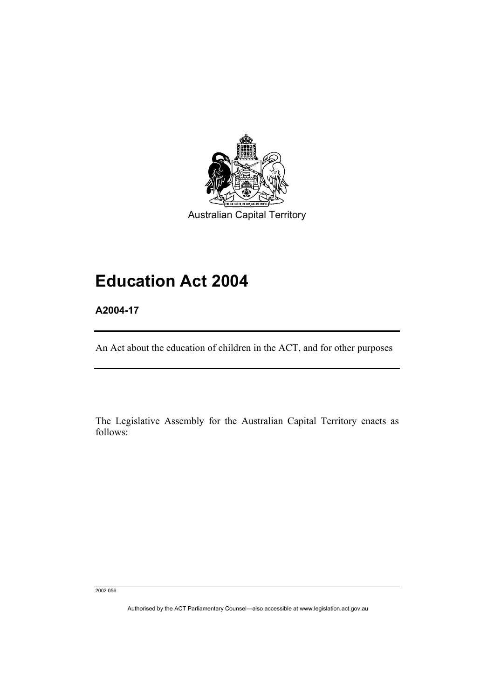

Australian Capital Territory

# **Education Act 2004**

**A2004-17** 

An Act about the education of children in the ACT, and for other purposes

The Legislative Assembly for the Australian Capital Territory enacts as follows:

2002 056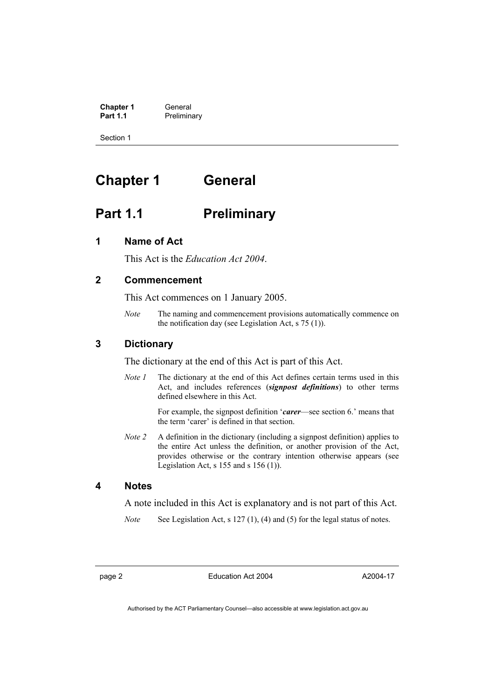**Chapter 1** General<br> **Part 1.1** Preliming **Preliminary** 

Section 1

# **Chapter 1 General**

## **Part 1.1** Preliminary

### **1 Name of Act**

This Act is the *Education Act 2004*.

### **2 Commencement**

This Act commences on 1 January 2005.

*Note* The naming and commencement provisions automatically commence on the notification day (see Legislation Act, s 75 (1)).

### **3 Dictionary**

The dictionary at the end of this Act is part of this Act.

*Note 1* The dictionary at the end of this Act defines certain terms used in this Act, and includes references (*signpost definitions*) to other terms defined elsewhere in this Act.

> For example, the signpost definition '*carer*—see section 6.' means that the term 'carer' is defined in that section.

*Note 2* A definition in the dictionary (including a signpost definition) applies to the entire Act unless the definition, or another provision of the Act, provides otherwise or the contrary intention otherwise appears (see Legislation Act,  $s$  155 and  $s$  156 (1)).

#### **4 Notes**

A note included in this Act is explanatory and is not part of this Act.

*Note* See Legislation Act, s 127 (1), (4) and (5) for the legal status of notes.

page 2 Education Act 2004

A2004-17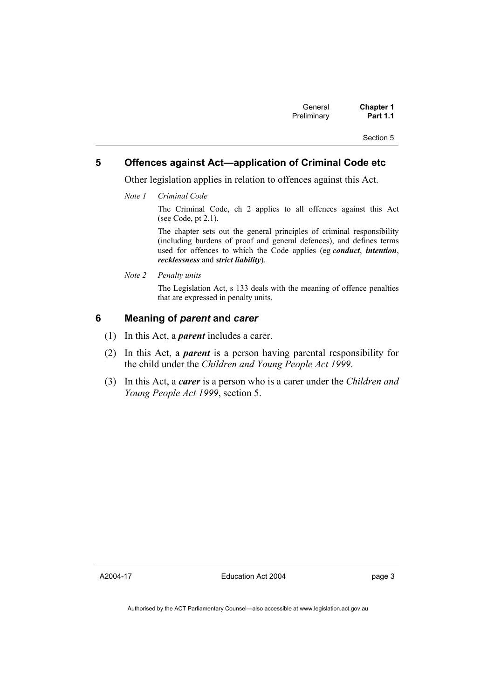### **5 Offences against Act—application of Criminal Code etc**

Other legislation applies in relation to offences against this Act.

*Note 1 Criminal Code*

The Criminal Code, ch 2 applies to all offences against this Act (see Code, pt 2.1).

The chapter sets out the general principles of criminal responsibility (including burdens of proof and general defences), and defines terms used for offences to which the Code applies (eg *conduct*, *intention*, *recklessness* and *strict liability*).

*Note 2 Penalty units* 

The Legislation Act, s 133 deals with the meaning of offence penalties that are expressed in penalty units.

#### **6 Meaning of** *parent* **and** *carer*

- (1) In this Act, a *parent* includes a carer.
- (2) In this Act, a *parent* is a person having parental responsibility for the child under the *Children and Young People Act 1999*.
- (3) In this Act, a *carer* is a person who is a carer under the *Children and Young People Act 1999*, section 5.

A2004-17

Education Act 2004

page 3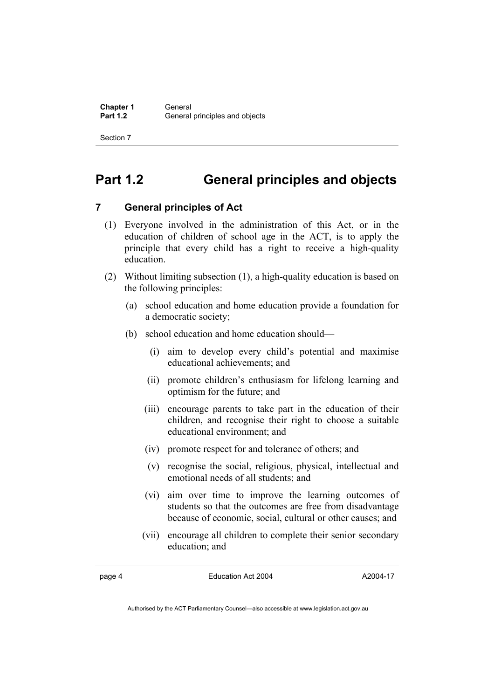# **Part 1.2 General principles and objects**

### **7 General principles of Act**

- (1) Everyone involved in the administration of this Act, or in the education of children of school age in the ACT, is to apply the principle that every child has a right to receive a high-quality education.
- (2) Without limiting subsection (1), a high-quality education is based on the following principles:
	- (a) school education and home education provide a foundation for a democratic society;
	- (b) school education and home education should—
		- (i) aim to develop every child's potential and maximise educational achievements; and
		- (ii) promote children's enthusiasm for lifelong learning and optimism for the future; and
		- (iii) encourage parents to take part in the education of their children, and recognise their right to choose a suitable educational environment; and
		- (iv) promote respect for and tolerance of others; and
		- (v) recognise the social, religious, physical, intellectual and emotional needs of all students; and
		- (vi) aim over time to improve the learning outcomes of students so that the outcomes are free from disadvantage because of economic, social, cultural or other causes; and
		- (vii) encourage all children to complete their senior secondary education; and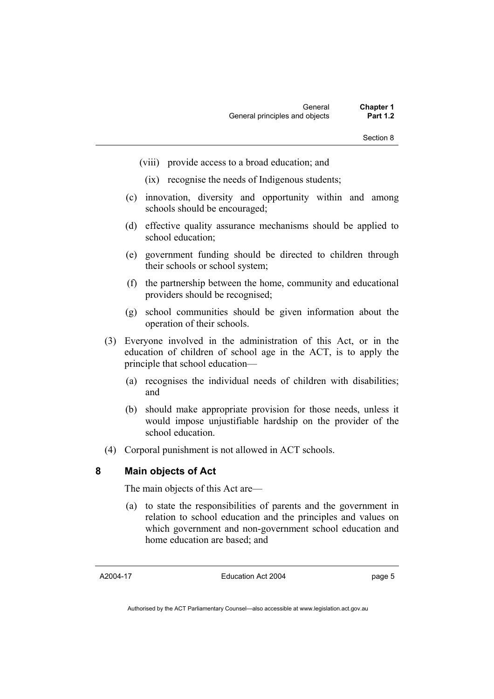- (viii) provide access to a broad education; and
	- (ix) recognise the needs of Indigenous students;
- (c) innovation, diversity and opportunity within and among schools should be encouraged;
- (d) effective quality assurance mechanisms should be applied to school education;
- (e) government funding should be directed to children through their schools or school system;
- (f) the partnership between the home, community and educational providers should be recognised;
- (g) school communities should be given information about the operation of their schools.
- (3) Everyone involved in the administration of this Act, or in the education of children of school age in the ACT, is to apply the principle that school education—
	- (a) recognises the individual needs of children with disabilities; and
	- (b) should make appropriate provision for those needs, unless it would impose unjustifiable hardship on the provider of the school education.
- (4) Corporal punishment is not allowed in ACT schools.

#### **8 Main objects of Act**

The main objects of this Act are—

 (a) to state the responsibilities of parents and the government in relation to school education and the principles and values on which government and non-government school education and home education are based; and

A2004-17

Education Act 2004

page 5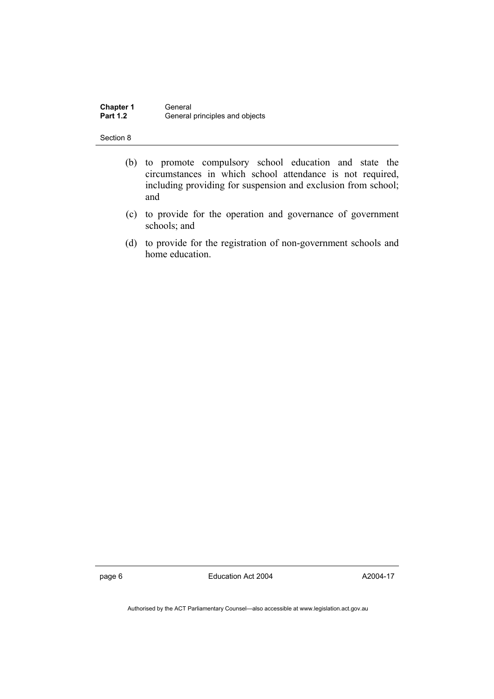| <b>Chapter 1</b> | General                        |
|------------------|--------------------------------|
| <b>Part 1.2</b>  | General principles and objects |

- (b) to promote compulsory school education and state the circumstances in which school attendance is not required, including providing for suspension and exclusion from school; and
- (c) to provide for the operation and governance of government schools; and
- (d) to provide for the registration of non-government schools and home education.

page 6 **Education Act 2004** 

A2004-17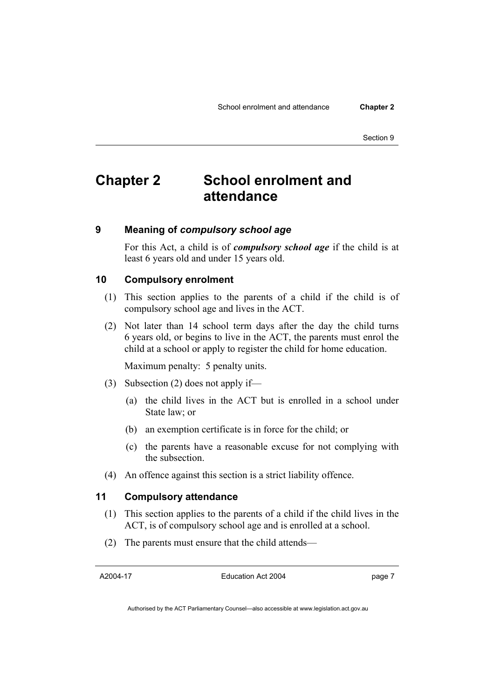# **Chapter 2 School enrolment and attendance**

#### **9 Meaning of** *compulsory school age*

For this Act, a child is of *compulsory school age* if the child is at least 6 years old and under 15 years old.

#### **10 Compulsory enrolment**

- (1) This section applies to the parents of a child if the child is of compulsory school age and lives in the ACT.
- (2) Not later than 14 school term days after the day the child turns 6 years old, or begins to live in the ACT, the parents must enrol the child at a school or apply to register the child for home education.

Maximum penalty: 5 penalty units.

- (3) Subsection (2) does not apply if—
	- (a) the child lives in the ACT but is enrolled in a school under State law; or
	- (b) an exemption certificate is in force for the child; or
	- (c) the parents have a reasonable excuse for not complying with the subsection.
- (4) An offence against this section is a strict liability offence.

#### **11 Compulsory attendance**

- (1) This section applies to the parents of a child if the child lives in the ACT, is of compulsory school age and is enrolled at a school.
- (2) The parents must ensure that the child attends—

A2004-17

Education Act 2004

page 7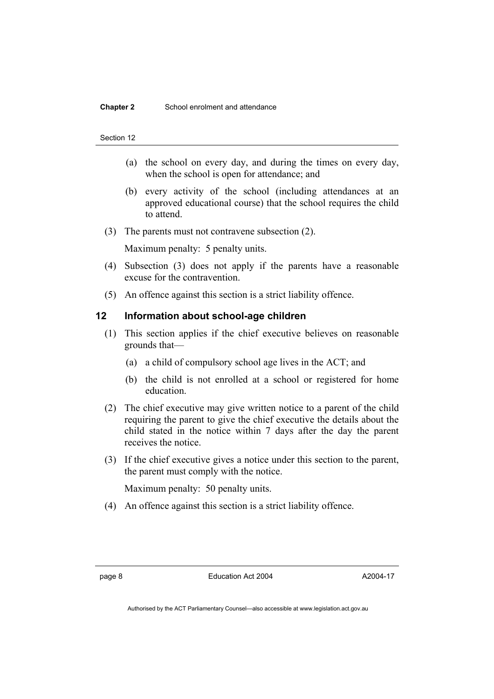#### **Chapter 2** School enrolment and attendance

#### Section 12

- (a) the school on every day, and during the times on every day, when the school is open for attendance; and
- (b) every activity of the school (including attendances at an approved educational course) that the school requires the child to attend.
- (3) The parents must not contravene subsection (2).

Maximum penalty: 5 penalty units.

- (4) Subsection (3) does not apply if the parents have a reasonable excuse for the contravention.
- (5) An offence against this section is a strict liability offence.

#### **12 Information about school-age children**

- (1) This section applies if the chief executive believes on reasonable grounds that—
	- (a) a child of compulsory school age lives in the ACT; and
	- (b) the child is not enrolled at a school or registered for home education.
- (2) The chief executive may give written notice to a parent of the child requiring the parent to give the chief executive the details about the child stated in the notice within 7 days after the day the parent receives the notice.
- (3) If the chief executive gives a notice under this section to the parent, the parent must comply with the notice.

Maximum penalty: 50 penalty units.

(4) An offence against this section is a strict liability offence.

page 8 Education Act 2004

A2004-17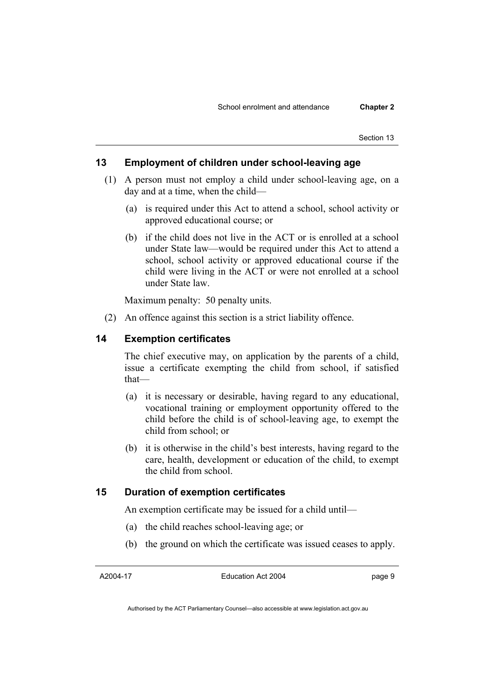### **13 Employment of children under school-leaving age**

- (1) A person must not employ a child under school-leaving age, on a day and at a time, when the child—
	- (a) is required under this Act to attend a school, school activity or approved educational course; or
	- (b) if the child does not live in the ACT or is enrolled at a school under State law—would be required under this Act to attend a school, school activity or approved educational course if the child were living in the ACT or were not enrolled at a school under State law.

Maximum penalty: 50 penalty units.

(2) An offence against this section is a strict liability offence.

#### **14 Exemption certificates**

The chief executive may, on application by the parents of a child, issue a certificate exempting the child from school, if satisfied that—

- (a) it is necessary or desirable, having regard to any educational, vocational training or employment opportunity offered to the child before the child is of school-leaving age, to exempt the child from school; or
- (b) it is otherwise in the child's best interests, having regard to the care, health, development or education of the child, to exempt the child from school.

#### **15 Duration of exemption certificates**

An exemption certificate may be issued for a child until—

- (a) the child reaches school-leaving age; or
- (b) the ground on which the certificate was issued ceases to apply.

A2004-17

Education Act 2004

page 9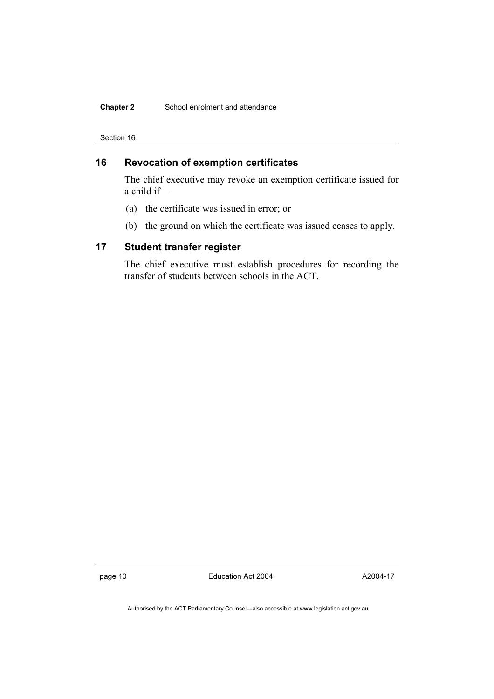#### **Chapter 2** School enrolment and attendance

Section 16

### **16 Revocation of exemption certificates**

The chief executive may revoke an exemption certificate issued for a child if—

- (a) the certificate was issued in error; or
- (b) the ground on which the certificate was issued ceases to apply.

#### **17 Student transfer register**

The chief executive must establish procedures for recording the transfer of students between schools in the ACT.

page 10 Education Act 2004

A2004-17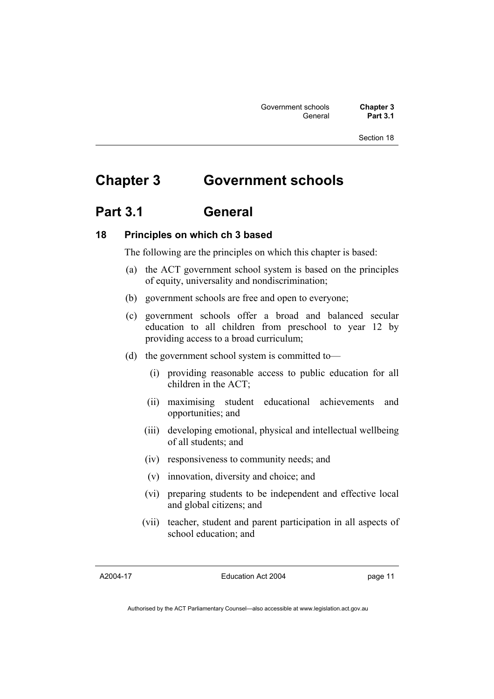# **Chapter 3 Government schools**

### **Part 3.1 General**

### **18 Principles on which ch 3 based**

The following are the principles on which this chapter is based:

- (a) the ACT government school system is based on the principles of equity, universality and nondiscrimination;
- (b) government schools are free and open to everyone;
- (c) government schools offer a broad and balanced secular education to all children from preschool to year 12 by providing access to a broad curriculum;
- (d) the government school system is committed to—
	- (i) providing reasonable access to public education for all children in the ACT;
	- (ii) maximising student educational achievements and opportunities; and
	- (iii) developing emotional, physical and intellectual wellbeing of all students; and
	- (iv) responsiveness to community needs; and
	- (v) innovation, diversity and choice; and
	- (vi) preparing students to be independent and effective local and global citizens; and
	- (vii) teacher, student and parent participation in all aspects of school education; and

A2004-17

Education Act 2004

page 11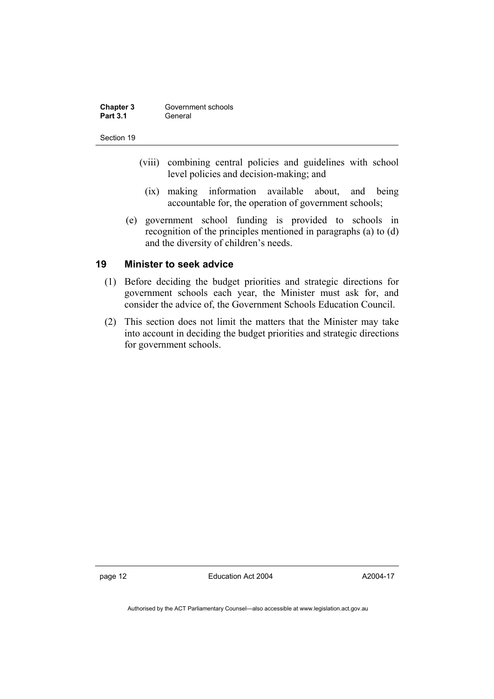| Chapter 3       | Government schools |
|-----------------|--------------------|
| <b>Part 3.1</b> | General            |

- (viii) combining central policies and guidelines with school level policies and decision-making; and
	- (ix) making information available about, and being accountable for, the operation of government schools;
- (e) government school funding is provided to schools in recognition of the principles mentioned in paragraphs (a) to (d) and the diversity of children's needs.

#### **19 Minister to seek advice**

- (1) Before deciding the budget priorities and strategic directions for government schools each year, the Minister must ask for, and consider the advice of, the Government Schools Education Council.
- (2) This section does not limit the matters that the Minister may take into account in deciding the budget priorities and strategic directions for government schools.

page 12 Education Act 2004

A2004-17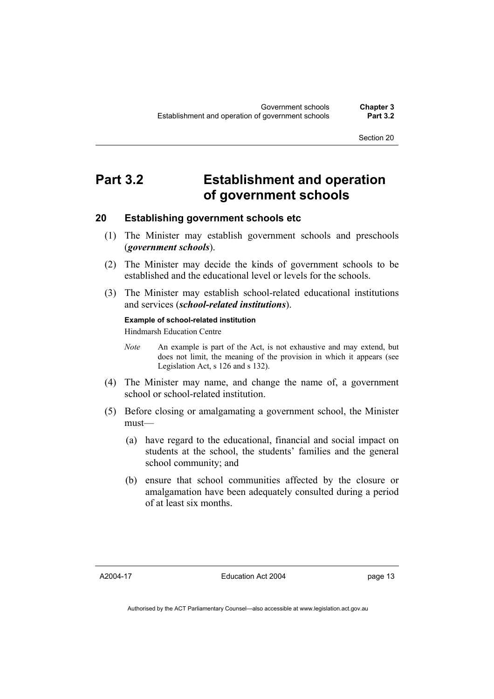# **Part 3.2 Establishment and operation of government schools**

### **20 Establishing government schools etc**

- (1) The Minister may establish government schools and preschools (*government schools*).
- (2) The Minister may decide the kinds of government schools to be established and the educational level or levels for the schools.
- (3) The Minister may establish school-related educational institutions and services (*school-related institutions*).

#### **Example of school-related institution**

Hindmarsh Education Centre

- *Note* An example is part of the Act, is not exhaustive and may extend, but does not limit, the meaning of the provision in which it appears (see Legislation Act, s 126 and s 132).
- (4) The Minister may name, and change the name of, a government school or school-related institution.
- (5) Before closing or amalgamating a government school, the Minister must—
	- (a) have regard to the educational, financial and social impact on students at the school, the students' families and the general school community; and
	- (b) ensure that school communities affected by the closure or amalgamation have been adequately consulted during a period of at least six months.

A2004-17

Education Act 2004

page 13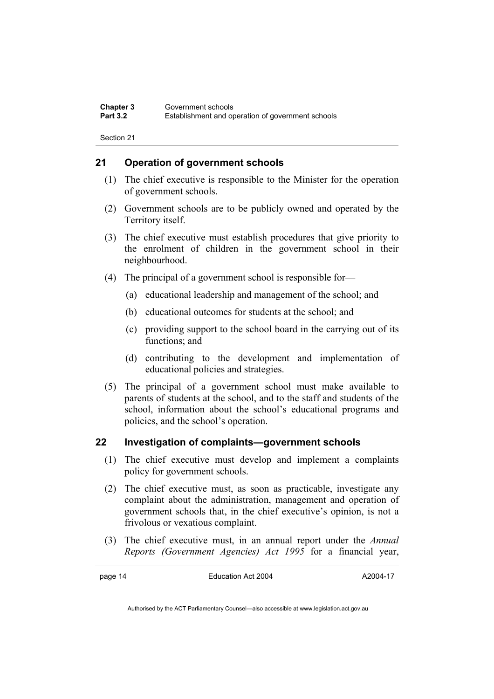### **21 Operation of government schools**

- (1) The chief executive is responsible to the Minister for the operation of government schools.
- (2) Government schools are to be publicly owned and operated by the Territory itself.
- (3) The chief executive must establish procedures that give priority to the enrolment of children in the government school in their neighbourhood.
- (4) The principal of a government school is responsible for—
	- (a) educational leadership and management of the school; and
	- (b) educational outcomes for students at the school; and
	- (c) providing support to the school board in the carrying out of its functions; and
	- (d) contributing to the development and implementation of educational policies and strategies.
- (5) The principal of a government school must make available to parents of students at the school, and to the staff and students of the school, information about the school's educational programs and policies, and the school's operation.

### **22 Investigation of complaints—government schools**

- (1) The chief executive must develop and implement a complaints policy for government schools.
- (2) The chief executive must, as soon as practicable, investigate any complaint about the administration, management and operation of government schools that, in the chief executive's opinion, is not a frivolous or vexatious complaint.
- (3) The chief executive must, in an annual report under the *Annual Reports (Government Agencies) Act 1995* for a financial year,

page 14 Education Act 2004

A2004-17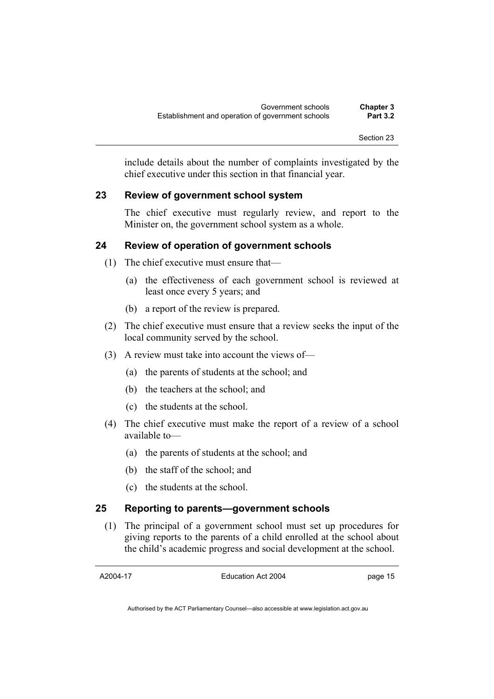include details about the number of complaints investigated by the chief executive under this section in that financial year.

#### **23 Review of government school system**

The chief executive must regularly review, and report to the Minister on, the government school system as a whole.

### **24 Review of operation of government schools**

- (1) The chief executive must ensure that—
	- (a) the effectiveness of each government school is reviewed at least once every 5 years; and
	- (b) a report of the review is prepared.
- (2) The chief executive must ensure that a review seeks the input of the local community served by the school.
- (3) A review must take into account the views of—
	- (a) the parents of students at the school; and
	- (b) the teachers at the school; and
	- (c) the students at the school.
- (4) The chief executive must make the report of a review of a school available to—
	- (a) the parents of students at the school; and
	- (b) the staff of the school; and
	- (c) the students at the school.

#### **25 Reporting to parents—government schools**

 (1) The principal of a government school must set up procedures for giving reports to the parents of a child enrolled at the school about the child's academic progress and social development at the school.

A2004-17

Education Act 2004

page 15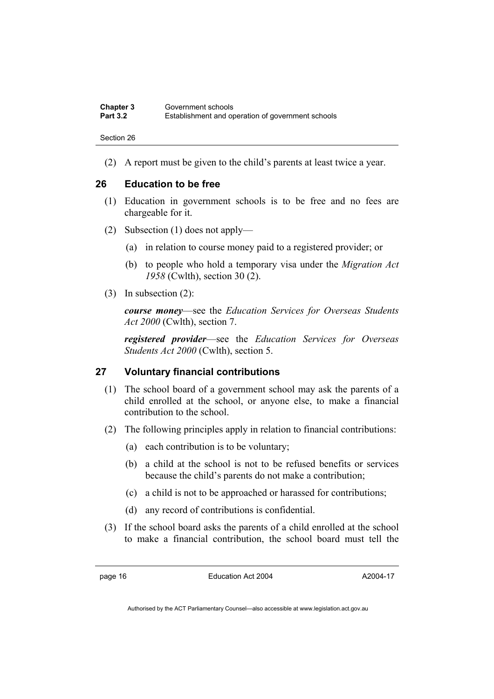| <b>Chapter 3</b> | Government schools                                |
|------------------|---------------------------------------------------|
| <b>Part 3.2</b>  | Establishment and operation of government schools |

(2) A report must be given to the child's parents at least twice a year.

#### **26 Education to be free**

- (1) Education in government schools is to be free and no fees are chargeable for it.
- (2) Subsection (1) does not apply—
	- (a) in relation to course money paid to a registered provider; or
	- (b) to people who hold a temporary visa under the *Migration Act 1958* (Cwlth), section 30 (2).
- (3) In subsection (2):

*course money*—see the *Education Services for Overseas Students Act 2000* (Cwlth), section 7.

*registered provider*—see the *Education Services for Overseas Students Act 2000* (Cwlth), section 5.

#### **27 Voluntary financial contributions**

- (1) The school board of a government school may ask the parents of a child enrolled at the school, or anyone else, to make a financial contribution to the school.
- (2) The following principles apply in relation to financial contributions:
	- (a) each contribution is to be voluntary;
	- (b) a child at the school is not to be refused benefits or services because the child's parents do not make a contribution;
	- (c) a child is not to be approached or harassed for contributions;
	- (d) any record of contributions is confidential.
- (3) If the school board asks the parents of a child enrolled at the school to make a financial contribution, the school board must tell the

page 16 Education Act 2004

A2004-17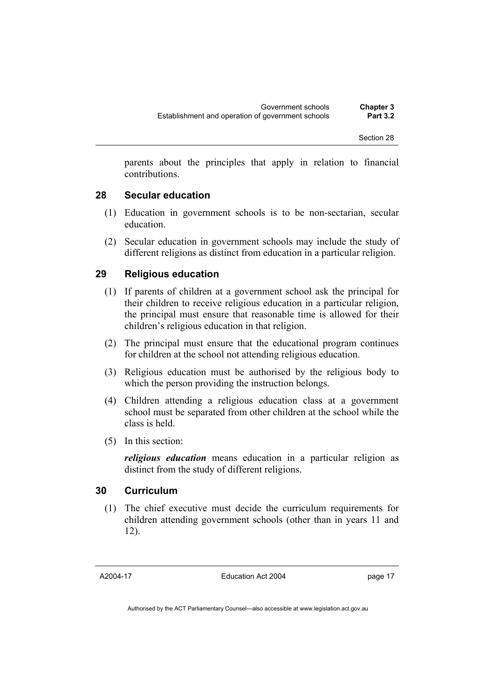parents about the principles that apply in relation to financial contributions.

#### **28 Secular education**

- (1) Education in government schools is to be non-sectarian, secular education.
- (2) Secular education in government schools may include the study of different religions as distinct from education in a particular religion.

#### **29 Religious education**

- (1) If parents of children at a government school ask the principal for their children to receive religious education in a particular religion, the principal must ensure that reasonable time is allowed for their children's religious education in that religion.
- (2) The principal must ensure that the educational program continues for children at the school not attending religious education.
- (3) Religious education must be authorised by the religious body to which the person providing the instruction belongs.
- (4) Children attending a religious education class at a government school must be separated from other children at the school while the class is held.
- (5) In this section:

*religious education* means education in a particular religion as distinct from the study of different religions.

#### **30 Curriculum**

 (1) The chief executive must decide the curriculum requirements for children attending government schools (other than in years 11 and 12).

Education Act 2004

page 17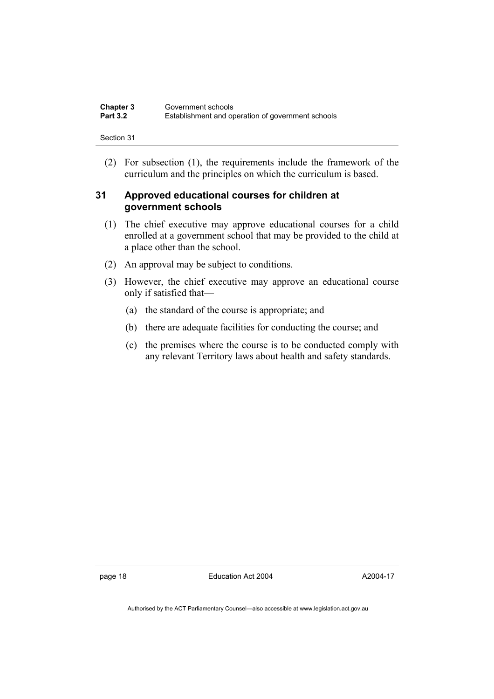| Chapter 3       | Government schools                                |
|-----------------|---------------------------------------------------|
| <b>Part 3.2</b> | Establishment and operation of government schools |

 (2) For subsection (1), the requirements include the framework of the curriculum and the principles on which the curriculum is based.

### **31 Approved educational courses for children at government schools**

- (1) The chief executive may approve educational courses for a child enrolled at a government school that may be provided to the child at a place other than the school.
- (2) An approval may be subject to conditions.
- (3) However, the chief executive may approve an educational course only if satisfied that—
	- (a) the standard of the course is appropriate; and
	- (b) there are adequate facilities for conducting the course; and
	- (c) the premises where the course is to be conducted comply with any relevant Territory laws about health and safety standards.

page 18 **Education Act 2004** 

A2004-17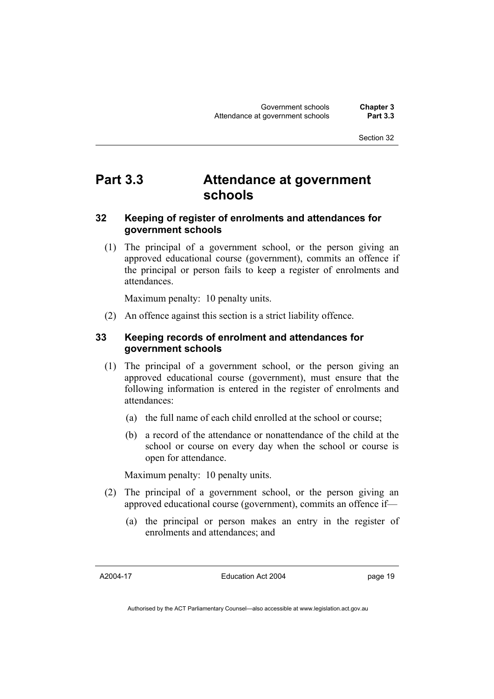# **Part 3.3 Attendance at government schools**

### **32 Keeping of register of enrolments and attendances for government schools**

 (1) The principal of a government school, or the person giving an approved educational course (government), commits an offence if the principal or person fails to keep a register of enrolments and attendances.

Maximum penalty: 10 penalty units.

(2) An offence against this section is a strict liability offence.

### **33 Keeping records of enrolment and attendances for government schools**

- (1) The principal of a government school, or the person giving an approved educational course (government), must ensure that the following information is entered in the register of enrolments and attendances:
	- (a) the full name of each child enrolled at the school or course;
	- (b) a record of the attendance or nonattendance of the child at the school or course on every day when the school or course is open for attendance.

Maximum penalty: 10 penalty units.

- (2) The principal of a government school, or the person giving an approved educational course (government), commits an offence if—
	- (a) the principal or person makes an entry in the register of enrolments and attendances; and

A2004-17

Education Act 2004

page 19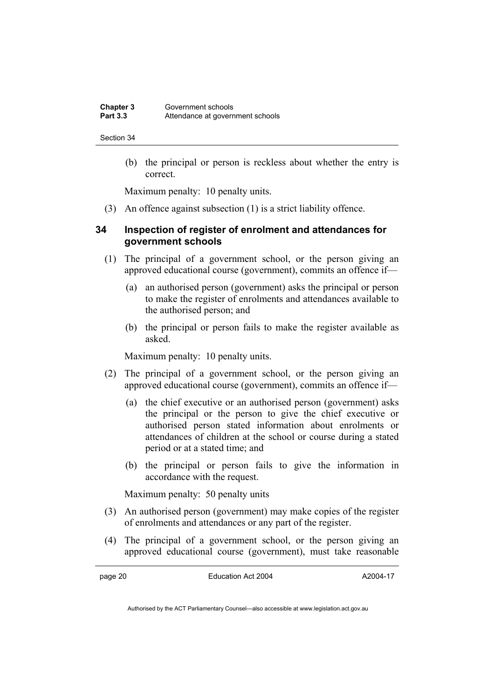(b) the principal or person is reckless about whether the entry is correct.

Maximum penalty: 10 penalty units.

(3) An offence against subsection (1) is a strict liability offence.

#### **34 Inspection of register of enrolment and attendances for government schools**

- (1) The principal of a government school, or the person giving an approved educational course (government), commits an offence if—
	- (a) an authorised person (government) asks the principal or person to make the register of enrolments and attendances available to the authorised person; and
	- (b) the principal or person fails to make the register available as asked.

Maximum penalty: 10 penalty units.

- (2) The principal of a government school, or the person giving an approved educational course (government), commits an offence if—
	- (a) the chief executive or an authorised person (government) asks the principal or the person to give the chief executive or authorised person stated information about enrolments or attendances of children at the school or course during a stated period or at a stated time; and
	- (b) the principal or person fails to give the information in accordance with the request.

Maximum penalty: 50 penalty units

- (3) An authorised person (government) may make copies of the register of enrolments and attendances or any part of the register.
- (4) The principal of a government school, or the person giving an approved educational course (government), must take reasonable

page 20 Education Act 2004

A2004-17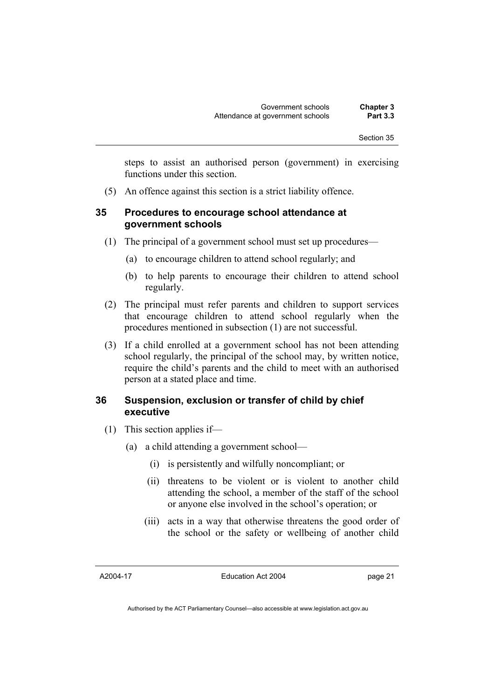steps to assist an authorised person (government) in exercising functions under this section.

(5) An offence against this section is a strict liability offence.

#### **35 Procedures to encourage school attendance at government schools**

- (1) The principal of a government school must set up procedures—
	- (a) to encourage children to attend school regularly; and
	- (b) to help parents to encourage their children to attend school regularly.
- (2) The principal must refer parents and children to support services that encourage children to attend school regularly when the procedures mentioned in subsection (1) are not successful.
- (3) If a child enrolled at a government school has not been attending school regularly, the principal of the school may, by written notice, require the child's parents and the child to meet with an authorised person at a stated place and time.

#### **36 Suspension, exclusion or transfer of child by chief executive**

- (1) This section applies if—
	- (a) a child attending a government school—
		- (i) is persistently and wilfully noncompliant; or
		- (ii) threatens to be violent or is violent to another child attending the school, a member of the staff of the school or anyone else involved in the school's operation; or
		- (iii) acts in a way that otherwise threatens the good order of the school or the safety or wellbeing of another child

A2004-17

Education Act 2004

page 21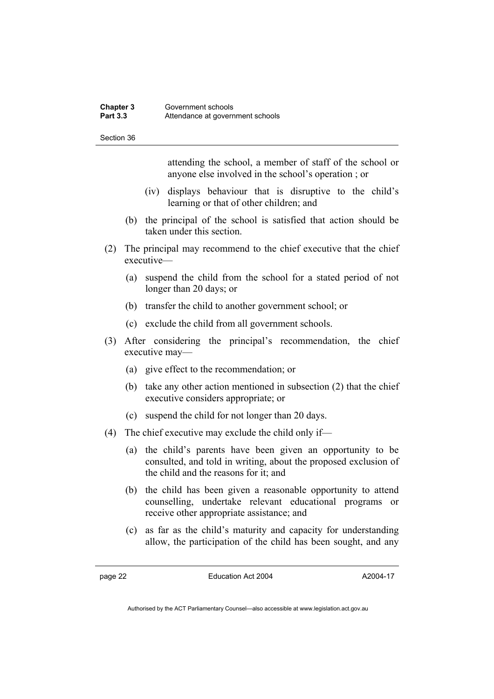attending the school, a member of staff of the school or anyone else involved in the school's operation ; or

- (iv) displays behaviour that is disruptive to the child's learning or that of other children; and
- (b) the principal of the school is satisfied that action should be taken under this section.
- (2) The principal may recommend to the chief executive that the chief executive—
	- (a) suspend the child from the school for a stated period of not longer than 20 days; or
	- (b) transfer the child to another government school; or
	- (c) exclude the child from all government schools.
- (3) After considering the principal's recommendation, the chief executive may—
	- (a) give effect to the recommendation; or
	- (b) take any other action mentioned in subsection (2) that the chief executive considers appropriate; or
	- (c) suspend the child for not longer than 20 days.
- (4) The chief executive may exclude the child only if—
	- (a) the child's parents have been given an opportunity to be consulted, and told in writing, about the proposed exclusion of the child and the reasons for it; and
	- (b) the child has been given a reasonable opportunity to attend counselling, undertake relevant educational programs or receive other appropriate assistance; and
	- (c) as far as the child's maturity and capacity for understanding allow, the participation of the child has been sought, and any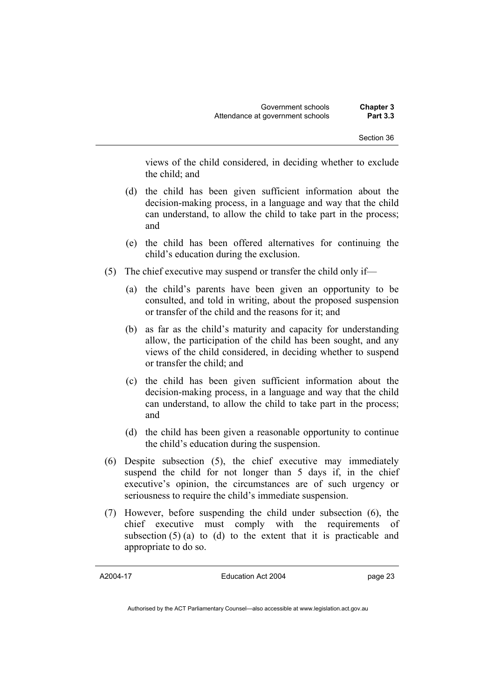views of the child considered, in deciding whether to exclude the child; and

- (d) the child has been given sufficient information about the decision-making process, in a language and way that the child can understand, to allow the child to take part in the process; and
- (e) the child has been offered alternatives for continuing the child's education during the exclusion.
- (5) The chief executive may suspend or transfer the child only if—
	- (a) the child's parents have been given an opportunity to be consulted, and told in writing, about the proposed suspension or transfer of the child and the reasons for it; and
	- (b) as far as the child's maturity and capacity for understanding allow, the participation of the child has been sought, and any views of the child considered, in deciding whether to suspend or transfer the child; and
	- (c) the child has been given sufficient information about the decision-making process, in a language and way that the child can understand, to allow the child to take part in the process; and
	- (d) the child has been given a reasonable opportunity to continue the child's education during the suspension.
- (6) Despite subsection (5), the chief executive may immediately suspend the child for not longer than 5 days if, in the chief executive's opinion, the circumstances are of such urgency or seriousness to require the child's immediate suspension.
- (7) However, before suspending the child under subsection (6), the chief executive must comply with the requirements of subsection  $(5)$  (a) to (d) to the extent that it is practicable and appropriate to do so.

A2004-17

Education Act 2004

page 23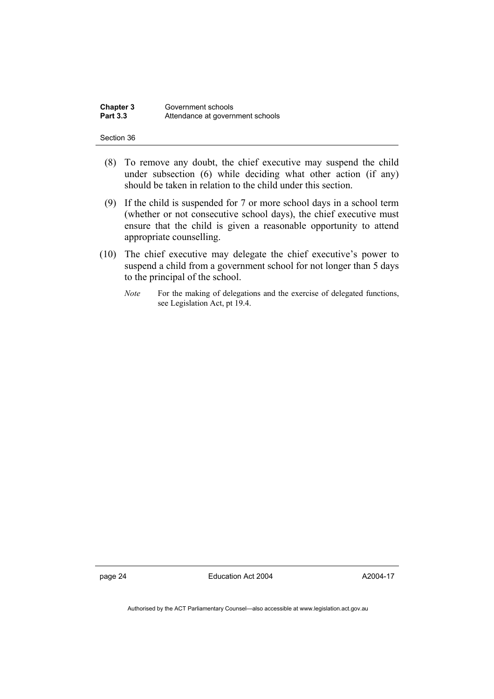| Chapter 3       | Government schools               |
|-----------------|----------------------------------|
| <b>Part 3.3</b> | Attendance at government schools |

- (8) To remove any doubt, the chief executive may suspend the child under subsection (6) while deciding what other action (if any) should be taken in relation to the child under this section.
- (9) If the child is suspended for 7 or more school days in a school term (whether or not consecutive school days), the chief executive must ensure that the child is given a reasonable opportunity to attend appropriate counselling.
- (10) The chief executive may delegate the chief executive's power to suspend a child from a government school for not longer than 5 days to the principal of the school.
	- *Note* For the making of delegations and the exercise of delegated functions, see Legislation Act, pt 19.4.

page 24 Education Act 2004

A2004-17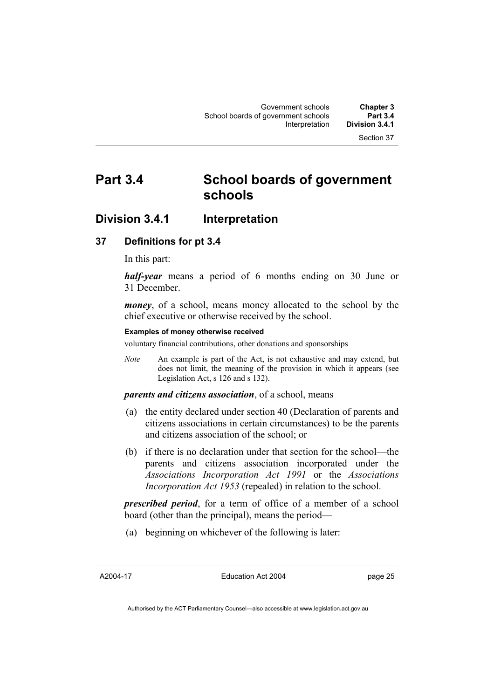# **Part 3.4 School boards of government schools**

### **Division 3.4.1 Interpretation**

#### **37 Definitions for pt 3.4**

In this part:

*half-year* means a period of 6 months ending on 30 June or 31 December.

*money*, of a school, means money allocated to the school by the chief executive or otherwise received by the school.

#### **Examples of money otherwise received**

voluntary financial contributions, other donations and sponsorships

*Note* An example is part of the Act, is not exhaustive and may extend, but does not limit, the meaning of the provision in which it appears (see Legislation Act, s 126 and s 132).

#### *parents and citizens association*, of a school, means

- (a) the entity declared under section 40 (Declaration of parents and citizens associations in certain circumstances) to be the parents and citizens association of the school; or
- (b) if there is no declaration under that section for the school—the parents and citizens association incorporated under the *Associations Incorporation Act 1991* or the *Associations Incorporation Act 1953* (repealed) in relation to the school.

*prescribed period*, for a term of office of a member of a school board (other than the principal), means the period—

(a) beginning on whichever of the following is later:

A2004-17

Education Act 2004

page 25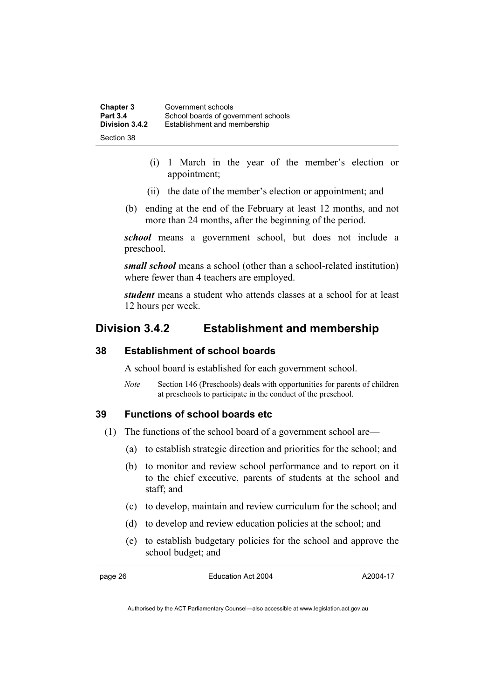| <b>Chapter 3</b> | Government schools                  |
|------------------|-------------------------------------|
| <b>Part 3.4</b>  | School boards of government schools |
| Division 3.4.2   | Establishment and membership        |
| Section 38       |                                     |

- (i) 1 March in the year of the member's election or appointment;
- (ii) the date of the member's election or appointment; and
- (b) ending at the end of the February at least 12 months, and not more than 24 months, after the beginning of the period.

*school* means a government school, but does not include a preschool.

*small school* means a school (other than a school-related institution) where fewer than 4 teachers are employed.

*student* means a student who attends classes at a school for at least 12 hours per week.

### **Division 3.4.2 Establishment and membership**

### **38 Establishment of school boards**

A school board is established for each government school.

*Note* Section 146 (Preschools) deals with opportunities for parents of children at preschools to participate in the conduct of the preschool.

#### **39 Functions of school boards etc**

- (1) The functions of the school board of a government school are—
	- (a) to establish strategic direction and priorities for the school; and
	- (b) to monitor and review school performance and to report on it to the chief executive, parents of students at the school and staff; and
	- (c) to develop, maintain and review curriculum for the school; and
	- (d) to develop and review education policies at the school; and
	- (e) to establish budgetary policies for the school and approve the school budget; and

page 26 **Education Act 2004** 

A2004-17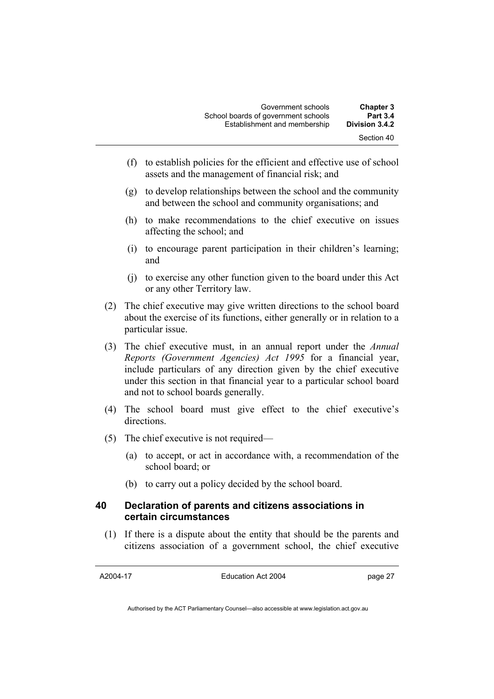| <b>Chapter 3</b>             | Government schools                  |
|------------------------------|-------------------------------------|
| <b>Part 3.4</b>              | School boards of government schools |
| Division 3.4.2<br>Section 40 | Establishment and membership        |

- (f) to establish policies for the efficient and effective use of school assets and the management of financial risk; and
- (g) to develop relationships between the school and the community and between the school and community organisations; and
- (h) to make recommendations to the chief executive on issues affecting the school; and
- (i) to encourage parent participation in their children's learning; and
- (j) to exercise any other function given to the board under this Act or any other Territory law.
- (2) The chief executive may give written directions to the school board about the exercise of its functions, either generally or in relation to a particular issue.
- (3) The chief executive must, in an annual report under the *Annual Reports (Government Agencies) Act 1995* for a financial year, include particulars of any direction given by the chief executive under this section in that financial year to a particular school board and not to school boards generally.
- (4) The school board must give effect to the chief executive's directions.
- (5) The chief executive is not required—
	- (a) to accept, or act in accordance with, a recommendation of the school board; or
	- (b) to carry out a policy decided by the school board.

## **40 Declaration of parents and citizens associations in certain circumstances**

 (1) If there is a dispute about the entity that should be the parents and citizens association of a government school, the chief executive

A2004-17

Education Act 2004

page 27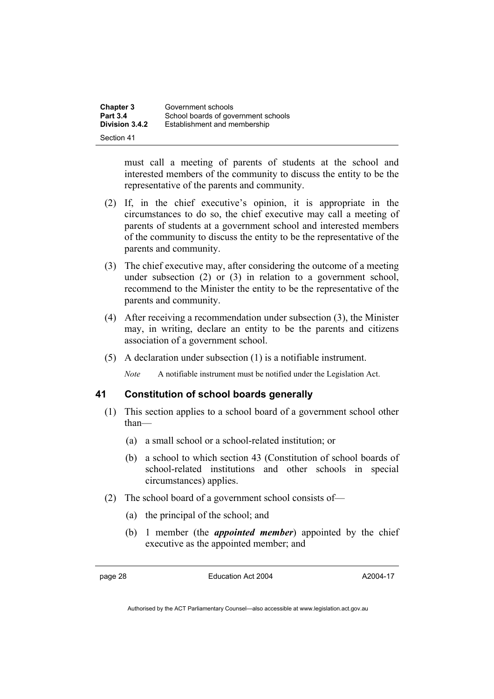| <b>Chapter 3</b> | Government schools                  |
|------------------|-------------------------------------|
| <b>Part 3.4</b>  | School boards of government schools |
| Division 3.4.2   | Establishment and membership        |
| Section 41       |                                     |

must call a meeting of parents of students at the school and interested members of the community to discuss the entity to be the representative of the parents and community.

- (2) If, in the chief executive's opinion, it is appropriate in the circumstances to do so, the chief executive may call a meeting of parents of students at a government school and interested members of the community to discuss the entity to be the representative of the parents and community.
- (3) The chief executive may, after considering the outcome of a meeting under subsection (2) or (3) in relation to a government school, recommend to the Minister the entity to be the representative of the parents and community.
- (4) After receiving a recommendation under subsection (3), the Minister may, in writing, declare an entity to be the parents and citizens association of a government school.
- (5) A declaration under subsection (1) is a notifiable instrument.

*Note* A notifiable instrument must be notified under the Legislation Act.

#### **41 Constitution of school boards generally**

- (1) This section applies to a school board of a government school other than—
	- (a) a small school or a school-related institution; or
	- (b) a school to which section 43 (Constitution of school boards of school-related institutions and other schools in special circumstances) applies.
- (2) The school board of a government school consists of—
	- (a) the principal of the school; and
	- (b) 1 member (the *appointed member*) appointed by the chief executive as the appointed member; and

page 28 Education Act 2004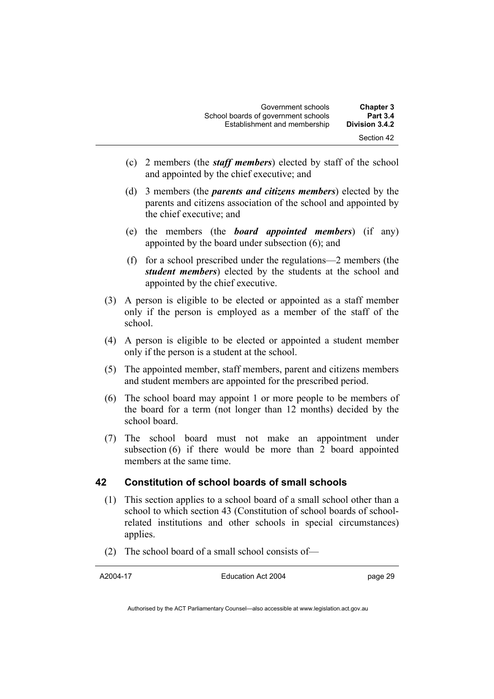| <b>Chapter 3</b>             | Government schools                  |
|------------------------------|-------------------------------------|
| <b>Part 3.4</b>              | School boards of government schools |
| Division 3.4.2<br>Section 42 | Establishment and membership        |

- (c) 2 members (the *staff members*) elected by staff of the school and appointed by the chief executive; and
- (d) 3 members (the *parents and citizens members*) elected by the parents and citizens association of the school and appointed by the chief executive; and
- (e) the members (the *board appointed members*) (if any) appointed by the board under subsection (6); and
- (f) for a school prescribed under the regulations—2 members (the *student members*) elected by the students at the school and appointed by the chief executive.
- (3) A person is eligible to be elected or appointed as a staff member only if the person is employed as a member of the staff of the school.
- (4) A person is eligible to be elected or appointed a student member only if the person is a student at the school.
- (5) The appointed member, staff members, parent and citizens members and student members are appointed for the prescribed period.
- (6) The school board may appoint 1 or more people to be members of the board for a term (not longer than 12 months) decided by the school board.
- (7) The school board must not make an appointment under subsection (6) if there would be more than 2 board appointed members at the same time.

#### **42 Constitution of school boards of small schools**

- (1) This section applies to a school board of a small school other than a school to which section 43 (Constitution of school boards of schoolrelated institutions and other schools in special circumstances) applies.
- (2) The school board of a small school consists of—

A2004-17

Education Act 2004

page 29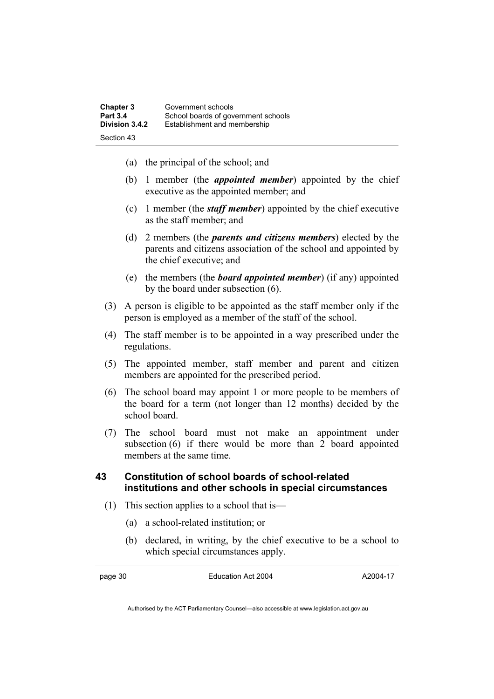| Chapter 3       | Government schools                  |
|-----------------|-------------------------------------|
| <b>Part 3.4</b> | School boards of government schools |
| Division 3.4.2  | Establishment and membership        |
| Section 43      |                                     |

- (a) the principal of the school; and
- (b) 1 member (the *appointed member*) appointed by the chief executive as the appointed member; and
- (c) 1 member (the *staff member*) appointed by the chief executive as the staff member; and
- (d) 2 members (the *parents and citizens members*) elected by the parents and citizens association of the school and appointed by the chief executive; and
- (e) the members (the *board appointed member*) (if any) appointed by the board under subsection (6).
- (3) A person is eligible to be appointed as the staff member only if the person is employed as a member of the staff of the school.
- (4) The staff member is to be appointed in a way prescribed under the regulations.
- (5) The appointed member, staff member and parent and citizen members are appointed for the prescribed period.
- (6) The school board may appoint 1 or more people to be members of the board for a term (not longer than 12 months) decided by the school board.
- (7) The school board must not make an appointment under subsection (6) if there would be more than 2 board appointed members at the same time.

## **43 Constitution of school boards of school-related institutions and other schools in special circumstances**

- (1) This section applies to a school that is—
	- (a) a school-related institution; or
	- (b) declared, in writing, by the chief executive to be a school to which special circumstances apply.

page 30 Education Act 2004

A2004-17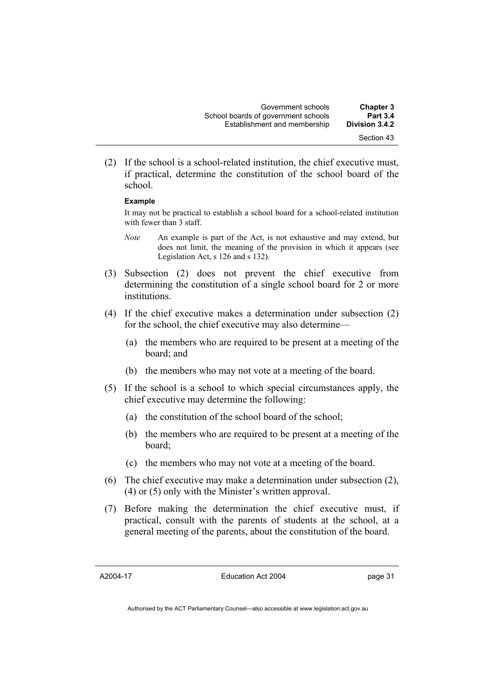(2) If the school is a school-related institution, the chief executive must, if practical, determine the constitution of the school board of the school.

#### **Example**

It may not be practical to establish a school board for a school-related institution with fewer than 3 staff.

- *Note* An example is part of the Act, is not exhaustive and may extend, but does not limit, the meaning of the provision in which it appears (see Legislation Act, s 126 and s 132).
- (3) Subsection (2) does not prevent the chief executive from determining the constitution of a single school board for 2 or more institutions.
- (4) If the chief executive makes a determination under subsection (2) for the school, the chief executive may also determine—
	- (a) the members who are required to be present at a meeting of the board; and
	- (b) the members who may not vote at a meeting of the board.
- (5) If the school is a school to which special circumstances apply, the chief executive may determine the following:
	- (a) the constitution of the school board of the school;
	- (b) the members who are required to be present at a meeting of the board;
	- (c) the members who may not vote at a meeting of the board.
- (6) The chief executive may make a determination under subsection (2), (4) or (5) only with the Minister's written approval.
- (7) Before making the determination the chief executive must, if practical, consult with the parents of students at the school, at a general meeting of the parents, about the constitution of the board.

A2004-17

Education Act 2004

page 31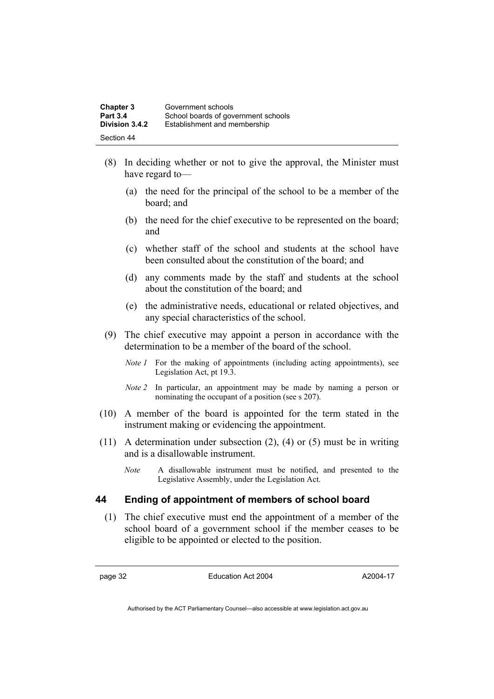| <b>Chapter 3</b> | Government schools                  |
|------------------|-------------------------------------|
| <b>Part 3.4</b>  | School boards of government schools |
| Division 3.4.2   | Establishment and membership        |
| Section 44       |                                     |

- (8) In deciding whether or not to give the approval, the Minister must have regard to—
	- (a) the need for the principal of the school to be a member of the board; and
	- (b) the need for the chief executive to be represented on the board; and
	- (c) whether staff of the school and students at the school have been consulted about the constitution of the board; and
	- (d) any comments made by the staff and students at the school about the constitution of the board; and
	- (e) the administrative needs, educational or related objectives, and any special characteristics of the school.
- (9) The chief executive may appoint a person in accordance with the determination to be a member of the board of the school.
	- *Note 1* For the making of appointments (including acting appointments), see Legislation Act, pt 19.3.
	- *Note 2* In particular, an appointment may be made by naming a person or nominating the occupant of a position (see s 207).
- (10) A member of the board is appointed for the term stated in the instrument making or evidencing the appointment.
- (11) A determination under subsection (2), (4) or (5) must be in writing and is a disallowable instrument.
	- *Note* A disallowable instrument must be notified, and presented to the Legislative Assembly, under the Legislation Act.

#### **44 Ending of appointment of members of school board**

 (1) The chief executive must end the appointment of a member of the school board of a government school if the member ceases to be eligible to be appointed or elected to the position.

page 32 Education Act 2004

A2004-17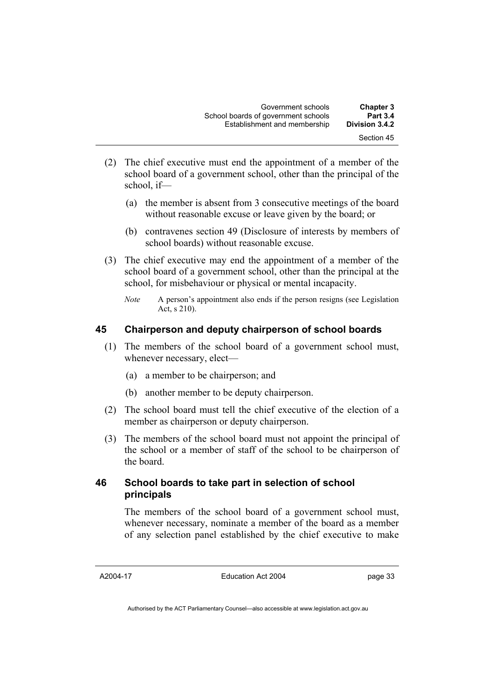- (2) The chief executive must end the appointment of a member of the school board of a government school, other than the principal of the school, if—
	- (a) the member is absent from 3 consecutive meetings of the board without reasonable excuse or leave given by the board; or
	- (b) contravenes section 49 (Disclosure of interests by members of school boards) without reasonable excuse.
- (3) The chief executive may end the appointment of a member of the school board of a government school, other than the principal at the school, for misbehaviour or physical or mental incapacity.
	- *Note* A person's appointment also ends if the person resigns (see Legislation Act, s 210).

## **45 Chairperson and deputy chairperson of school boards**

- (1) The members of the school board of a government school must, whenever necessary, elect—
	- (a) a member to be chairperson; and
	- (b) another member to be deputy chairperson.
- (2) The school board must tell the chief executive of the election of a member as chairperson or deputy chairperson.
- (3) The members of the school board must not appoint the principal of the school or a member of staff of the school to be chairperson of the board.

## **46 School boards to take part in selection of school principals**

The members of the school board of a government school must, whenever necessary, nominate a member of the board as a member of any selection panel established by the chief executive to make

A2004-17

Education Act 2004

page 33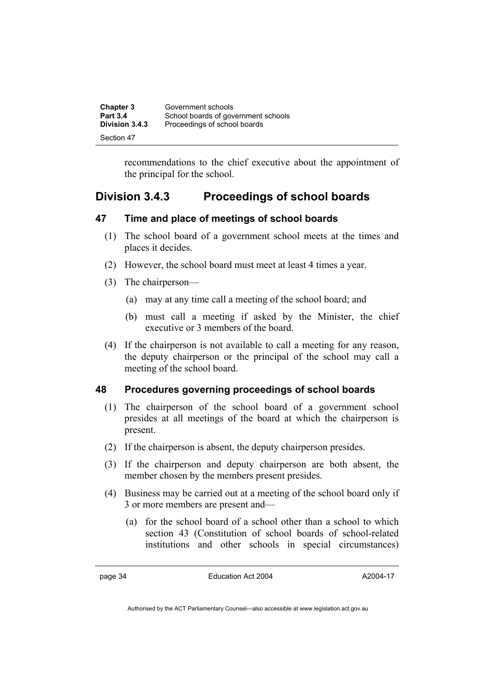| <b>Chapter 3</b> | Government schools                  |
|------------------|-------------------------------------|
| <b>Part 3.4</b>  | School boards of government schools |
| Division 3.4.3   | Proceedings of school boards        |
| Section 47       |                                     |

recommendations to the chief executive about the appointment of the principal for the school.

## **Division 3.4.3 Proceedings of school boards**

## **47 Time and place of meetings of school boards**

- (1) The school board of a government school meets at the times and places it decides.
- (2) However, the school board must meet at least 4 times a year.
- (3) The chairperson—
	- (a) may at any time call a meeting of the school board; and
	- (b) must call a meeting if asked by the Minister, the chief executive or 3 members of the board.
- (4) If the chairperson is not available to call a meeting for any reason, the deputy chairperson or the principal of the school may call a meeting of the school board.

## **48 Procedures governing proceedings of school boards**

- (1) The chairperson of the school board of a government school presides at all meetings of the board at which the chairperson is present.
- (2) If the chairperson is absent, the deputy chairperson presides.
- (3) If the chairperson and deputy chairperson are both absent, the member chosen by the members present presides.
- (4) Business may be carried out at a meeting of the school board only if 3 or more members are present and—
	- (a) for the school board of a school other than a school to which section 43 (Constitution of school boards of school-related institutions and other schools in special circumstances)

page 34 Education Act 2004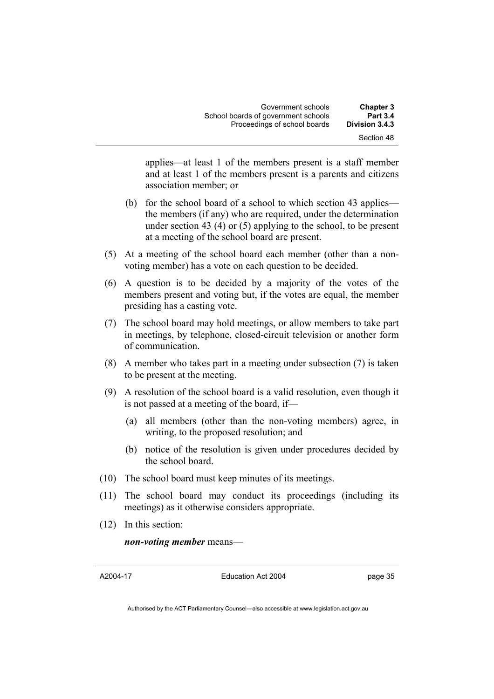applies—at least 1 of the members present is a staff member and at least 1 of the members present is a parents and citizens association member; or

- (b) for the school board of a school to which section 43 applies the members (if any) who are required, under the determination under section 43 (4) or (5) applying to the school, to be present at a meeting of the school board are present.
- (5) At a meeting of the school board each member (other than a nonvoting member) has a vote on each question to be decided.
- (6) A question is to be decided by a majority of the votes of the members present and voting but, if the votes are equal, the member presiding has a casting vote.
- (7) The school board may hold meetings, or allow members to take part in meetings, by telephone, closed-circuit television or another form of communication.
- (8) A member who takes part in a meeting under subsection (7) is taken to be present at the meeting.
- (9) A resolution of the school board is a valid resolution, even though it is not passed at a meeting of the board, if—
	- (a) all members (other than the non-voting members) agree, in writing, to the proposed resolution; and
	- (b) notice of the resolution is given under procedures decided by the school board.
- (10) The school board must keep minutes of its meetings.
- (11) The school board may conduct its proceedings (including its meetings) as it otherwise considers appropriate.
- (12) In this section:

*non-voting member* means—

A2004-17

Education Act 2004

page 35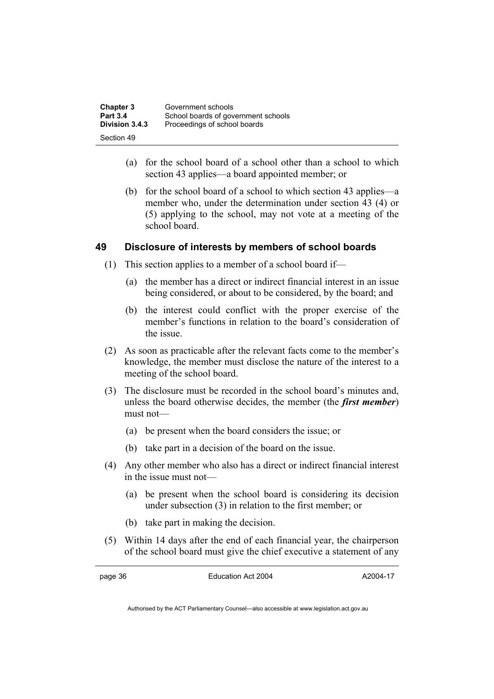| <b>Chapter 3</b> | Government schools                  |
|------------------|-------------------------------------|
| <b>Part 3.4</b>  | School boards of government schools |
| Division 3.4.3   | Proceedings of school boards        |
| Section 49       |                                     |

- (a) for the school board of a school other than a school to which section 43 applies—a board appointed member; or
- (b) for the school board of a school to which section 43 applies—a member who, under the determination under section 43 (4) or (5) applying to the school, may not vote at a meeting of the school board.

## **49 Disclosure of interests by members of school boards**

- (1) This section applies to a member of a school board if—
	- (a) the member has a direct or indirect financial interest in an issue being considered, or about to be considered, by the board; and
	- (b) the interest could conflict with the proper exercise of the member's functions in relation to the board's consideration of the issue.
- (2) As soon as practicable after the relevant facts come to the member's knowledge, the member must disclose the nature of the interest to a meeting of the school board.
- (3) The disclosure must be recorded in the school board's minutes and, unless the board otherwise decides, the member (the *first member*) must not—
	- (a) be present when the board considers the issue; or
	- (b) take part in a decision of the board on the issue.
- (4) Any other member who also has a direct or indirect financial interest in the issue must not—
	- (a) be present when the school board is considering its decision under subsection (3) in relation to the first member; or
	- (b) take part in making the decision.
- (5) Within 14 days after the end of each financial year, the chairperson of the school board must give the chief executive a statement of any

page 36 Education Act 2004

A2004-17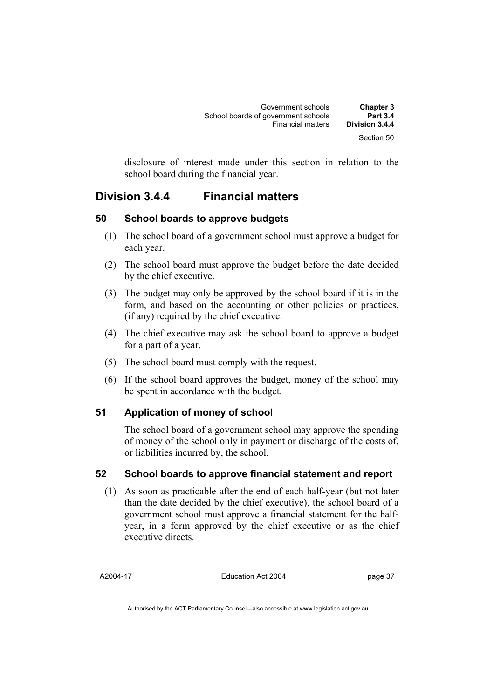| Government schools                  | <b>Chapter 3</b> |
|-------------------------------------|------------------|
| School boards of government schools | <b>Part 3.4</b>  |
| <b>Financial matters</b>            | Division 3.4.4   |
|                                     | Section 50       |

disclosure of interest made under this section in relation to the school board during the financial year.

## **Division 3.4.4 Financial matters**

#### **50 School boards to approve budgets**

- (1) The school board of a government school must approve a budget for each year.
- (2) The school board must approve the budget before the date decided by the chief executive.
- (3) The budget may only be approved by the school board if it is in the form, and based on the accounting or other policies or practices, (if any) required by the chief executive.
- (4) The chief executive may ask the school board to approve a budget for a part of a year.
- (5) The school board must comply with the request.
- (6) If the school board approves the budget, money of the school may be spent in accordance with the budget.

#### **51 Application of money of school**

The school board of a government school may approve the spending of money of the school only in payment or discharge of the costs of, or liabilities incurred by, the school.

## **52 School boards to approve financial statement and report**

 (1) As soon as practicable after the end of each half-year (but not later than the date decided by the chief executive), the school board of a government school must approve a financial statement for the halfyear, in a form approved by the chief executive or as the chief executive directs.

A2004-17

Education Act 2004

page 37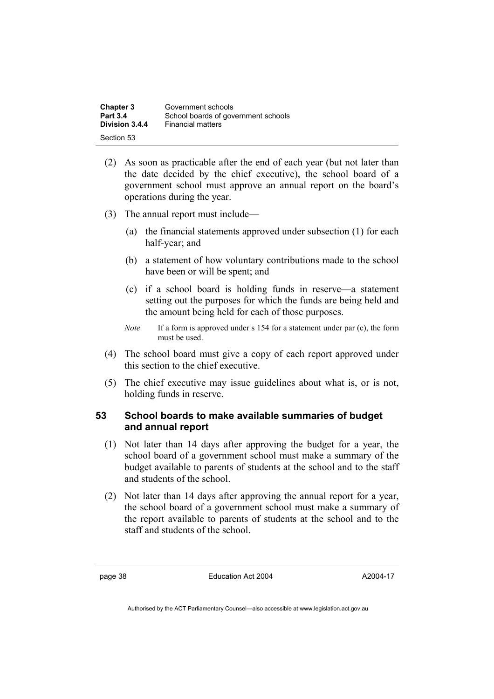| <b>Chapter 3</b> | Government schools                  |
|------------------|-------------------------------------|
| <b>Part 3.4</b>  | School boards of government schools |
| Division 3.4.4   | <b>Financial matters</b>            |
| Section 53       |                                     |

- (2) As soon as practicable after the end of each year (but not later than the date decided by the chief executive), the school board of a government school must approve an annual report on the board's operations during the year.
- (3) The annual report must include—
	- (a) the financial statements approved under subsection (1) for each half-year; and
	- (b) a statement of how voluntary contributions made to the school have been or will be spent; and
	- (c) if a school board is holding funds in reserve—a statement setting out the purposes for which the funds are being held and the amount being held for each of those purposes.
	- *Note* If a form is approved under s 154 for a statement under par (c), the form must be used.
- (4) The school board must give a copy of each report approved under this section to the chief executive.
- (5) The chief executive may issue guidelines about what is, or is not, holding funds in reserve.

### **53 School boards to make available summaries of budget and annual report**

- (1) Not later than 14 days after approving the budget for a year, the school board of a government school must make a summary of the budget available to parents of students at the school and to the staff and students of the school.
- (2) Not later than 14 days after approving the annual report for a year, the school board of a government school must make a summary of the report available to parents of students at the school and to the staff and students of the school.

page 38 Education Act 2004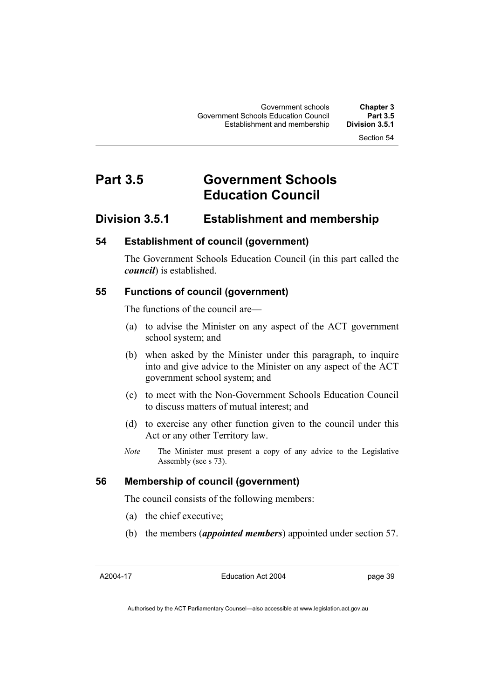## **Part 3.5 Government Schools Education Council**

## **Division 3.5.1 Establishment and membership**

### **54 Establishment of council (government)**

The Government Schools Education Council (in this part called the *council*) is established.

#### **55 Functions of council (government)**

The functions of the council are—

- (a) to advise the Minister on any aspect of the ACT government school system; and
- (b) when asked by the Minister under this paragraph, to inquire into and give advice to the Minister on any aspect of the ACT government school system; and
- (c) to meet with the Non-Government Schools Education Council to discuss matters of mutual interest; and
- (d) to exercise any other function given to the council under this Act or any other Territory law.
- *Note* The Minister must present a copy of any advice to the Legislative Assembly (see s 73).

#### **56 Membership of council (government)**

The council consists of the following members:

- (a) the chief executive;
- (b) the members (*appointed members*) appointed under section 57.

A2004-17

Education Act 2004

page 39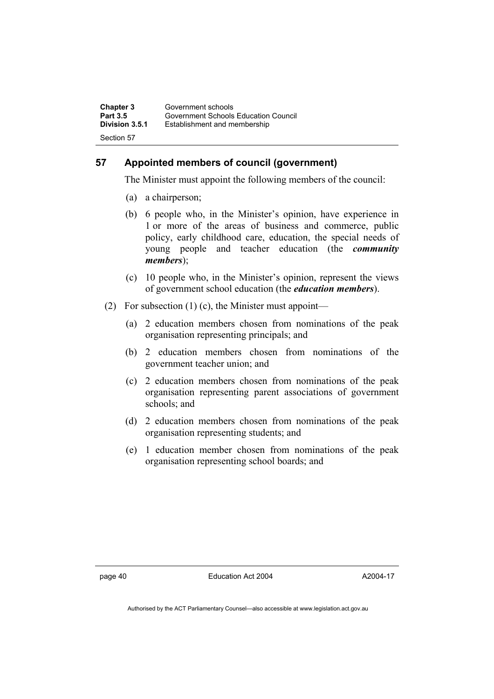| Chapter 3       | Government schools                   |
|-----------------|--------------------------------------|
| <b>Part 3.5</b> | Government Schools Education Council |
| Division 3.5.1  | Establishment and membership         |
| Section 57      |                                      |

## **57 Appointed members of council (government)**

The Minister must appoint the following members of the council:

- (a) a chairperson;
- (b) 6 people who, in the Minister's opinion, have experience in 1 or more of the areas of business and commerce, public policy, early childhood care, education, the special needs of young people and teacher education (the *community members*);
- (c) 10 people who, in the Minister's opinion, represent the views of government school education (the *education members*).
- (2) For subsection  $(1)$  (c), the Minister must appoint—
	- (a) 2 education members chosen from nominations of the peak organisation representing principals; and
	- (b) 2 education members chosen from nominations of the government teacher union; and
	- (c) 2 education members chosen from nominations of the peak organisation representing parent associations of government schools; and
	- (d) 2 education members chosen from nominations of the peak organisation representing students; and
	- (e) 1 education member chosen from nominations of the peak organisation representing school boards; and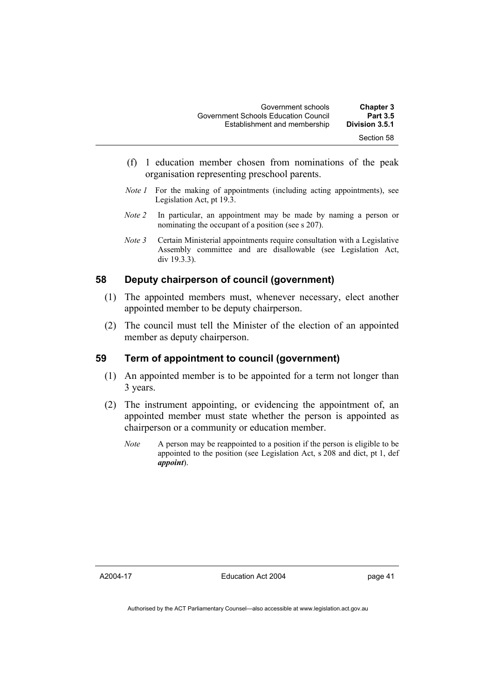- (f) 1 education member chosen from nominations of the peak organisation representing preschool parents.
- *Note 1* For the making of appointments (including acting appointments), see Legislation Act, pt 19.3.
- *Note 2* In particular, an appointment may be made by naming a person or nominating the occupant of a position (see s 207).
- *Note 3* Certain Ministerial appointments require consultation with a Legislative Assembly committee and are disallowable (see Legislation Act, div 19.3.3).

## **58 Deputy chairperson of council (government)**

- (1) The appointed members must, whenever necessary, elect another appointed member to be deputy chairperson.
- (2) The council must tell the Minister of the election of an appointed member as deputy chairperson.

#### **59 Term of appointment to council (government)**

- (1) An appointed member is to be appointed for a term not longer than 3 years.
- (2) The instrument appointing, or evidencing the appointment of, an appointed member must state whether the person is appointed as chairperson or a community or education member.
	- *Note* A person may be reappointed to a position if the person is eligible to be appointed to the position (see Legislation Act, s 208 and dict, pt 1, def *appoint*).

A2004-17

Education Act 2004

page 41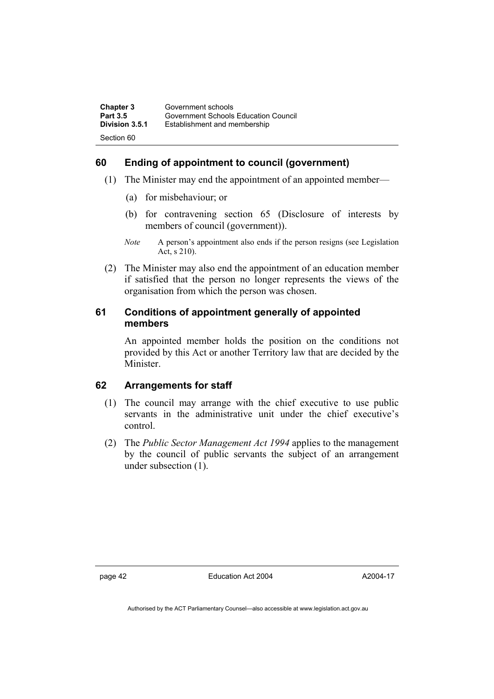| Chapter 3       | Government schools                   |
|-----------------|--------------------------------------|
| <b>Part 3.5</b> | Government Schools Education Council |
| Division 3.5.1  | Establishment and membership         |
| Section 60      |                                      |

## **60 Ending of appointment to council (government)**

- (1) The Minister may end the appointment of an appointed member—
	- (a) for misbehaviour; or
	- (b) for contravening section 65 (Disclosure of interests by members of council (government)).
	- *Note* A person's appointment also ends if the person resigns (see Legislation Act, s 210).
- (2) The Minister may also end the appointment of an education member if satisfied that the person no longer represents the views of the organisation from which the person was chosen.

## **61 Conditions of appointment generally of appointed members**

An appointed member holds the position on the conditions not provided by this Act or another Territory law that are decided by the Minister.

## **62 Arrangements for staff**

- (1) The council may arrange with the chief executive to use public servants in the administrative unit under the chief executive's control.
- (2) The *Public Sector Management Act 1994* applies to the management by the council of public servants the subject of an arrangement under subsection (1).

page 42 Education Act 2004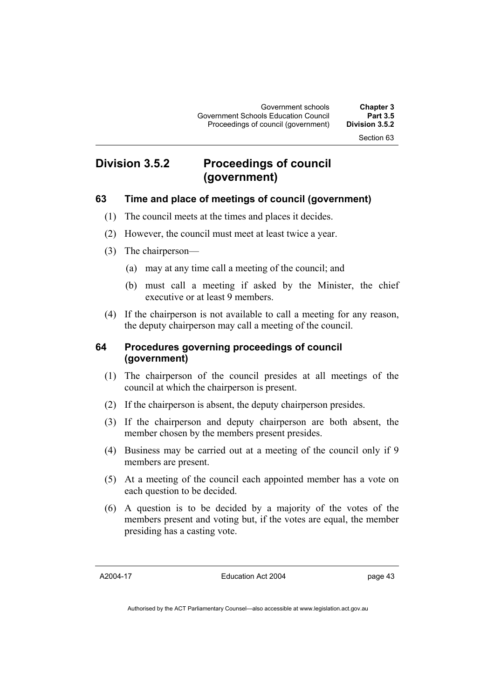## **Division 3.5.2 Proceedings of council (government)**

## **63 Time and place of meetings of council (government)**

- (1) The council meets at the times and places it decides.
- (2) However, the council must meet at least twice a year.
- (3) The chairperson—
	- (a) may at any time call a meeting of the council; and
	- (b) must call a meeting if asked by the Minister, the chief executive or at least 9 members.
- (4) If the chairperson is not available to call a meeting for any reason, the deputy chairperson may call a meeting of the council.

## **64 Procedures governing proceedings of council (government)**

- (1) The chairperson of the council presides at all meetings of the council at which the chairperson is present.
- (2) If the chairperson is absent, the deputy chairperson presides.
- (3) If the chairperson and deputy chairperson are both absent, the member chosen by the members present presides.
- (4) Business may be carried out at a meeting of the council only if 9 members are present.
- (5) At a meeting of the council each appointed member has a vote on each question to be decided.
- (6) A question is to be decided by a majority of the votes of the members present and voting but, if the votes are equal, the member presiding has a casting vote.

A2004-17

Education Act 2004

page 43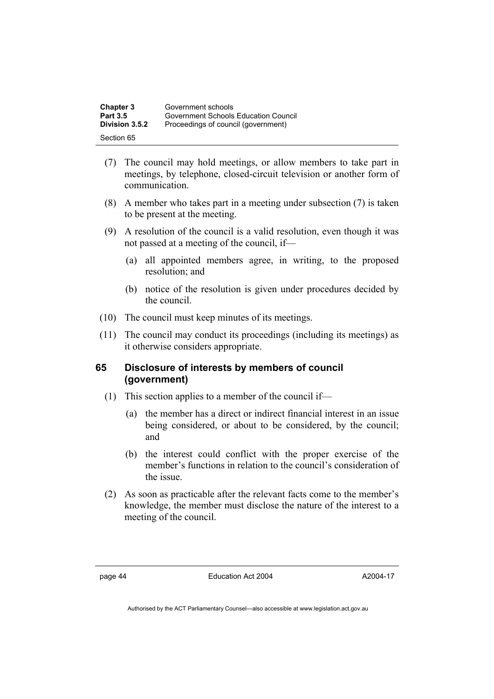| <b>Chapter 3</b> | Government schools                   |
|------------------|--------------------------------------|
| Part 3.5         | Government Schools Education Council |
| Division 3.5.2   | Proceedings of council (government)  |
| Section 65       |                                      |

- (7) The council may hold meetings, or allow members to take part in meetings, by telephone, closed-circuit television or another form of communication.
- (8) A member who takes part in a meeting under subsection (7) is taken to be present at the meeting.
- (9) A resolution of the council is a valid resolution, even though it was not passed at a meeting of the council, if—
	- (a) all appointed members agree, in writing, to the proposed resolution; and
	- (b) notice of the resolution is given under procedures decided by the council.
- (10) The council must keep minutes of its meetings.
- (11) The council may conduct its proceedings (including its meetings) as it otherwise considers appropriate.

## **65 Disclosure of interests by members of council (government)**

- (1) This section applies to a member of the council if—
	- (a) the member has a direct or indirect financial interest in an issue being considered, or about to be considered, by the council; and
	- (b) the interest could conflict with the proper exercise of the member's functions in relation to the council's consideration of the issue.
- (2) As soon as practicable after the relevant facts come to the member's knowledge, the member must disclose the nature of the interest to a meeting of the council.

page 44 Education Act 2004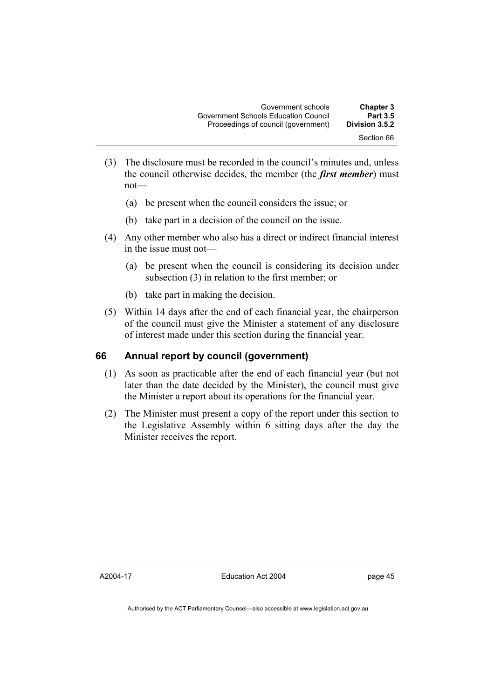- (3) The disclosure must be recorded in the council's minutes and, unless the council otherwise decides, the member (the *first member*) must not—
	- (a) be present when the council considers the issue; or
	- (b) take part in a decision of the council on the issue.
- (4) Any other member who also has a direct or indirect financial interest in the issue must not—
	- (a) be present when the council is considering its decision under subsection (3) in relation to the first member; or
	- (b) take part in making the decision.
- (5) Within 14 days after the end of each financial year, the chairperson of the council must give the Minister a statement of any disclosure of interest made under this section during the financial year.

#### **66 Annual report by council (government)**

- (1) As soon as practicable after the end of each financial year (but not later than the date decided by the Minister), the council must give the Minister a report about its operations for the financial year.
- (2) The Minister must present a copy of the report under this section to the Legislative Assembly within 6 sitting days after the day the Minister receives the report.

A2004-17

Education Act 2004

page 45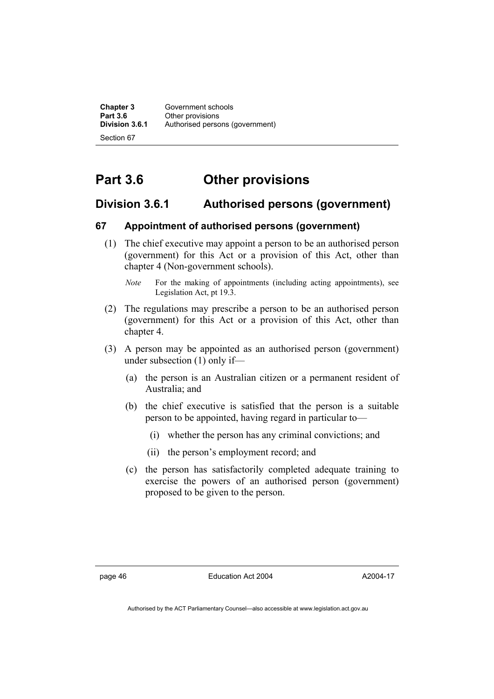**Chapter 3** Government schools<br>**Part 3.6** Other provisions **Part 3.6 Other provisions**<br>**Division 3.6.1** Authorised perso Authorised persons (government) Section 67

**Part 3.6 Other provisions** 

## **Division 3.6.1 Authorised persons (government)**

## **67 Appointment of authorised persons (government)**

- (1) The chief executive may appoint a person to be an authorised person (government) for this Act or a provision of this Act, other than chapter 4 (Non-government schools).
	- *Note* For the making of appointments (including acting appointments), see Legislation Act, pt 19.3.
- (2) The regulations may prescribe a person to be an authorised person (government) for this Act or a provision of this Act, other than chapter 4.
- (3) A person may be appointed as an authorised person (government) under subsection (1) only if—
	- (a) the person is an Australian citizen or a permanent resident of Australia; and
	- (b) the chief executive is satisfied that the person is a suitable person to be appointed, having regard in particular to—
		- (i) whether the person has any criminal convictions; and
		- (ii) the person's employment record; and
	- (c) the person has satisfactorily completed adequate training to exercise the powers of an authorised person (government) proposed to be given to the person.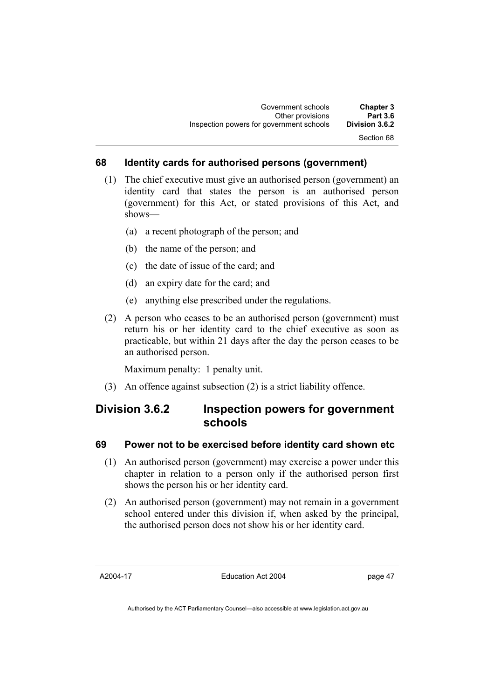#### **68 Identity cards for authorised persons (government)**

- (1) The chief executive must give an authorised person (government) an identity card that states the person is an authorised person (government) for this Act, or stated provisions of this Act, and shows—
	- (a) a recent photograph of the person; and
	- (b) the name of the person; and
	- (c) the date of issue of the card; and
	- (d) an expiry date for the card; and
	- (e) anything else prescribed under the regulations.
- (2) A person who ceases to be an authorised person (government) must return his or her identity card to the chief executive as soon as practicable, but within 21 days after the day the person ceases to be an authorised person.

Maximum penalty: 1 penalty unit.

(3) An offence against subsection (2) is a strict liability offence.

## **Division 3.6.2 Inspection powers for government schools**

#### **69 Power not to be exercised before identity card shown etc**

- (1) An authorised person (government) may exercise a power under this chapter in relation to a person only if the authorised person first shows the person his or her identity card.
- (2) An authorised person (government) may not remain in a government school entered under this division if, when asked by the principal, the authorised person does not show his or her identity card.

A2004-17

Education Act 2004

page 47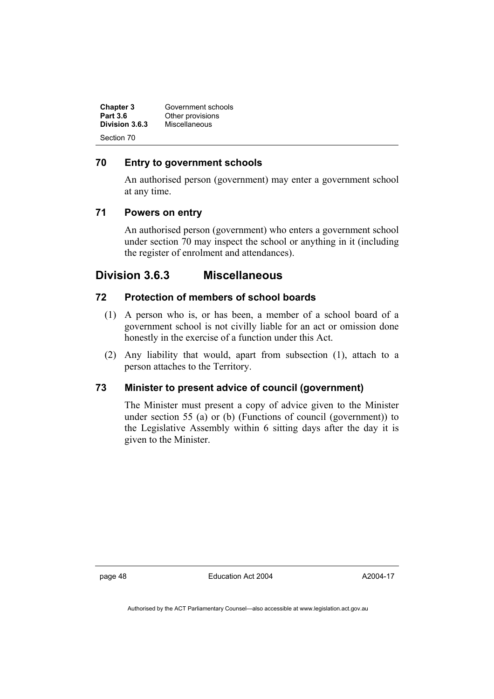| <b>Chapter 3</b><br><b>Part 3.6</b> | Government schools<br>Other provisions |  |
|-------------------------------------|----------------------------------------|--|
| Division 3.6.3                      | Miscellaneous                          |  |
| Section 70                          |                                        |  |

## **70 Entry to government schools**

An authorised person (government) may enter a government school at any time.

## **71 Powers on entry**

An authorised person (government) who enters a government school under section 70 may inspect the school or anything in it (including the register of enrolment and attendances).

## **Division 3.6.3 Miscellaneous**

## **72 Protection of members of school boards**

- (1) A person who is, or has been, a member of a school board of a government school is not civilly liable for an act or omission done honestly in the exercise of a function under this Act.
- (2) Any liability that would, apart from subsection (1), attach to a person attaches to the Territory.

## **73 Minister to present advice of council (government)**

The Minister must present a copy of advice given to the Minister under section 55 (a) or (b) (Functions of council (government)) to the Legislative Assembly within 6 sitting days after the day it is given to the Minister.

page 48 Education Act 2004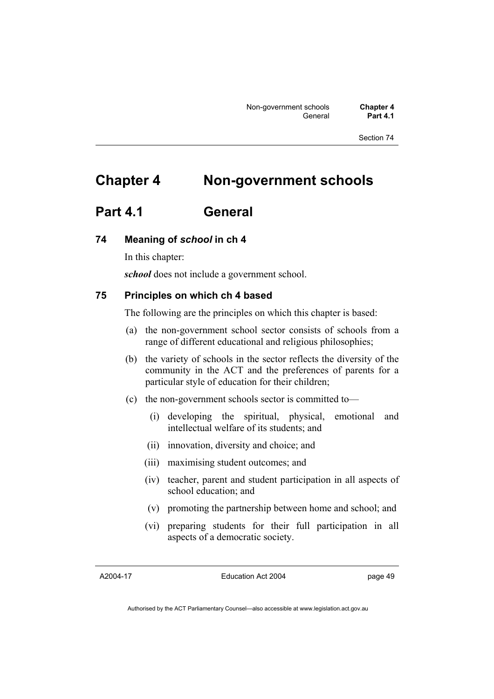# **Chapter 4 Non-government schools**

## **Part 4.1 General**

## **74 Meaning of** *school* **in ch 4**

In this chapter:

*school* does not include a government school.

## **75 Principles on which ch 4 based**

The following are the principles on which this chapter is based:

- (a) the non-government school sector consists of schools from a range of different educational and religious philosophies;
- (b) the variety of schools in the sector reflects the diversity of the community in the ACT and the preferences of parents for a particular style of education for their children;
- (c) the non-government schools sector is committed to—
	- (i) developing the spiritual, physical, emotional and intellectual welfare of its students; and
	- (ii) innovation, diversity and choice; and
	- (iii) maximising student outcomes; and
	- (iv) teacher, parent and student participation in all aspects of school education; and
	- (v) promoting the partnership between home and school; and
	- (vi) preparing students for their full participation in all aspects of a democratic society.

A2004-17

Education Act 2004

page 49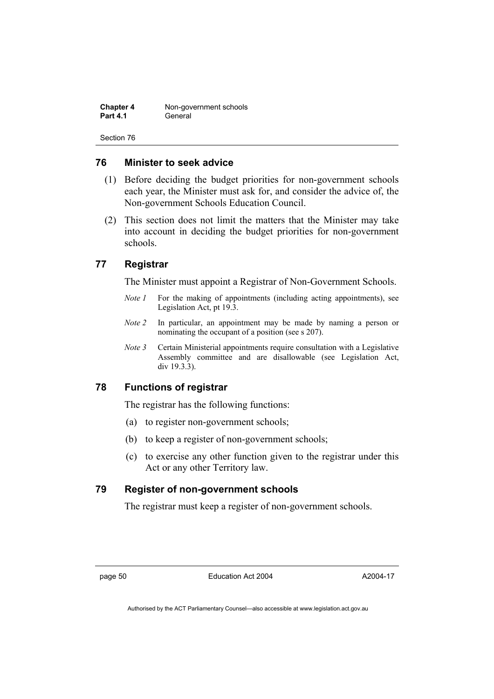**Chapter 4** Non-government schools **Part 4.1** General

Section 76

#### **76 Minister to seek advice**

- (1) Before deciding the budget priorities for non-government schools each year, the Minister must ask for, and consider the advice of, the Non-government Schools Education Council.
- (2) This section does not limit the matters that the Minister may take into account in deciding the budget priorities for non-government schools.

## **77 Registrar**

The Minister must appoint a Registrar of Non-Government Schools.

- *Note 1* For the making of appointments (including acting appointments), see Legislation Act, pt 19.3.
- *Note 2* In particular, an appointment may be made by naming a person or nominating the occupant of a position (see s 207).
- *Note 3* Certain Ministerial appointments require consultation with a Legislative Assembly committee and are disallowable (see Legislation Act, div 19.3.3).

#### **78 Functions of registrar**

The registrar has the following functions:

- (a) to register non-government schools;
- (b) to keep a register of non-government schools;
- (c) to exercise any other function given to the registrar under this Act or any other Territory law.

## **79 Register of non-government schools**

The registrar must keep a register of non-government schools.

page 50 Education Act 2004

A2004-17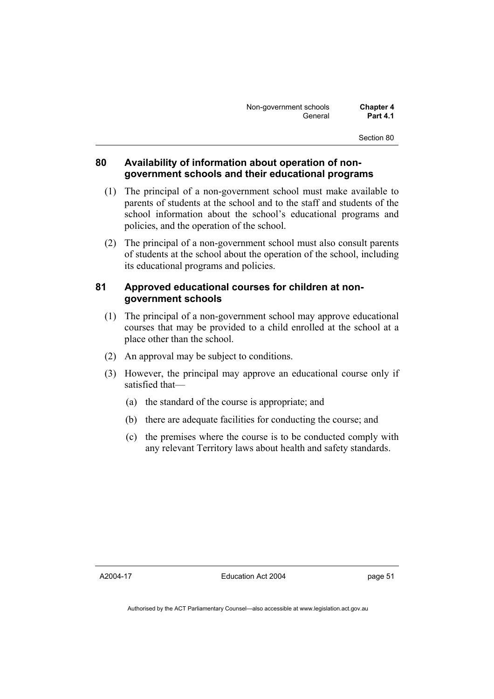| Non-government schools | <b>Chapter 4</b> |
|------------------------|------------------|
| General                | <b>Part 4.1</b>  |

### **80 Availability of information about operation of nongovernment schools and their educational programs**

- (1) The principal of a non-government school must make available to parents of students at the school and to the staff and students of the school information about the school's educational programs and policies, and the operation of the school.
- (2) The principal of a non-government school must also consult parents of students at the school about the operation of the school, including its educational programs and policies.

### **81 Approved educational courses for children at nongovernment schools**

- (1) The principal of a non-government school may approve educational courses that may be provided to a child enrolled at the school at a place other than the school.
- (2) An approval may be subject to conditions.
- (3) However, the principal may approve an educational course only if satisfied that—
	- (a) the standard of the course is appropriate; and
	- (b) there are adequate facilities for conducting the course; and
	- (c) the premises where the course is to be conducted comply with any relevant Territory laws about health and safety standards.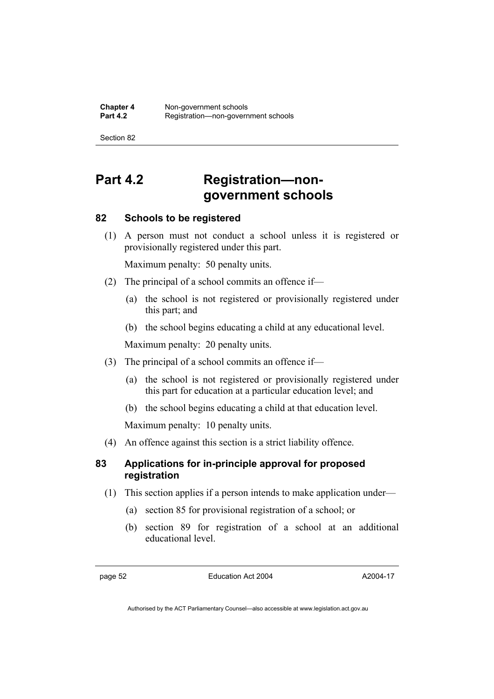# **Part 4.2 Registration—nongovernment schools**

## **82 Schools to be registered**

 (1) A person must not conduct a school unless it is registered or provisionally registered under this part.

Maximum penalty: 50 penalty units.

- (2) The principal of a school commits an offence if—
	- (a) the school is not registered or provisionally registered under this part; and
	- (b) the school begins educating a child at any educational level.

Maximum penalty: 20 penalty units.

- (3) The principal of a school commits an offence if—
	- (a) the school is not registered or provisionally registered under this part for education at a particular education level; and
	- (b) the school begins educating a child at that education level.

Maximum penalty: 10 penalty units.

(4) An offence against this section is a strict liability offence.

## **83 Applications for in-principle approval for proposed registration**

- (1) This section applies if a person intends to make application under—
	- (a) section 85 for provisional registration of a school; or
	- (b) section 89 for registration of a school at an additional educational level.

page 52 Education Act 2004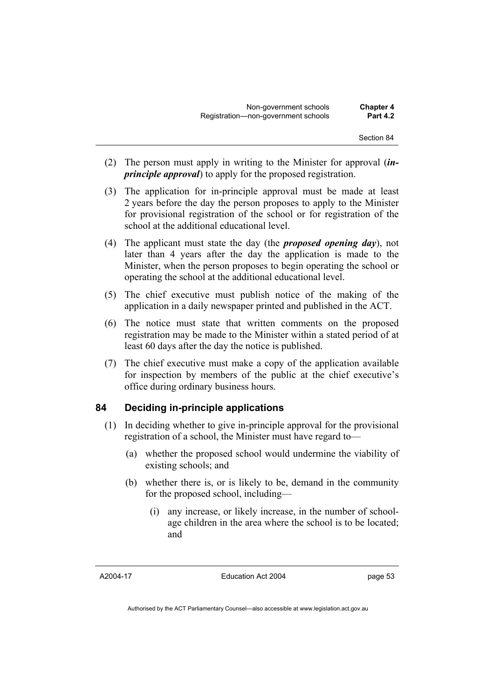- (2) The person must apply in writing to the Minister for approval (*inprinciple approval*) to apply for the proposed registration.
- (3) The application for in-principle approval must be made at least 2 years before the day the person proposes to apply to the Minister for provisional registration of the school or for registration of the school at the additional educational level.
- (4) The applicant must state the day (the *proposed opening day*), not later than 4 years after the day the application is made to the Minister, when the person proposes to begin operating the school or operating the school at the additional educational level.
- (5) The chief executive must publish notice of the making of the application in a daily newspaper printed and published in the ACT.
- (6) The notice must state that written comments on the proposed registration may be made to the Minister within a stated period of at least 60 days after the day the notice is published.
- (7) The chief executive must make a copy of the application available for inspection by members of the public at the chief executive's office during ordinary business hours.

## **84 Deciding in-principle applications**

- (1) In deciding whether to give in-principle approval for the provisional registration of a school, the Minister must have regard to—
	- (a) whether the proposed school would undermine the viability of existing schools; and
	- (b) whether there is, or is likely to be, demand in the community for the proposed school, including—
		- (i) any increase, or likely increase, in the number of schoolage children in the area where the school is to be located; and

A2004-17

Education Act 2004

page 53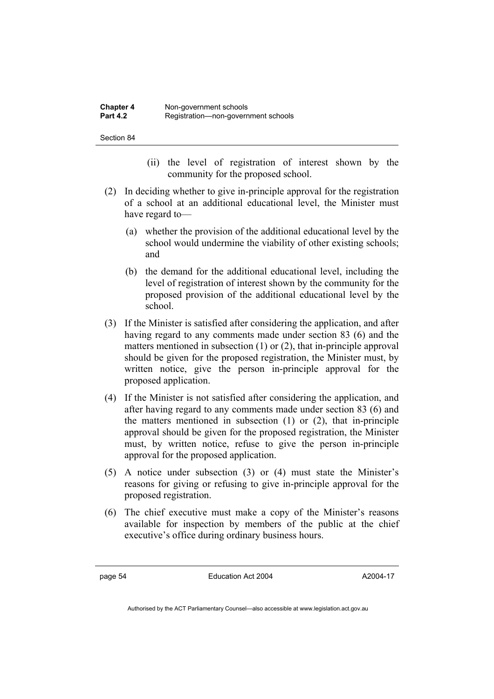- (ii) the level of registration of interest shown by the community for the proposed school.
- (2) In deciding whether to give in-principle approval for the registration of a school at an additional educational level, the Minister must have regard to—
	- (a) whether the provision of the additional educational level by the school would undermine the viability of other existing schools; and
	- (b) the demand for the additional educational level, including the level of registration of interest shown by the community for the proposed provision of the additional educational level by the school.
- (3) If the Minister is satisfied after considering the application, and after having regard to any comments made under section 83 (6) and the matters mentioned in subsection (1) or (2), that in-principle approval should be given for the proposed registration, the Minister must, by written notice, give the person in-principle approval for the proposed application.
- (4) If the Minister is not satisfied after considering the application, and after having regard to any comments made under section 83 (6) and the matters mentioned in subsection (1) or (2), that in-principle approval should be given for the proposed registration, the Minister must, by written notice, refuse to give the person in-principle approval for the proposed application.
- (5) A notice under subsection (3) or (4) must state the Minister's reasons for giving or refusing to give in-principle approval for the proposed registration.
- (6) The chief executive must make a copy of the Minister's reasons available for inspection by members of the public at the chief executive's office during ordinary business hours.

page 54 Education Act 2004

A2004-17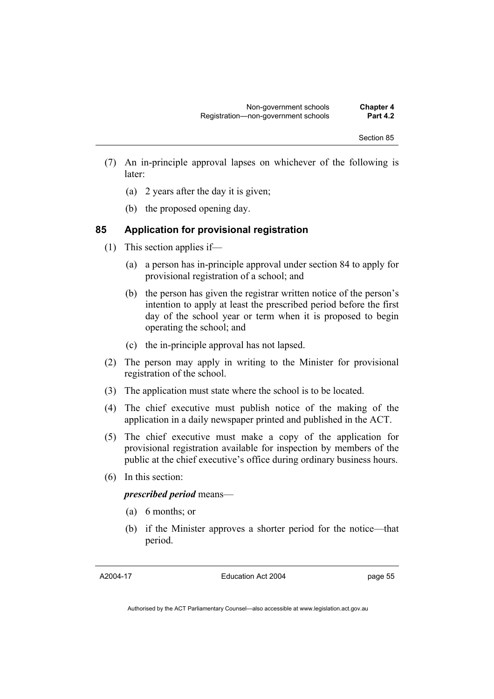- (7) An in-principle approval lapses on whichever of the following is later:
	- (a) 2 years after the day it is given;
	- (b) the proposed opening day.

### **85 Application for provisional registration**

- (1) This section applies if—
	- (a) a person has in-principle approval under section 84 to apply for provisional registration of a school; and
	- (b) the person has given the registrar written notice of the person's intention to apply at least the prescribed period before the first day of the school year or term when it is proposed to begin operating the school; and
	- (c) the in-principle approval has not lapsed.
- (2) The person may apply in writing to the Minister for provisional registration of the school.
- (3) The application must state where the school is to be located.
- (4) The chief executive must publish notice of the making of the application in a daily newspaper printed and published in the ACT.
- (5) The chief executive must make a copy of the application for provisional registration available for inspection by members of the public at the chief executive's office during ordinary business hours.
- (6) In this section:

*prescribed period* means—

- (a) 6 months; or
- (b) if the Minister approves a shorter period for the notice—that period.

A2004-17

Education Act 2004

page 55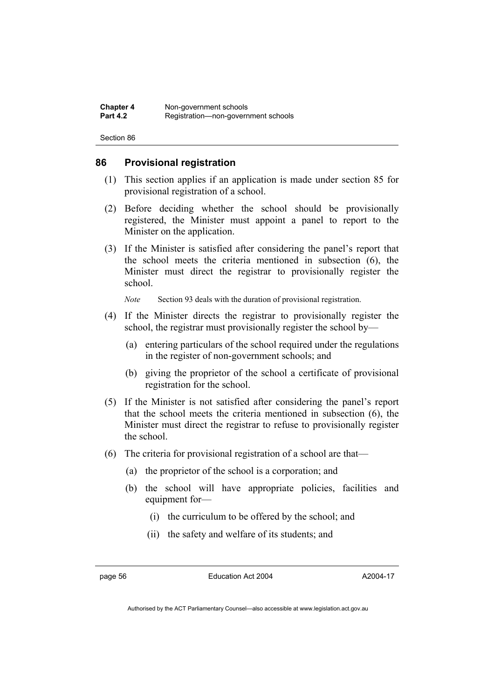#### **86 Provisional registration**

- (1) This section applies if an application is made under section 85 for provisional registration of a school.
- (2) Before deciding whether the school should be provisionally registered, the Minister must appoint a panel to report to the Minister on the application.
- (3) If the Minister is satisfied after considering the panel's report that the school meets the criteria mentioned in subsection (6), the Minister must direct the registrar to provisionally register the school.

*Note* Section 93 deals with the duration of provisional registration.

- (4) If the Minister directs the registrar to provisionally register the school, the registrar must provisionally register the school by—
	- (a) entering particulars of the school required under the regulations in the register of non-government schools; and
	- (b) giving the proprietor of the school a certificate of provisional registration for the school.
- (5) If the Minister is not satisfied after considering the panel's report that the school meets the criteria mentioned in subsection (6), the Minister must direct the registrar to refuse to provisionally register the school.
- (6) The criteria for provisional registration of a school are that—
	- (a) the proprietor of the school is a corporation; and
	- (b) the school will have appropriate policies, facilities and equipment for—
		- (i) the curriculum to be offered by the school; and
		- (ii) the safety and welfare of its students; and

page 56 Education Act 2004

A2004-17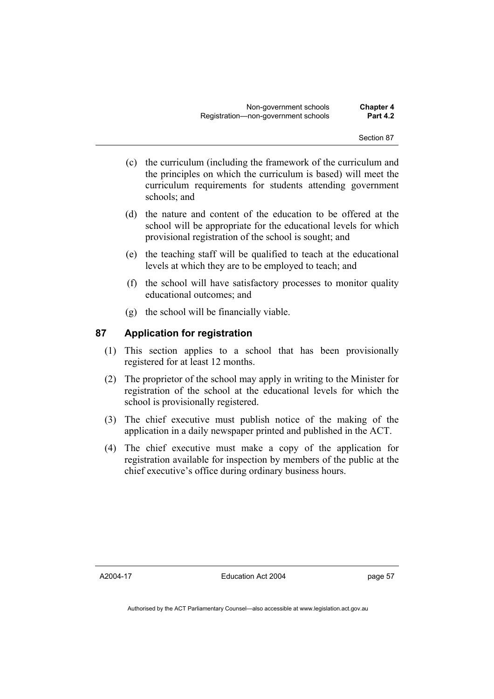- (c) the curriculum (including the framework of the curriculum and the principles on which the curriculum is based) will meet the curriculum requirements for students attending government schools; and
- (d) the nature and content of the education to be offered at the school will be appropriate for the educational levels for which provisional registration of the school is sought; and
- (e) the teaching staff will be qualified to teach at the educational levels at which they are to be employed to teach; and
- (f) the school will have satisfactory processes to monitor quality educational outcomes; and
- (g) the school will be financially viable.

## **87 Application for registration**

- (1) This section applies to a school that has been provisionally registered for at least 12 months.
- (2) The proprietor of the school may apply in writing to the Minister for registration of the school at the educational levels for which the school is provisionally registered.
- (3) The chief executive must publish notice of the making of the application in a daily newspaper printed and published in the ACT.
- (4) The chief executive must make a copy of the application for registration available for inspection by members of the public at the chief executive's office during ordinary business hours.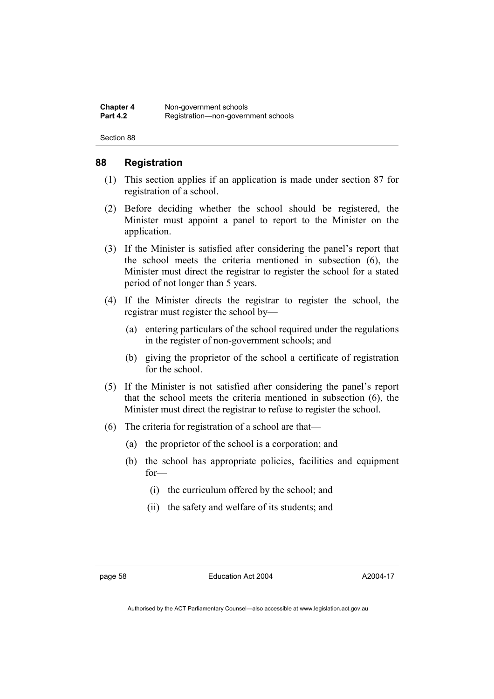### **88 Registration**

- (1) This section applies if an application is made under section 87 for registration of a school.
- (2) Before deciding whether the school should be registered, the Minister must appoint a panel to report to the Minister on the application.
- (3) If the Minister is satisfied after considering the panel's report that the school meets the criteria mentioned in subsection (6), the Minister must direct the registrar to register the school for a stated period of not longer than 5 years.
- (4) If the Minister directs the registrar to register the school, the registrar must register the school by—
	- (a) entering particulars of the school required under the regulations in the register of non-government schools; and
	- (b) giving the proprietor of the school a certificate of registration for the school.
- (5) If the Minister is not satisfied after considering the panel's report that the school meets the criteria mentioned in subsection (6), the Minister must direct the registrar to refuse to register the school.
- (6) The criteria for registration of a school are that—
	- (a) the proprietor of the school is a corporation; and
	- (b) the school has appropriate policies, facilities and equipment for—
		- (i) the curriculum offered by the school; and
		- (ii) the safety and welfare of its students; and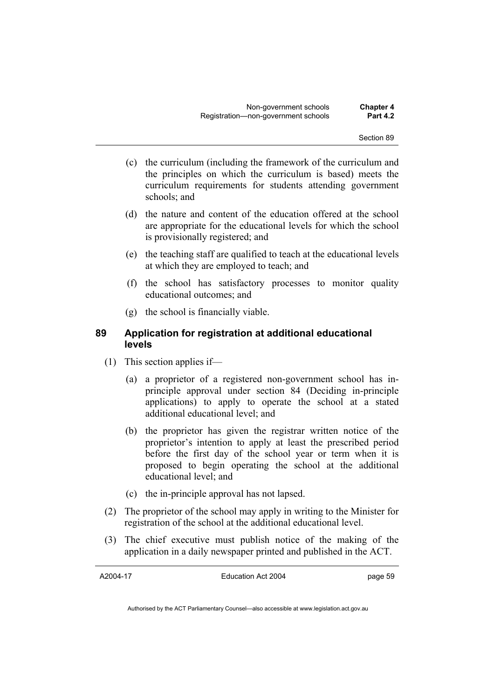- (c) the curriculum (including the framework of the curriculum and the principles on which the curriculum is based) meets the curriculum requirements for students attending government schools; and
- (d) the nature and content of the education offered at the school are appropriate for the educational levels for which the school is provisionally registered; and
- (e) the teaching staff are qualified to teach at the educational levels at which they are employed to teach; and
- (f) the school has satisfactory processes to monitor quality educational outcomes; and
- (g) the school is financially viable.

## **89 Application for registration at additional educational levels**

- (1) This section applies if—
	- (a) a proprietor of a registered non-government school has inprinciple approval under section 84 (Deciding in-principle applications) to apply to operate the school at a stated additional educational level; and
	- (b) the proprietor has given the registrar written notice of the proprietor's intention to apply at least the prescribed period before the first day of the school year or term when it is proposed to begin operating the school at the additional educational level; and
	- (c) the in-principle approval has not lapsed.
- (2) The proprietor of the school may apply in writing to the Minister for registration of the school at the additional educational level.
- (3) The chief executive must publish notice of the making of the application in a daily newspaper printed and published in the ACT.

A2004-17

Education Act 2004

page 59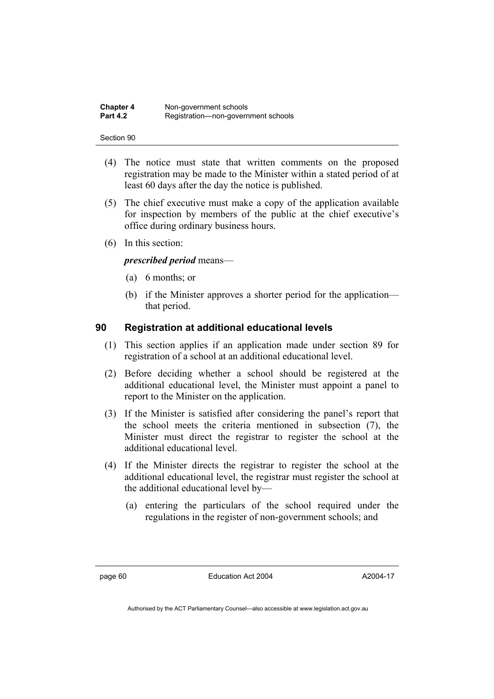| <b>Chapter 4</b> | Non-government schools              |
|------------------|-------------------------------------|
| <b>Part 4.2</b>  | Registration-non-government schools |

- (4) The notice must state that written comments on the proposed registration may be made to the Minister within a stated period of at least 60 days after the day the notice is published.
- (5) The chief executive must make a copy of the application available for inspection by members of the public at the chief executive's office during ordinary business hours.
- (6) In this section:

#### *prescribed period* means—

- (a) 6 months; or
- (b) if the Minister approves a shorter period for the application that period.

#### **90 Registration at additional educational levels**

- (1) This section applies if an application made under section 89 for registration of a school at an additional educational level.
- (2) Before deciding whether a school should be registered at the additional educational level, the Minister must appoint a panel to report to the Minister on the application.
- (3) If the Minister is satisfied after considering the panel's report that the school meets the criteria mentioned in subsection (7), the Minister must direct the registrar to register the school at the additional educational level.
- (4) If the Minister directs the registrar to register the school at the additional educational level, the registrar must register the school at the additional educational level by—
	- (a) entering the particulars of the school required under the regulations in the register of non-government schools; and

page 60 Education Act 2004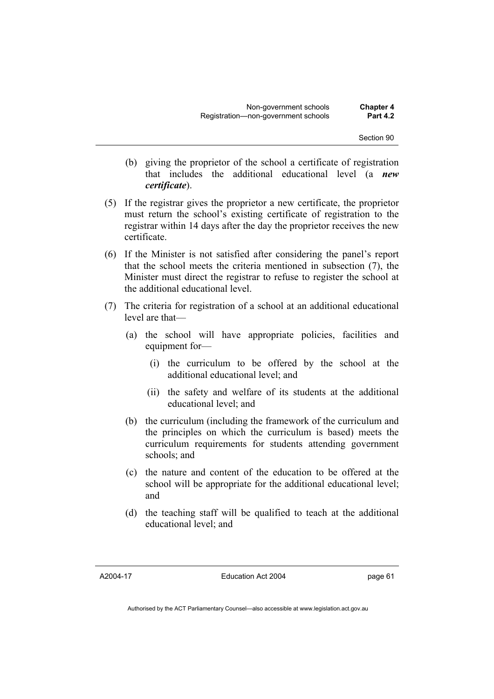- (b) giving the proprietor of the school a certificate of registration that includes the additional educational level (a *new certificate*).
- (5) If the registrar gives the proprietor a new certificate, the proprietor must return the school's existing certificate of registration to the registrar within 14 days after the day the proprietor receives the new certificate.
- (6) If the Minister is not satisfied after considering the panel's report that the school meets the criteria mentioned in subsection (7), the Minister must direct the registrar to refuse to register the school at the additional educational level.
- (7) The criteria for registration of a school at an additional educational level are that—
	- (a) the school will have appropriate policies, facilities and equipment for-
		- (i) the curriculum to be offered by the school at the additional educational level; and
		- (ii) the safety and welfare of its students at the additional educational level; and
	- (b) the curriculum (including the framework of the curriculum and the principles on which the curriculum is based) meets the curriculum requirements for students attending government schools; and
	- (c) the nature and content of the education to be offered at the school will be appropriate for the additional educational level; and
	- (d) the teaching staff will be qualified to teach at the additional educational level; and

A2004-17

Education Act 2004

page 61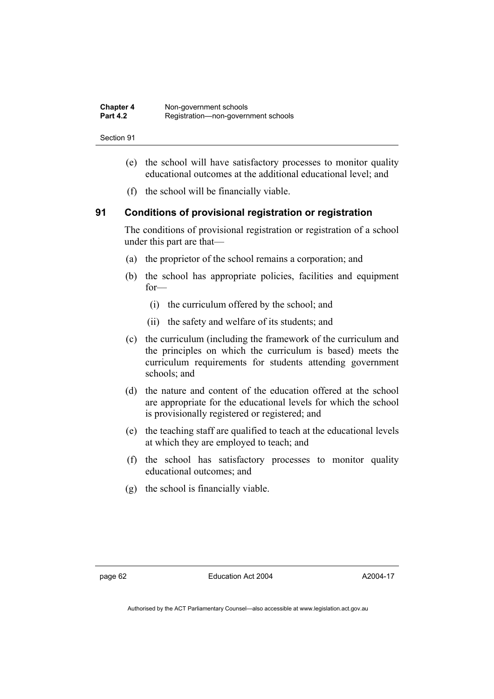| <b>Chapter 4</b> | Non-government schools              |
|------------------|-------------------------------------|
| <b>Part 4.2</b>  | Registration-non-government schools |

- (e) the school will have satisfactory processes to monitor quality educational outcomes at the additional educational level; and
- (f) the school will be financially viable.

## **91 Conditions of provisional registration or registration**

The conditions of provisional registration or registration of a school under this part are that—

- (a) the proprietor of the school remains a corporation; and
- (b) the school has appropriate policies, facilities and equipment for—
	- (i) the curriculum offered by the school; and
	- (ii) the safety and welfare of its students; and
- (c) the curriculum (including the framework of the curriculum and the principles on which the curriculum is based) meets the curriculum requirements for students attending government schools; and
- (d) the nature and content of the education offered at the school are appropriate for the educational levels for which the school is provisionally registered or registered; and
- (e) the teaching staff are qualified to teach at the educational levels at which they are employed to teach; and
- (f) the school has satisfactory processes to monitor quality educational outcomes; and
- (g) the school is financially viable.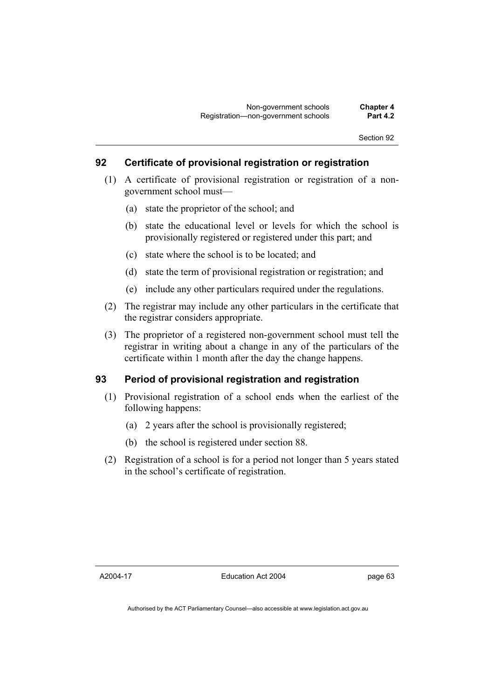### **92 Certificate of provisional registration or registration**

- (1) A certificate of provisional registration or registration of a nongovernment school must—
	- (a) state the proprietor of the school; and
	- (b) state the educational level or levels for which the school is provisionally registered or registered under this part; and
	- (c) state where the school is to be located; and
	- (d) state the term of provisional registration or registration; and
	- (e) include any other particulars required under the regulations.
- (2) The registrar may include any other particulars in the certificate that the registrar considers appropriate.
- (3) The proprietor of a registered non-government school must tell the registrar in writing about a change in any of the particulars of the certificate within 1 month after the day the change happens.

### **93 Period of provisional registration and registration**

- (1) Provisional registration of a school ends when the earliest of the following happens:
	- (a) 2 years after the school is provisionally registered;
	- (b) the school is registered under section 88.
- (2) Registration of a school is for a period not longer than 5 years stated in the school's certificate of registration.

A2004-17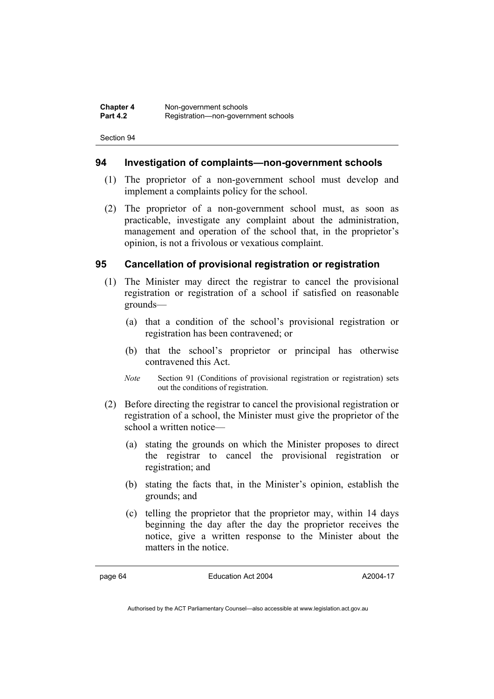### **94 Investigation of complaints—non-government schools**

- (1) The proprietor of a non-government school must develop and implement a complaints policy for the school.
- (2) The proprietor of a non-government school must, as soon as practicable, investigate any complaint about the administration, management and operation of the school that, in the proprietor's opinion, is not a frivolous or vexatious complaint.

### **95 Cancellation of provisional registration or registration**

- (1) The Minister may direct the registrar to cancel the provisional registration or registration of a school if satisfied on reasonable grounds—
	- (a) that a condition of the school's provisional registration or registration has been contravened; or
	- (b) that the school's proprietor or principal has otherwise contravened this Act.
	- *Note* Section 91 (Conditions of provisional registration or registration) sets out the conditions of registration.
- (2) Before directing the registrar to cancel the provisional registration or registration of a school, the Minister must give the proprietor of the school a written notice—
	- (a) stating the grounds on which the Minister proposes to direct the registrar to cancel the provisional registration or registration; and
	- (b) stating the facts that, in the Minister's opinion, establish the grounds; and
	- (c) telling the proprietor that the proprietor may, within 14 days beginning the day after the day the proprietor receives the notice, give a written response to the Minister about the matters in the notice.

page 64 Education Act 2004

A2004-17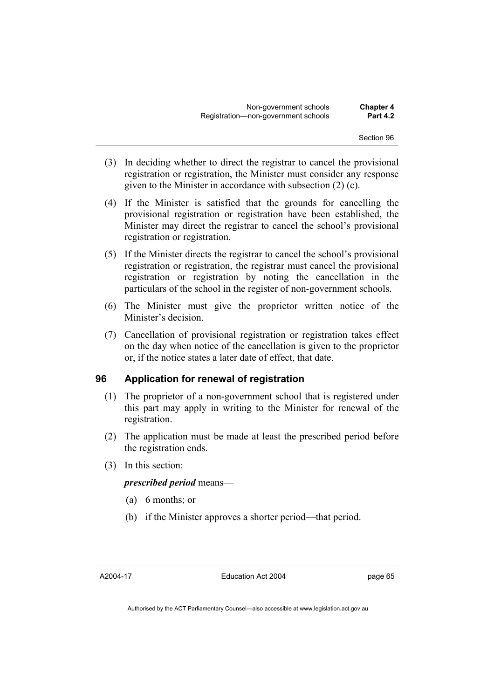- (3) In deciding whether to direct the registrar to cancel the provisional registration or registration, the Minister must consider any response given to the Minister in accordance with subsection (2) (c).
- (4) If the Minister is satisfied that the grounds for cancelling the provisional registration or registration have been established, the Minister may direct the registrar to cancel the school's provisional registration or registration.
- (5) If the Minister directs the registrar to cancel the school's provisional registration or registration, the registrar must cancel the provisional registration or registration by noting the cancellation in the particulars of the school in the register of non-government schools.
- (6) The Minister must give the proprietor written notice of the Minister's decision.
- (7) Cancellation of provisional registration or registration takes effect on the day when notice of the cancellation is given to the proprietor or, if the notice states a later date of effect, that date.

### **96 Application for renewal of registration**

- (1) The proprietor of a non-government school that is registered under this part may apply in writing to the Minister for renewal of the registration.
- (2) The application must be made at least the prescribed period before the registration ends.
- (3) In this section:

### *prescribed period* means—

- (a) 6 months; or
- (b) if the Minister approves a shorter period—that period.

page 65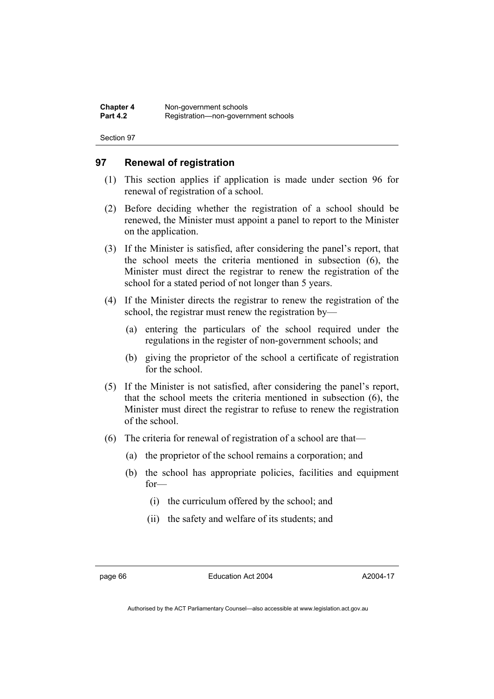### **97 Renewal of registration**

- (1) This section applies if application is made under section 96 for renewal of registration of a school.
- (2) Before deciding whether the registration of a school should be renewed, the Minister must appoint a panel to report to the Minister on the application.
- (3) If the Minister is satisfied, after considering the panel's report, that the school meets the criteria mentioned in subsection (6), the Minister must direct the registrar to renew the registration of the school for a stated period of not longer than 5 years.
- (4) If the Minister directs the registrar to renew the registration of the school, the registrar must renew the registration by—
	- (a) entering the particulars of the school required under the regulations in the register of non-government schools; and
	- (b) giving the proprietor of the school a certificate of registration for the school.
- (5) If the Minister is not satisfied, after considering the panel's report, that the school meets the criteria mentioned in subsection (6), the Minister must direct the registrar to refuse to renew the registration of the school.
- (6) The criteria for renewal of registration of a school are that—
	- (a) the proprietor of the school remains a corporation; and
	- (b) the school has appropriate policies, facilities and equipment for—
		- (i) the curriculum offered by the school; and
		- (ii) the safety and welfare of its students; and

page 66 **Education Act 2004** 

A2004-17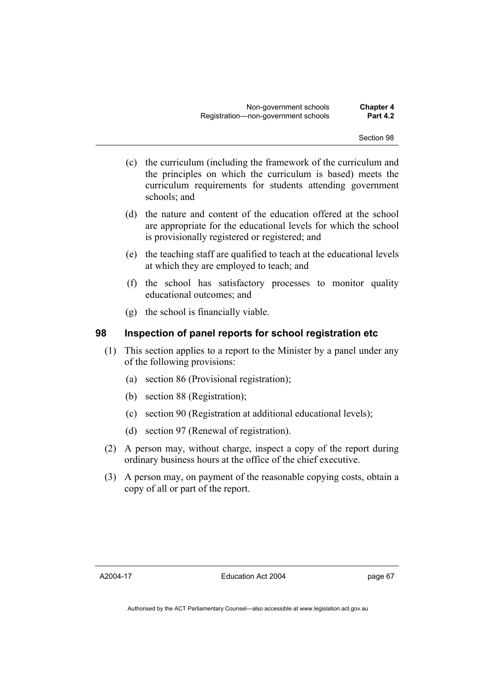- (c) the curriculum (including the framework of the curriculum and the principles on which the curriculum is based) meets the curriculum requirements for students attending government schools; and
- (d) the nature and content of the education offered at the school are appropriate for the educational levels for which the school is provisionally registered or registered; and
- (e) the teaching staff are qualified to teach at the educational levels at which they are employed to teach; and
- (f) the school has satisfactory processes to monitor quality educational outcomes; and
- (g) the school is financially viable.

### **98 Inspection of panel reports for school registration etc**

- (1) This section applies to a report to the Minister by a panel under any of the following provisions:
	- (a) section 86 (Provisional registration);
	- (b) section 88 (Registration);
	- (c) section 90 (Registration at additional educational levels);
	- (d) section 97 (Renewal of registration).
- (2) A person may, without charge, inspect a copy of the report during ordinary business hours at the office of the chief executive.
- (3) A person may, on payment of the reasonable copying costs, obtain a copy of all or part of the report.

A2004-17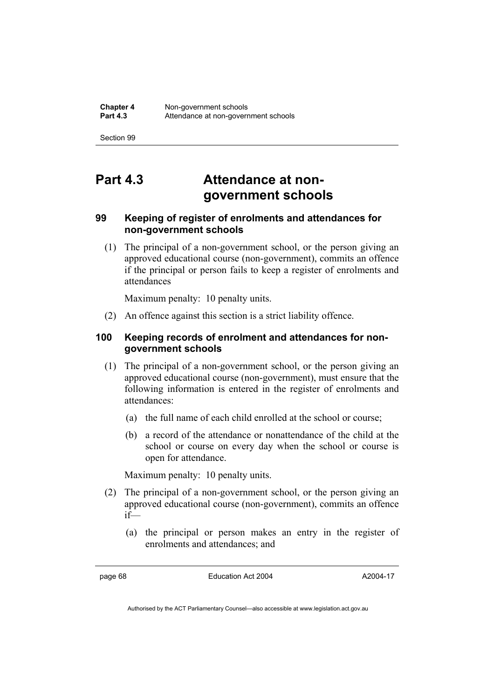# **Part 4.3 Attendance at nongovernment schools**

### **99 Keeping of register of enrolments and attendances for non-government schools**

 (1) The principal of a non-government school, or the person giving an approved educational course (non-government), commits an offence if the principal or person fails to keep a register of enrolments and attendances

Maximum penalty: 10 penalty units.

(2) An offence against this section is a strict liability offence.

### **100 Keeping records of enrolment and attendances for nongovernment schools**

- (1) The principal of a non-government school, or the person giving an approved educational course (non-government), must ensure that the following information is entered in the register of enrolments and attendances:
	- (a) the full name of each child enrolled at the school or course;
	- (b) a record of the attendance or nonattendance of the child at the school or course on every day when the school or course is open for attendance.

Maximum penalty: 10 penalty units.

- (2) The principal of a non-government school, or the person giving an approved educational course (non-government), commits an offence if—
	- (a) the principal or person makes an entry in the register of enrolments and attendances; and

page 68 Education Act 2004

A2004-17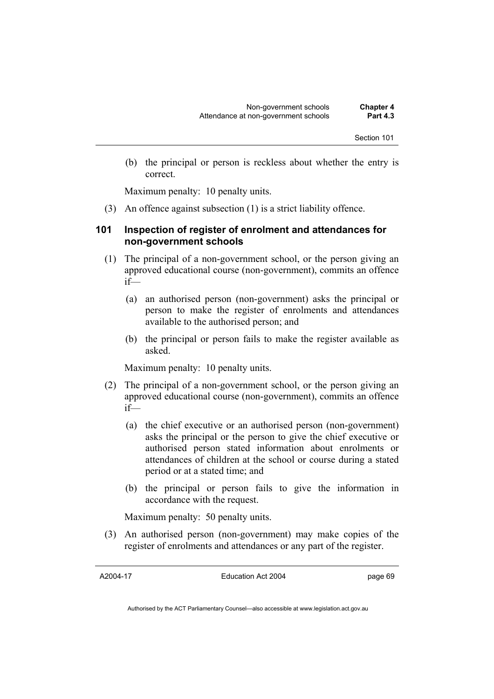(b) the principal or person is reckless about whether the entry is correct.

Maximum penalty: 10 penalty units.

(3) An offence against subsection (1) is a strict liability offence.

### **101 Inspection of register of enrolment and attendances for non-government schools**

- (1) The principal of a non-government school, or the person giving an approved educational course (non-government), commits an offence if—
	- (a) an authorised person (non-government) asks the principal or person to make the register of enrolments and attendances available to the authorised person; and
	- (b) the principal or person fails to make the register available as asked.

Maximum penalty: 10 penalty units.

- (2) The principal of a non-government school, or the person giving an approved educational course (non-government), commits an offence if—
	- (a) the chief executive or an authorised person (non-government) asks the principal or the person to give the chief executive or authorised person stated information about enrolments or attendances of children at the school or course during a stated period or at a stated time; and
	- (b) the principal or person fails to give the information in accordance with the request.

Maximum penalty: 50 penalty units.

 (3) An authorised person (non-government) may make copies of the register of enrolments and attendances or any part of the register.

A2004-17

Education Act 2004

page 69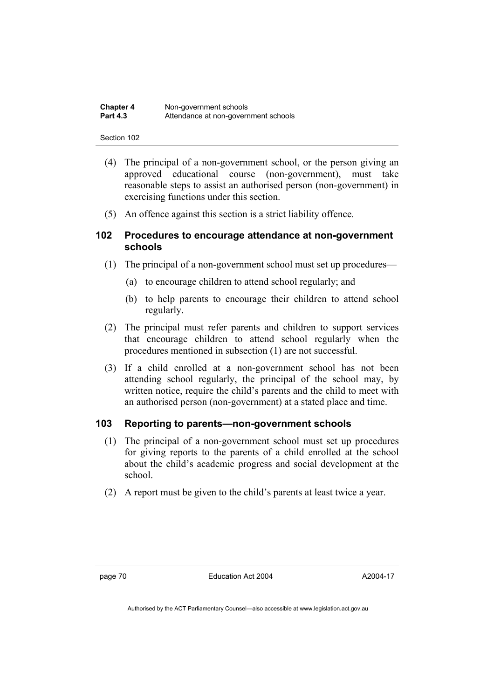| <b>Chapter 4</b> | Non-government schools               |  |
|------------------|--------------------------------------|--|
| <b>Part 4.3</b>  | Attendance at non-government schools |  |

- (4) The principal of a non-government school, or the person giving an approved educational course (non-government), must take reasonable steps to assist an authorised person (non-government) in exercising functions under this section.
- (5) An offence against this section is a strict liability offence.

### **102 Procedures to encourage attendance at non-government schools**

- (1) The principal of a non-government school must set up procedures—
	- (a) to encourage children to attend school regularly; and
	- (b) to help parents to encourage their children to attend school regularly.
- (2) The principal must refer parents and children to support services that encourage children to attend school regularly when the procedures mentioned in subsection (1) are not successful.
- (3) If a child enrolled at a non-government school has not been attending school regularly, the principal of the school may, by written notice, require the child's parents and the child to meet with an authorised person (non-government) at a stated place and time.

### **103 Reporting to parents—non-government schools**

- (1) The principal of a non-government school must set up procedures for giving reports to the parents of a child enrolled at the school about the child's academic progress and social development at the school.
- (2) A report must be given to the child's parents at least twice a year.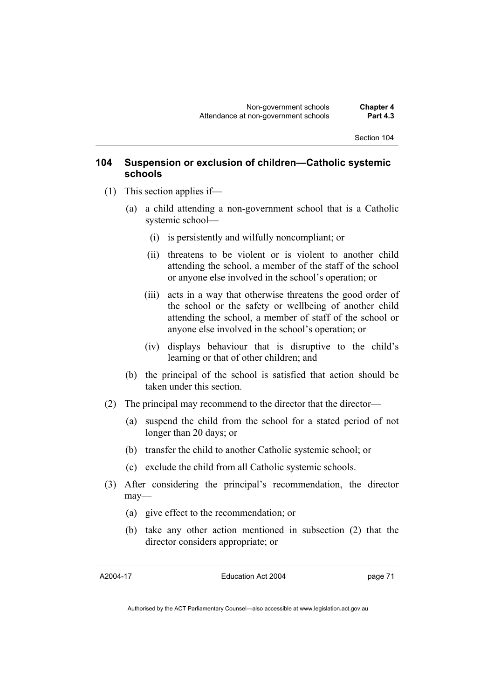### **104 Suspension or exclusion of children—Catholic systemic schools**

- (1) This section applies if—
	- (a) a child attending a non-government school that is a Catholic systemic school—
		- (i) is persistently and wilfully noncompliant; or
		- (ii) threatens to be violent or is violent to another child attending the school, a member of the staff of the school or anyone else involved in the school's operation; or
		- (iii) acts in a way that otherwise threatens the good order of the school or the safety or wellbeing of another child attending the school, a member of staff of the school or anyone else involved in the school's operation; or
		- (iv) displays behaviour that is disruptive to the child's learning or that of other children; and
	- (b) the principal of the school is satisfied that action should be taken under this section.
- (2) The principal may recommend to the director that the director—
	- (a) suspend the child from the school for a stated period of not longer than 20 days; or
	- (b) transfer the child to another Catholic systemic school; or
	- (c) exclude the child from all Catholic systemic schools.
- (3) After considering the principal's recommendation, the director may—
	- (a) give effect to the recommendation; or
	- (b) take any other action mentioned in subsection (2) that the director considers appropriate; or

A2004-17

Education Act 2004

page 71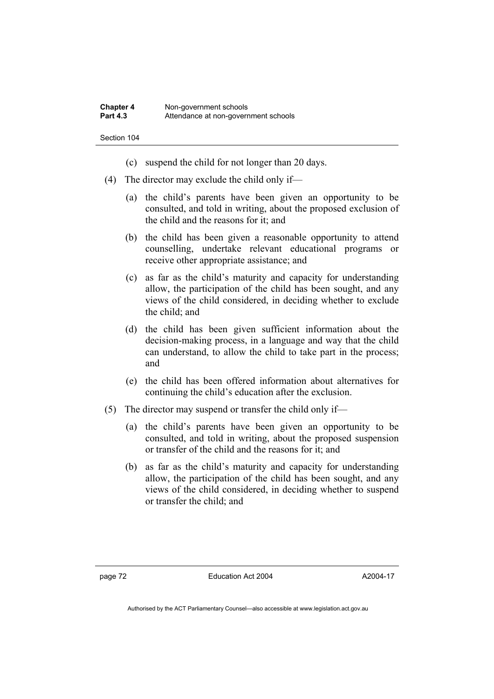- (c) suspend the child for not longer than 20 days.
- (4) The director may exclude the child only if—
	- (a) the child's parents have been given an opportunity to be consulted, and told in writing, about the proposed exclusion of the child and the reasons for it; and
	- (b) the child has been given a reasonable opportunity to attend counselling, undertake relevant educational programs or receive other appropriate assistance; and
	- (c) as far as the child's maturity and capacity for understanding allow, the participation of the child has been sought, and any views of the child considered, in deciding whether to exclude the child; and
	- (d) the child has been given sufficient information about the decision-making process, in a language and way that the child can understand, to allow the child to take part in the process; and
	- (e) the child has been offered information about alternatives for continuing the child's education after the exclusion.
- (5) The director may suspend or transfer the child only if—
	- (a) the child's parents have been given an opportunity to be consulted, and told in writing, about the proposed suspension or transfer of the child and the reasons for it; and
	- (b) as far as the child's maturity and capacity for understanding allow, the participation of the child has been sought, and any views of the child considered, in deciding whether to suspend or transfer the child; and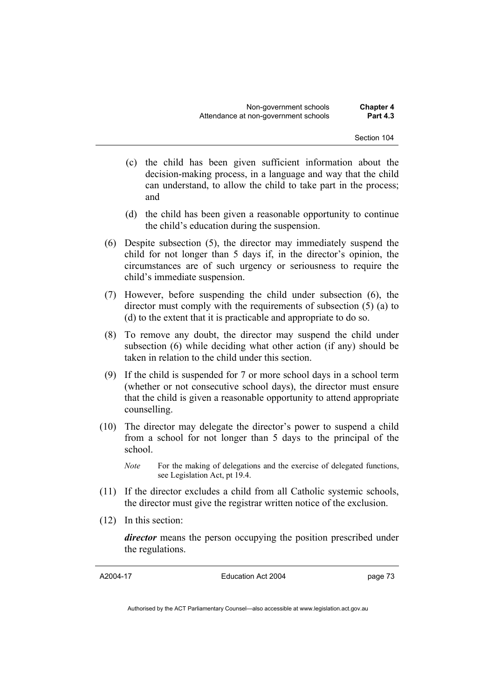- (c) the child has been given sufficient information about the decision-making process, in a language and way that the child can understand, to allow the child to take part in the process; and
- (d) the child has been given a reasonable opportunity to continue the child's education during the suspension.
- (6) Despite subsection (5), the director may immediately suspend the child for not longer than 5 days if, in the director's opinion, the circumstances are of such urgency or seriousness to require the child's immediate suspension.
- (7) However, before suspending the child under subsection (6), the director must comply with the requirements of subsection (5) (a) to (d) to the extent that it is practicable and appropriate to do so.
- (8) To remove any doubt, the director may suspend the child under subsection (6) while deciding what other action (if any) should be taken in relation to the child under this section.
- (9) If the child is suspended for 7 or more school days in a school term (whether or not consecutive school days), the director must ensure that the child is given a reasonable opportunity to attend appropriate counselling.
- (10) The director may delegate the director's power to suspend a child from a school for not longer than 5 days to the principal of the school.
	- *Note* For the making of delegations and the exercise of delegated functions, see Legislation Act, pt 19.4.
- (11) If the director excludes a child from all Catholic systemic schools, the director must give the registrar written notice of the exclusion.
- (12) In this section:

*director* means the person occupying the position prescribed under the regulations.

A2004-17

Education Act 2004

page 73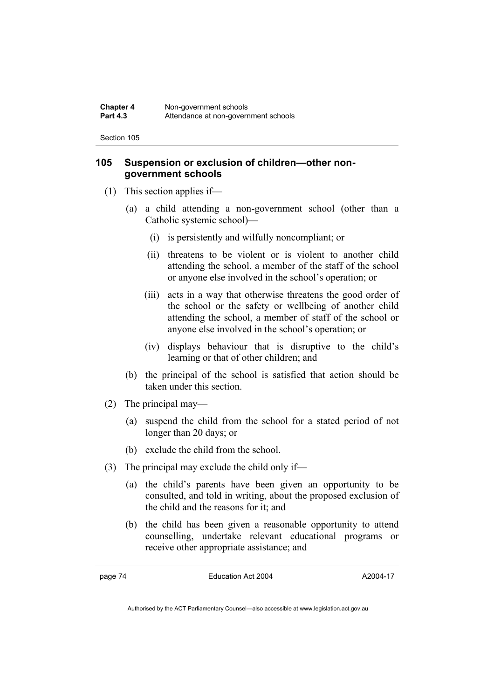### **105 Suspension or exclusion of children—other nongovernment schools**

- (1) This section applies if—
	- (a) a child attending a non-government school (other than a Catholic systemic school)—
		- (i) is persistently and wilfully noncompliant; or
		- (ii) threatens to be violent or is violent to another child attending the school, a member of the staff of the school or anyone else involved in the school's operation; or
		- (iii) acts in a way that otherwise threatens the good order of the school or the safety or wellbeing of another child attending the school, a member of staff of the school or anyone else involved in the school's operation; or
		- (iv) displays behaviour that is disruptive to the child's learning or that of other children; and
	- (b) the principal of the school is satisfied that action should be taken under this section.
- (2) The principal may—
	- (a) suspend the child from the school for a stated period of not longer than 20 days; or
	- (b) exclude the child from the school.
- (3) The principal may exclude the child only if—
	- (a) the child's parents have been given an opportunity to be consulted, and told in writing, about the proposed exclusion of the child and the reasons for it; and
	- (b) the child has been given a reasonable opportunity to attend counselling, undertake relevant educational programs or receive other appropriate assistance; and

page 74 Education Act 2004

A2004-17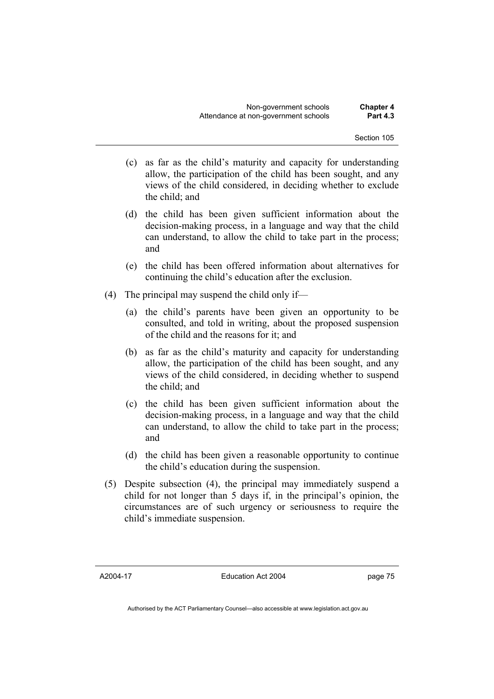- (c) as far as the child's maturity and capacity for understanding allow, the participation of the child has been sought, and any views of the child considered, in deciding whether to exclude the child; and
- (d) the child has been given sufficient information about the decision-making process, in a language and way that the child can understand, to allow the child to take part in the process; and
- (e) the child has been offered information about alternatives for continuing the child's education after the exclusion.
- (4) The principal may suspend the child only if—
	- (a) the child's parents have been given an opportunity to be consulted, and told in writing, about the proposed suspension of the child and the reasons for it; and
	- (b) as far as the child's maturity and capacity for understanding allow, the participation of the child has been sought, and any views of the child considered, in deciding whether to suspend the child; and
	- (c) the child has been given sufficient information about the decision-making process, in a language and way that the child can understand, to allow the child to take part in the process; and
	- (d) the child has been given a reasonable opportunity to continue the child's education during the suspension.
- (5) Despite subsection (4), the principal may immediately suspend a child for not longer than 5 days if, in the principal's opinion, the circumstances are of such urgency or seriousness to require the child's immediate suspension.

A2004-17

Education Act 2004

page 75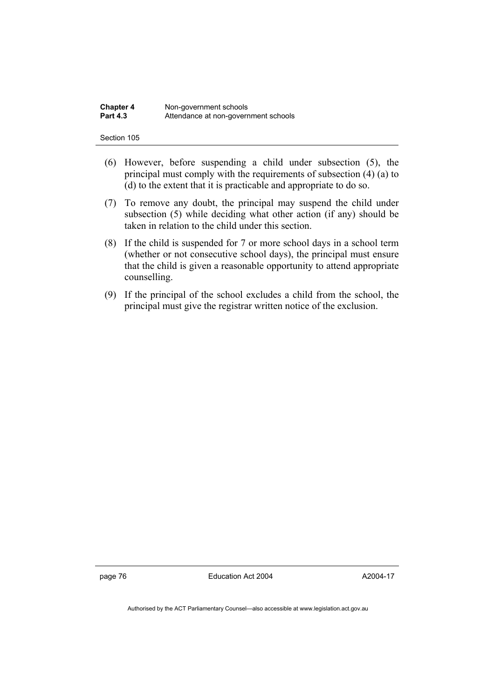| <b>Chapter 4</b> | Non-government schools               |  |
|------------------|--------------------------------------|--|
| <b>Part 4.3</b>  | Attendance at non-government schools |  |

- (6) However, before suspending a child under subsection (5), the principal must comply with the requirements of subsection (4) (a) to (d) to the extent that it is practicable and appropriate to do so.
- (7) To remove any doubt, the principal may suspend the child under subsection (5) while deciding what other action (if any) should be taken in relation to the child under this section.
- (8) If the child is suspended for 7 or more school days in a school term (whether or not consecutive school days), the principal must ensure that the child is given a reasonable opportunity to attend appropriate counselling.
- (9) If the principal of the school excludes a child from the school, the principal must give the registrar written notice of the exclusion.

page 76 Education Act 2004

A2004-17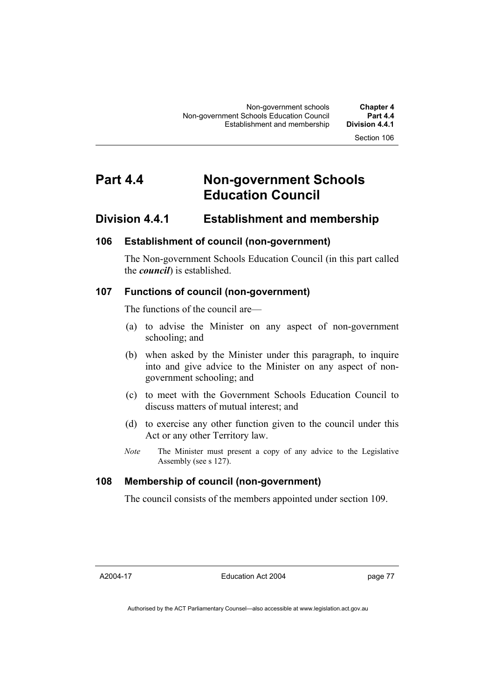# **Part 4.4 Non-government Schools Education Council**

### **Division 4.4.1 Establishment and membership**

### **106 Establishment of council (non-government)**

The Non-government Schools Education Council (in this part called the *council*) is established.

### **107 Functions of council (non-government)**

The functions of the council are—

- (a) to advise the Minister on any aspect of non-government schooling; and
- (b) when asked by the Minister under this paragraph, to inquire into and give advice to the Minister on any aspect of nongovernment schooling; and
- (c) to meet with the Government Schools Education Council to discuss matters of mutual interest; and
- (d) to exercise any other function given to the council under this Act or any other Territory law.
- *Note* The Minister must present a copy of any advice to the Legislative Assembly (see s 127).

### **108 Membership of council (non-government)**

The council consists of the members appointed under section 109.

A2004-17

Education Act 2004

page 77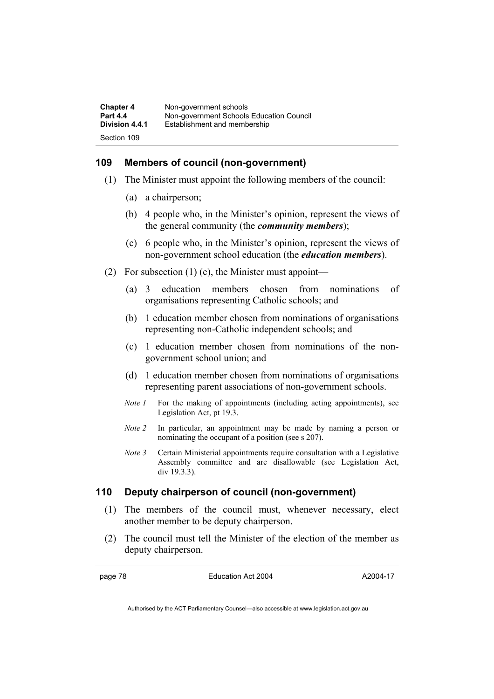| <b>Chapter 4</b> | Non-government schools                   |
|------------------|------------------------------------------|
| <b>Part 4.4</b>  | Non-government Schools Education Council |
| Division 4.4.1   | Establishment and membership             |
| Section 109      |                                          |

### **109 Members of council (non-government)**

- (1) The Minister must appoint the following members of the council:
	- (a) a chairperson;
	- (b) 4 people who, in the Minister's opinion, represent the views of the general community (the *community members*);
	- (c) 6 people who, in the Minister's opinion, represent the views of non-government school education (the *education members*).
- (2) For subsection  $(1)$  (c), the Minister must appoint—
	- (a) 3 education members chosen from nominations of organisations representing Catholic schools; and
	- (b) 1 education member chosen from nominations of organisations representing non-Catholic independent schools; and
	- (c) 1 education member chosen from nominations of the nongovernment school union; and
	- (d) 1 education member chosen from nominations of organisations representing parent associations of non-government schools.
	- *Note 1* For the making of appointments (including acting appointments), see Legislation Act, pt 19.3.
	- *Note 2* In particular, an appointment may be made by naming a person or nominating the occupant of a position (see s 207).
	- *Note 3* Certain Ministerial appointments require consultation with a Legislative Assembly committee and are disallowable (see Legislation Act, div 19.3.3).

### **110 Deputy chairperson of council (non-government)**

- (1) The members of the council must, whenever necessary, elect another member to be deputy chairperson.
- (2) The council must tell the Minister of the election of the member as deputy chairperson.

page 78 Education Act 2004

A2004-17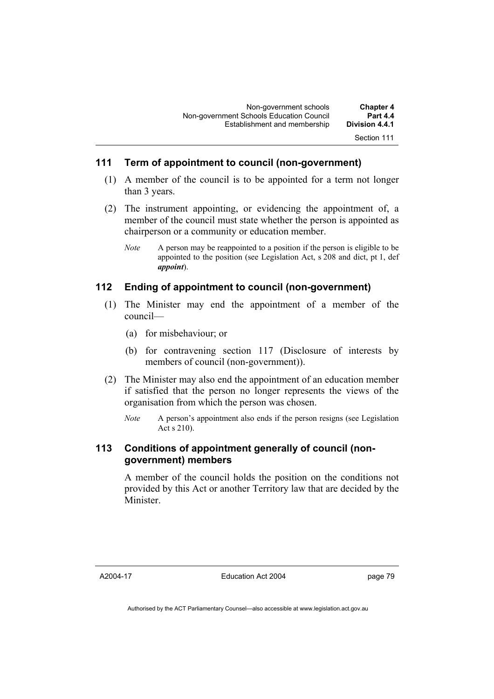### **111 Term of appointment to council (non-government)**

- (1) A member of the council is to be appointed for a term not longer than 3 years.
- (2) The instrument appointing, or evidencing the appointment of, a member of the council must state whether the person is appointed as chairperson or a community or education member.
	- *Note* A person may be reappointed to a position if the person is eligible to be appointed to the position (see Legislation Act, s 208 and dict, pt 1, def *appoint*).

### **112 Ending of appointment to council (non-government)**

- (1) The Minister may end the appointment of a member of the council—
	- (a) for misbehaviour; or
	- (b) for contravening section 117 (Disclosure of interests by members of council (non-government)).
- (2) The Minister may also end the appointment of an education member if satisfied that the person no longer represents the views of the organisation from which the person was chosen.
	- *Note* A person's appointment also ends if the person resigns (see Legislation Act s 210).

### **113 Conditions of appointment generally of council (nongovernment) members**

A member of the council holds the position on the conditions not provided by this Act or another Territory law that are decided by the Minister.

A2004-17

Education Act 2004

page 79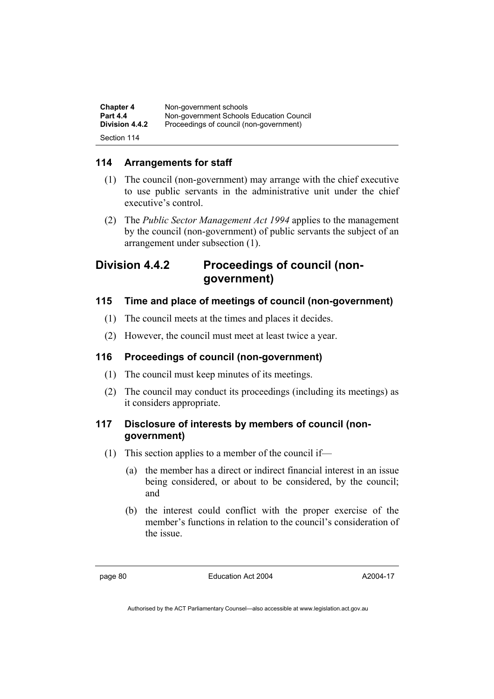| <b>Chapter 4</b> | Non-government schools                   |
|------------------|------------------------------------------|
| <b>Part 4.4</b>  | Non-government Schools Education Council |
| Division 4.4.2   | Proceedings of council (non-government)  |
| Section 114      |                                          |

### **114 Arrangements for staff**

- (1) The council (non-government) may arrange with the chief executive to use public servants in the administrative unit under the chief executive's control.
- (2) The *Public Sector Management Act 1994* applies to the management by the council (non-government) of public servants the subject of an arrangement under subsection (1).

### **Division 4.4.2 Proceedings of council (nongovernment)**

### **115 Time and place of meetings of council (non-government)**

- (1) The council meets at the times and places it decides.
- (2) However, the council must meet at least twice a year.

### **116 Proceedings of council (non-government)**

- (1) The council must keep minutes of its meetings.
- (2) The council may conduct its proceedings (including its meetings) as it considers appropriate.

### **117 Disclosure of interests by members of council (nongovernment)**

- (1) This section applies to a member of the council if—
	- (a) the member has a direct or indirect financial interest in an issue being considered, or about to be considered, by the council; and
	- (b) the interest could conflict with the proper exercise of the member's functions in relation to the council's consideration of the issue.

page 80 Education Act 2004

A2004-17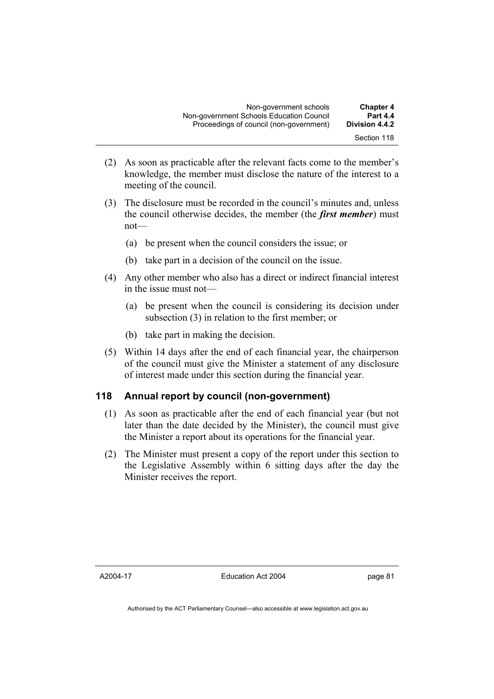| <b>Chapter 4</b>      | Non-government schools                   |  |
|-----------------------|------------------------------------------|--|
| <b>Part 4.4</b>       | Non-government Schools Education Council |  |
| <b>Division 4.4.2</b> | Proceedings of council (non-government)  |  |
| Section 118           |                                          |  |

- (2) As soon as practicable after the relevant facts come to the member's knowledge, the member must disclose the nature of the interest to a meeting of the council.
- (3) The disclosure must be recorded in the council's minutes and, unless the council otherwise decides, the member (the *first member*) must not—
	- (a) be present when the council considers the issue; or
	- (b) take part in a decision of the council on the issue.
- (4) Any other member who also has a direct or indirect financial interest in the issue must not—
	- (a) be present when the council is considering its decision under subsection (3) in relation to the first member; or
	- (b) take part in making the decision.
- (5) Within 14 days after the end of each financial year, the chairperson of the council must give the Minister a statement of any disclosure of interest made under this section during the financial year.

### **118 Annual report by council (non-government)**

- (1) As soon as practicable after the end of each financial year (but not later than the date decided by the Minister), the council must give the Minister a report about its operations for the financial year.
- (2) The Minister must present a copy of the report under this section to the Legislative Assembly within 6 sitting days after the day the Minister receives the report.

A2004-17

page 81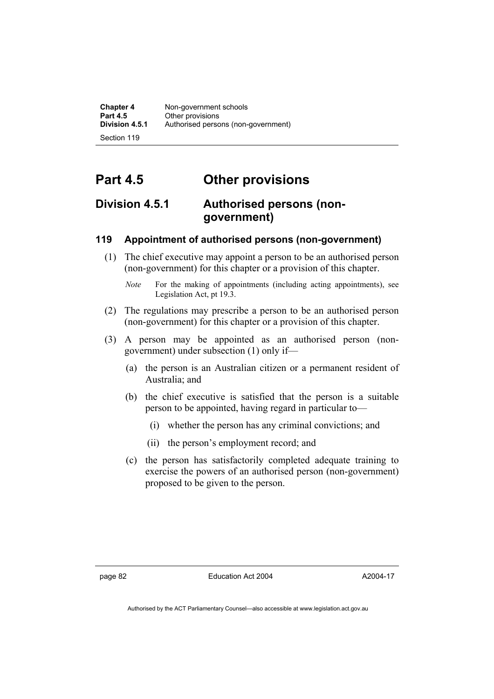**Chapter 4 Non-government schools**<br>**Part 4.5 Cher provisions Part 4.5 Other provisions**<br>**Division 4.5.1 Authorised person** Authorised persons (non-government)

Section 119

# **Part 4.5 Other provisions**

## **Division 4.5.1 Authorised persons (nongovernment)**

### **119 Appointment of authorised persons (non-government)**

- (1) The chief executive may appoint a person to be an authorised person (non-government) for this chapter or a provision of this chapter.
	- *Note* For the making of appointments (including acting appointments), see Legislation Act, pt 19.3.
- (2) The regulations may prescribe a person to be an authorised person (non-government) for this chapter or a provision of this chapter.
- (3) A person may be appointed as an authorised person (nongovernment) under subsection (1) only if—
	- (a) the person is an Australian citizen or a permanent resident of Australia; and
	- (b) the chief executive is satisfied that the person is a suitable person to be appointed, having regard in particular to—
		- (i) whether the person has any criminal convictions; and
		- (ii) the person's employment record; and
	- (c) the person has satisfactorily completed adequate training to exercise the powers of an authorised person (non-government) proposed to be given to the person.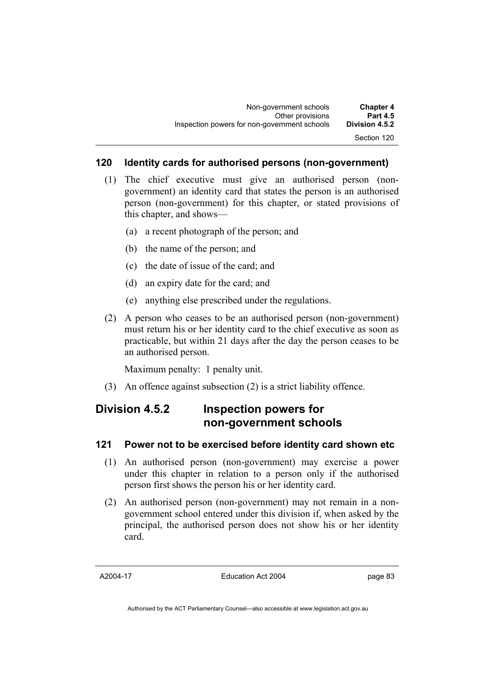### **120 Identity cards for authorised persons (non-government)**

- (1) The chief executive must give an authorised person (nongovernment) an identity card that states the person is an authorised person (non-government) for this chapter, or stated provisions of this chapter, and shows—
	- (a) a recent photograph of the person; and
	- (b) the name of the person; and
	- (c) the date of issue of the card; and
	- (d) an expiry date for the card; and
	- (e) anything else prescribed under the regulations.
- (2) A person who ceases to be an authorised person (non-government) must return his or her identity card to the chief executive as soon as practicable, but within 21 days after the day the person ceases to be an authorised person.

Maximum penalty: 1 penalty unit.

(3) An offence against subsection (2) is a strict liability offence.

## **Division 4.5.2 Inspection powers for non-government schools**

### **121 Power not to be exercised before identity card shown etc**

- (1) An authorised person (non-government) may exercise a power under this chapter in relation to a person only if the authorised person first shows the person his or her identity card.
- (2) An authorised person (non-government) may not remain in a nongovernment school entered under this division if, when asked by the principal, the authorised person does not show his or her identity card.

A2004-17

Education Act 2004

page 83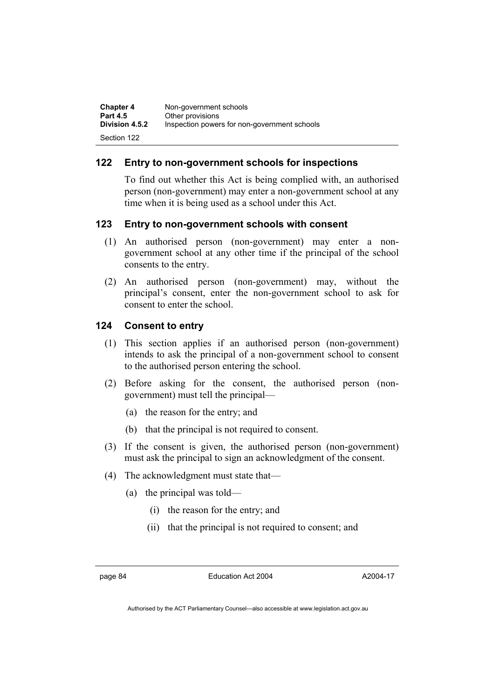| <b>Chapter 4</b>      | Non-government schools                       |
|-----------------------|----------------------------------------------|
| <b>Part 4.5</b>       | Other provisions                             |
| <b>Division 4.5.2</b> | Inspection powers for non-government schools |
| Section 122           |                                              |

### **122 Entry to non-government schools for inspections**

To find out whether this Act is being complied with, an authorised person (non-government) may enter a non-government school at any time when it is being used as a school under this Act.

### **123 Entry to non-government schools with consent**

- (1) An authorised person (non-government) may enter a nongovernment school at any other time if the principal of the school consents to the entry.
- (2) An authorised person (non-government) may, without the principal's consent, enter the non-government school to ask for consent to enter the school.

### **124 Consent to entry**

- (1) This section applies if an authorised person (non-government) intends to ask the principal of a non-government school to consent to the authorised person entering the school.
- (2) Before asking for the consent, the authorised person (nongovernment) must tell the principal—
	- (a) the reason for the entry; and
	- (b) that the principal is not required to consent.
- (3) If the consent is given, the authorised person (non-government) must ask the principal to sign an acknowledgment of the consent.
- (4) The acknowledgment must state that—
	- (a) the principal was told—
		- (i) the reason for the entry; and
		- (ii) that the principal is not required to consent; and

page 84 Education Act 2004

A2004-17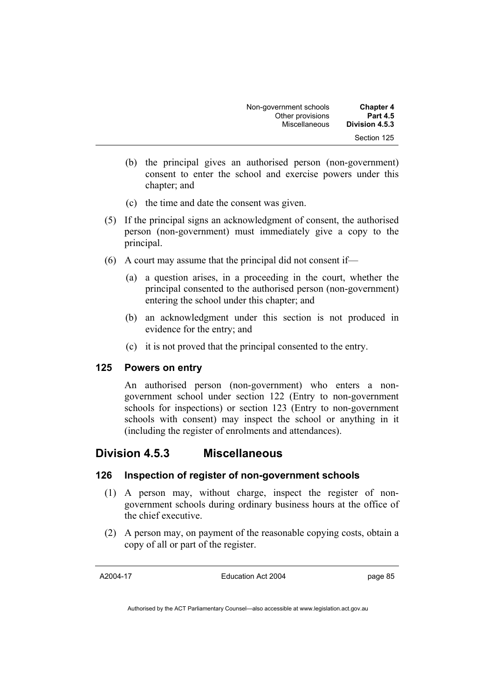| <b>Chapter 4</b> | Non-government schools |  |
|------------------|------------------------|--|
| <b>Part 4.5</b>  | Other provisions       |  |
| Division 4.5.3   | Miscellaneous          |  |
| Section 125      |                        |  |

- (b) the principal gives an authorised person (non-government) consent to enter the school and exercise powers under this chapter; and
- (c) the time and date the consent was given.
- (5) If the principal signs an acknowledgment of consent, the authorised person (non-government) must immediately give a copy to the principal.
- (6) A court may assume that the principal did not consent if—
	- (a) a question arises, in a proceeding in the court, whether the principal consented to the authorised person (non-government) entering the school under this chapter; and
	- (b) an acknowledgment under this section is not produced in evidence for the entry; and
	- (c) it is not proved that the principal consented to the entry.

### **125 Powers on entry**

An authorised person (non-government) who enters a nongovernment school under section 122 (Entry to non-government schools for inspections) or section 123 (Entry to non-government schools with consent) may inspect the school or anything in it (including the register of enrolments and attendances).

### **Division 4.5.3 Miscellaneous**

### **126 Inspection of register of non-government schools**

- (1) A person may, without charge, inspect the register of nongovernment schools during ordinary business hours at the office of the chief executive.
- (2) A person may, on payment of the reasonable copying costs, obtain a copy of all or part of the register.

A2004-17

Education Act 2004

page 85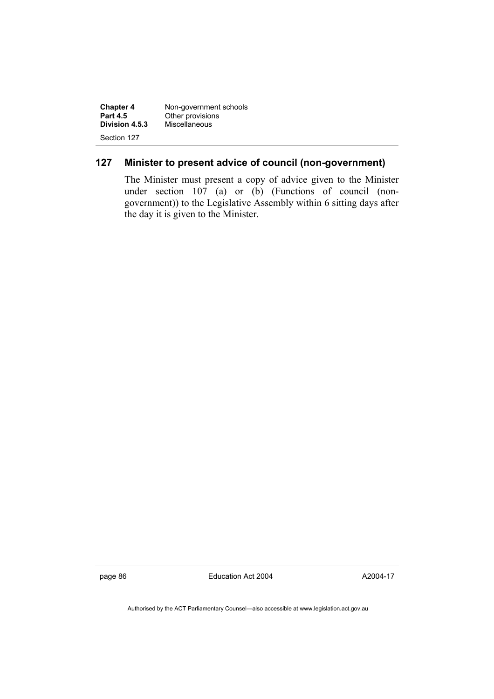| <b>Chapter 4</b> | Non-government schools |
|------------------|------------------------|
| <b>Part 4.5</b>  | Other provisions       |
| Division 4.5.3   | Miscellaneous          |
| Section 127      |                        |

### **127 Minister to present advice of council (non-government)**

The Minister must present a copy of advice given to the Minister under section 107 (a) or (b) (Functions of council (nongovernment)) to the Legislative Assembly within 6 sitting days after the day it is given to the Minister.

page 86 **Education Act 2004** 

A2004-17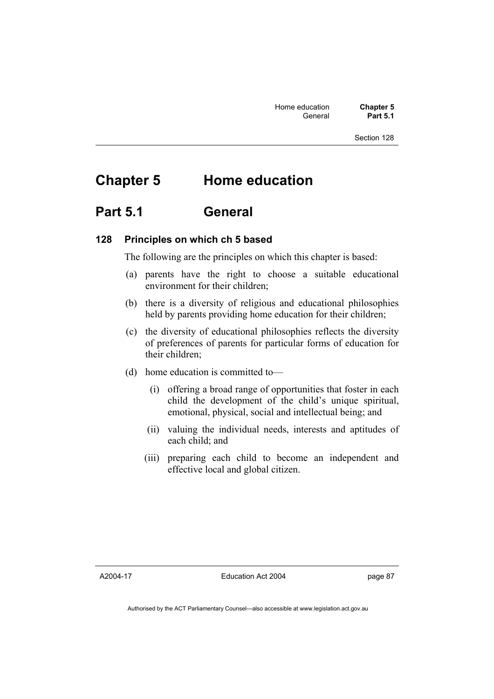# **Chapter 5 Home education**

## **Part 5.1 General**

### **128 Principles on which ch 5 based**

The following are the principles on which this chapter is based:

- (a) parents have the right to choose a suitable educational environment for their children;
- (b) there is a diversity of religious and educational philosophies held by parents providing home education for their children;
- (c) the diversity of educational philosophies reflects the diversity of preferences of parents for particular forms of education for their children;
- (d) home education is committed to—
	- (i) offering a broad range of opportunities that foster in each child the development of the child's unique spiritual, emotional, physical, social and intellectual being; and
	- (ii) valuing the individual needs, interests and aptitudes of each child; and
	- (iii) preparing each child to become an independent and effective local and global citizen.

A2004-17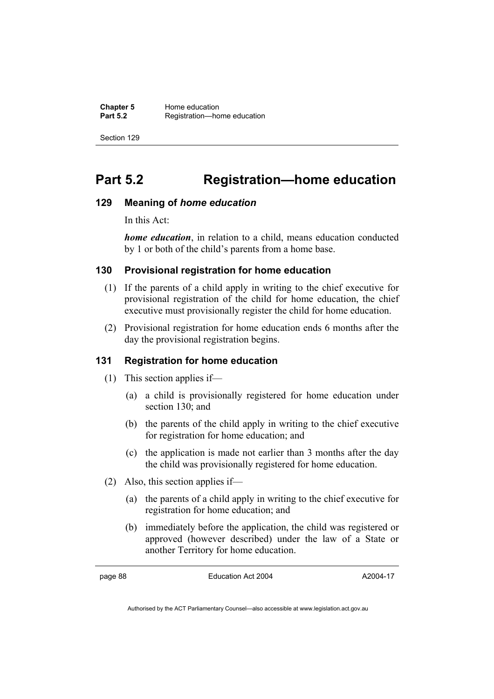# **Part 5.2 Registration—home education**

### **129 Meaning of** *home education*

In this Act:

*home education*, in relation to a child, means education conducted by 1 or both of the child's parents from a home base.

### **130 Provisional registration for home education**

- (1) If the parents of a child apply in writing to the chief executive for provisional registration of the child for home education, the chief executive must provisionally register the child for home education.
- (2) Provisional registration for home education ends 6 months after the day the provisional registration begins.

### **131 Registration for home education**

- (1) This section applies if—
	- (a) a child is provisionally registered for home education under section 130; and
	- (b) the parents of the child apply in writing to the chief executive for registration for home education; and
	- (c) the application is made not earlier than 3 months after the day the child was provisionally registered for home education.
- (2) Also, this section applies if—
	- (a) the parents of a child apply in writing to the chief executive for registration for home education; and
	- (b) immediately before the application, the child was registered or approved (however described) under the law of a State or another Territory for home education.

page 88 Education Act 2004

A2004-17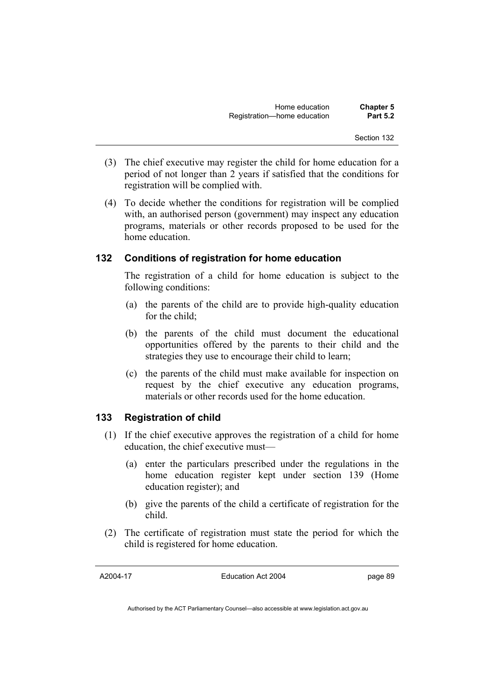- (3) The chief executive may register the child for home education for a period of not longer than 2 years if satisfied that the conditions for registration will be complied with.
- (4) To decide whether the conditions for registration will be complied with, an authorised person (government) may inspect any education programs, materials or other records proposed to be used for the home education.

### **132 Conditions of registration for home education**

The registration of a child for home education is subject to the following conditions:

- (a) the parents of the child are to provide high-quality education for the child;
- (b) the parents of the child must document the educational opportunities offered by the parents to their child and the strategies they use to encourage their child to learn;
- (c) the parents of the child must make available for inspection on request by the chief executive any education programs, materials or other records used for the home education.

### **133 Registration of child**

- (1) If the chief executive approves the registration of a child for home education, the chief executive must—
	- (a) enter the particulars prescribed under the regulations in the home education register kept under section 139 (Home education register); and
	- (b) give the parents of the child a certificate of registration for the child.
- (2) The certificate of registration must state the period for which the child is registered for home education.

A2004-17

Education Act 2004

page 89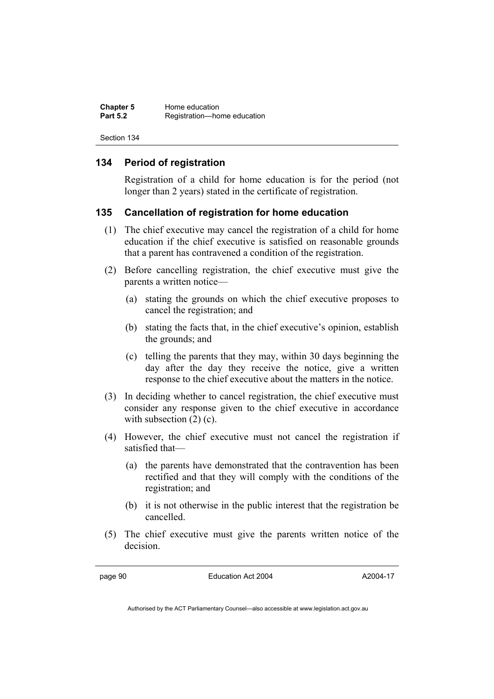| <b>Chapter 5</b> | Home education              |  |
|------------------|-----------------------------|--|
| <b>Part 5.2</b>  | Registration-home education |  |

### **134 Period of registration**

Registration of a child for home education is for the period (not longer than 2 years) stated in the certificate of registration.

### **135 Cancellation of registration for home education**

- (1) The chief executive may cancel the registration of a child for home education if the chief executive is satisfied on reasonable grounds that a parent has contravened a condition of the registration.
- (2) Before cancelling registration, the chief executive must give the parents a written notice—
	- (a) stating the grounds on which the chief executive proposes to cancel the registration; and
	- (b) stating the facts that, in the chief executive's opinion, establish the grounds; and
	- (c) telling the parents that they may, within 30 days beginning the day after the day they receive the notice, give a written response to the chief executive about the matters in the notice.
- (3) In deciding whether to cancel registration, the chief executive must consider any response given to the chief executive in accordance with subsection  $(2)$  (c).
- (4) However, the chief executive must not cancel the registration if satisfied that—
	- (a) the parents have demonstrated that the contravention has been rectified and that they will comply with the conditions of the registration; and
	- (b) it is not otherwise in the public interest that the registration be cancelled.
- (5) The chief executive must give the parents written notice of the decision.

page 90 Education Act 2004

A2004-17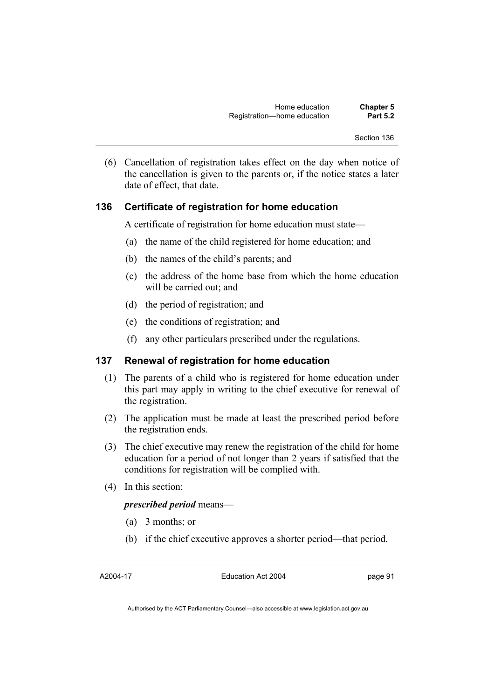(6) Cancellation of registration takes effect on the day when notice of the cancellation is given to the parents or, if the notice states a later date of effect, that date.

### **136 Certificate of registration for home education**

A certificate of registration for home education must state—

- (a) the name of the child registered for home education; and
- (b) the names of the child's parents; and
- (c) the address of the home base from which the home education will be carried out; and
- (d) the period of registration; and
- (e) the conditions of registration; and
- (f) any other particulars prescribed under the regulations.

### **137 Renewal of registration for home education**

- (1) The parents of a child who is registered for home education under this part may apply in writing to the chief executive for renewal of the registration.
- (2) The application must be made at least the prescribed period before the registration ends.
- (3) The chief executive may renew the registration of the child for home education for a period of not longer than 2 years if satisfied that the conditions for registration will be complied with.
- (4) In this section:

#### *prescribed period* means—

- (a) 3 months; or
- (b) if the chief executive approves a shorter period—that period.

A2004-17

Education Act 2004

page 91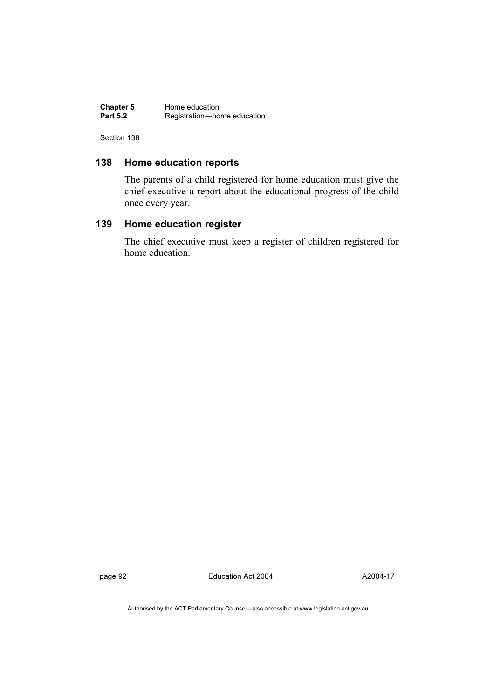| <b>Chapter 5</b> | Home education              |  |
|------------------|-----------------------------|--|
| <b>Part 5.2</b>  | Registration-home education |  |

### **138 Home education reports**

The parents of a child registered for home education must give the chief executive a report about the educational progress of the child once every year.

### **139 Home education register**

The chief executive must keep a register of children registered for home education.

page 92 Education Act 2004

A2004-17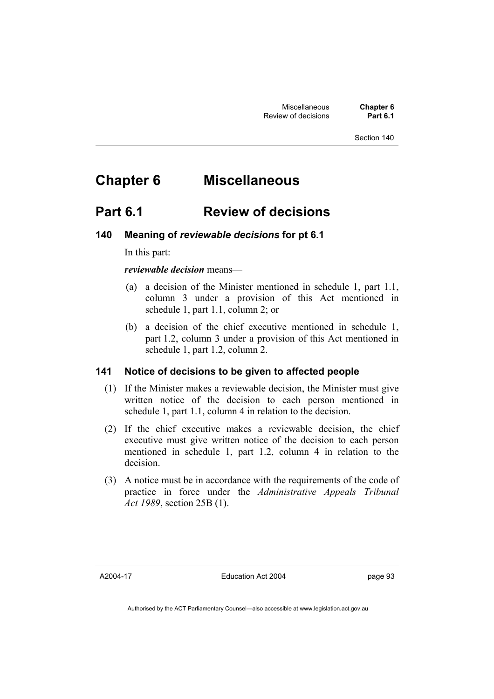# **Chapter 6 Miscellaneous**

## **Part 6.1 Review of decisions**

### **140 Meaning of** *reviewable decisions* **for pt 6.1**

In this part:

*reviewable decision* means—

- (a) a decision of the Minister mentioned in schedule 1, part 1.1, column 3 under a provision of this Act mentioned in schedule 1, part 1.1, column 2; or
- (b) a decision of the chief executive mentioned in schedule 1, part 1.2, column 3 under a provision of this Act mentioned in schedule 1, part 1.2, column 2.

### **141 Notice of decisions to be given to affected people**

- (1) If the Minister makes a reviewable decision, the Minister must give written notice of the decision to each person mentioned in schedule 1, part 1.1, column 4 in relation to the decision.
- (2) If the chief executive makes a reviewable decision, the chief executive must give written notice of the decision to each person mentioned in schedule 1, part 1.2, column 4 in relation to the decision.
- (3) A notice must be in accordance with the requirements of the code of practice in force under the *Administrative Appeals Tribunal Act 1989*, section 25B (1).

A2004-17

Education Act 2004

page 93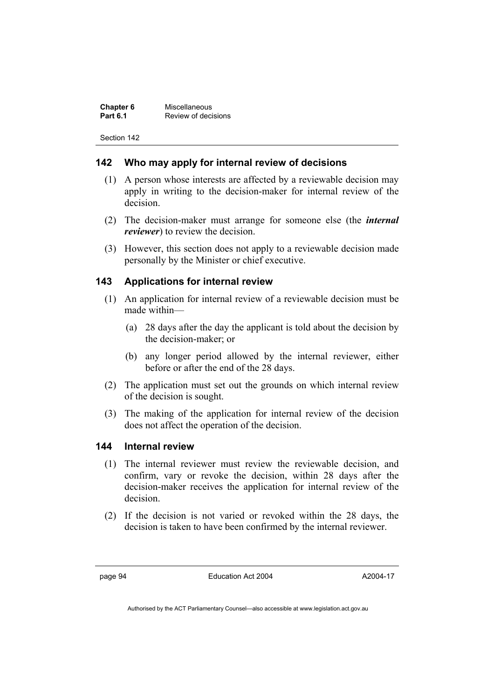| <b>Chapter 6</b> | Miscellaneous       |
|------------------|---------------------|
| <b>Part 6.1</b>  | Review of decisions |

### **142 Who may apply for internal review of decisions**

- (1) A person whose interests are affected by a reviewable decision may apply in writing to the decision-maker for internal review of the decision.
- (2) The decision-maker must arrange for someone else (the *internal reviewer*) to review the decision.
- (3) However, this section does not apply to a reviewable decision made personally by the Minister or chief executive.

### **143 Applications for internal review**

- (1) An application for internal review of a reviewable decision must be made within—
	- (a) 28 days after the day the applicant is told about the decision by the decision-maker; or
	- (b) any longer period allowed by the internal reviewer, either before or after the end of the 28 days.
- (2) The application must set out the grounds on which internal review of the decision is sought.
- (3) The making of the application for internal review of the decision does not affect the operation of the decision.

### **144 Internal review**

- (1) The internal reviewer must review the reviewable decision, and confirm, vary or revoke the decision, within 28 days after the decision-maker receives the application for internal review of the decision.
- (2) If the decision is not varied or revoked within the 28 days, the decision is taken to have been confirmed by the internal reviewer.

page 94 Education Act 2004

A2004-17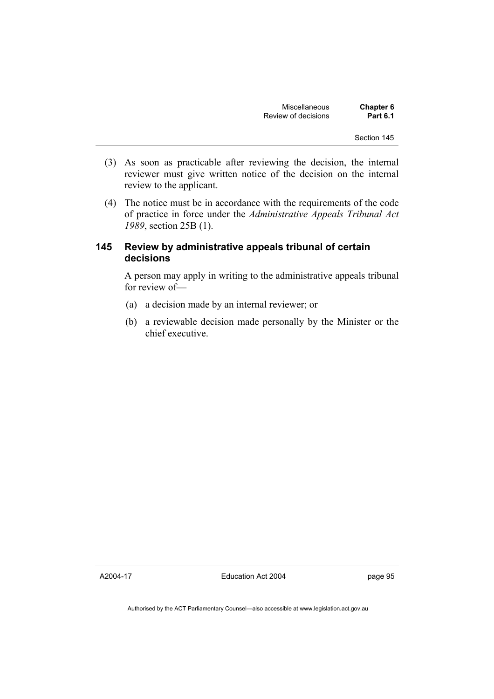| <b>Miscellaneous</b> | <b>Chapter 6</b> |
|----------------------|------------------|
| Review of decisions  | <b>Part 6.1</b>  |

- (3) As soon as practicable after reviewing the decision, the internal reviewer must give written notice of the decision on the internal review to the applicant.
- (4) The notice must be in accordance with the requirements of the code of practice in force under the *Administrative Appeals Tribunal Act 1989*, section 25B (1).

### **145 Review by administrative appeals tribunal of certain decisions**

A person may apply in writing to the administrative appeals tribunal for review of—

- (a) a decision made by an internal reviewer; or
- (b) a reviewable decision made personally by the Minister or the chief executive.

A2004-17

Education Act 2004

page 95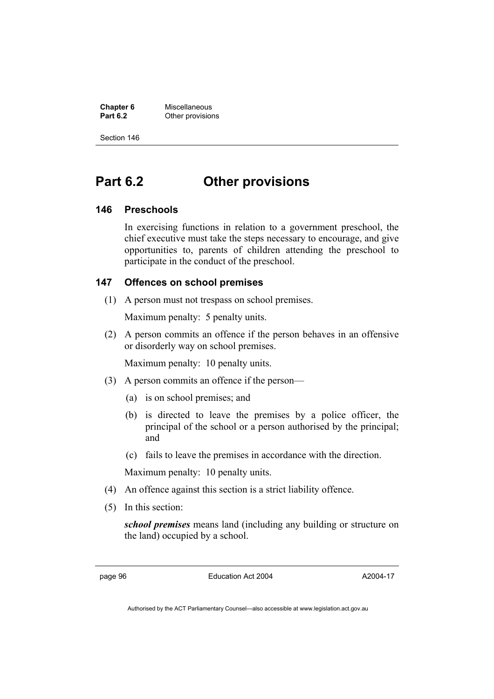**Chapter 6** Miscellaneous **Other provisions** 

Section 146

## **Part 6.2 Other provisions**

### **146 Preschools**

In exercising functions in relation to a government preschool, the chief executive must take the steps necessary to encourage, and give opportunities to, parents of children attending the preschool to participate in the conduct of the preschool.

### **147 Offences on school premises**

(1) A person must not trespass on school premises.

Maximum penalty: 5 penalty units.

 (2) A person commits an offence if the person behaves in an offensive or disorderly way on school premises.

Maximum penalty: 10 penalty units.

- (3) A person commits an offence if the person—
	- (a) is on school premises; and
	- (b) is directed to leave the premises by a police officer, the principal of the school or a person authorised by the principal; and
	- (c) fails to leave the premises in accordance with the direction.

Maximum penalty: 10 penalty units.

- (4) An offence against this section is a strict liability offence.
- (5) In this section:

*school premises* means land (including any building or structure on the land) occupied by a school.

page 96 Education Act 2004

A2004-17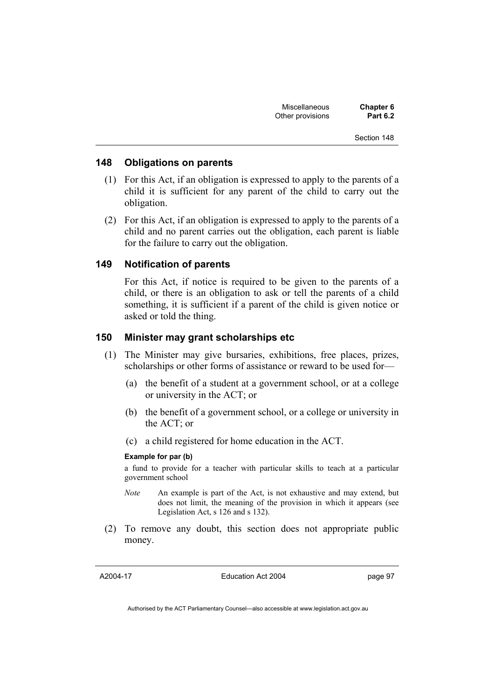| <b>Miscellaneous</b> | <b>Chapter 6</b> |
|----------------------|------------------|
| Other provisions     | <b>Part 6.2</b>  |

#### **148 Obligations on parents**

- (1) For this Act, if an obligation is expressed to apply to the parents of a child it is sufficient for any parent of the child to carry out the obligation.
- (2) For this Act, if an obligation is expressed to apply to the parents of a child and no parent carries out the obligation, each parent is liable for the failure to carry out the obligation.

### **149 Notification of parents**

For this Act, if notice is required to be given to the parents of a child, or there is an obligation to ask or tell the parents of a child something, it is sufficient if a parent of the child is given notice or asked or told the thing.

### **150 Minister may grant scholarships etc**

- (1) The Minister may give bursaries, exhibitions, free places, prizes, scholarships or other forms of assistance or reward to be used for—
	- (a) the benefit of a student at a government school, or at a college or university in the ACT; or
	- (b) the benefit of a government school, or a college or university in the ACT; or
	- (c) a child registered for home education in the ACT.

#### **Example for par (b)**

a fund to provide for a teacher with particular skills to teach at a particular government school

- *Note* An example is part of the Act, is not exhaustive and may extend, but does not limit, the meaning of the provision in which it appears (see Legislation Act, s 126 and s 132).
- (2) To remove any doubt, this section does not appropriate public money.

A2004-17

Education Act 2004

page 97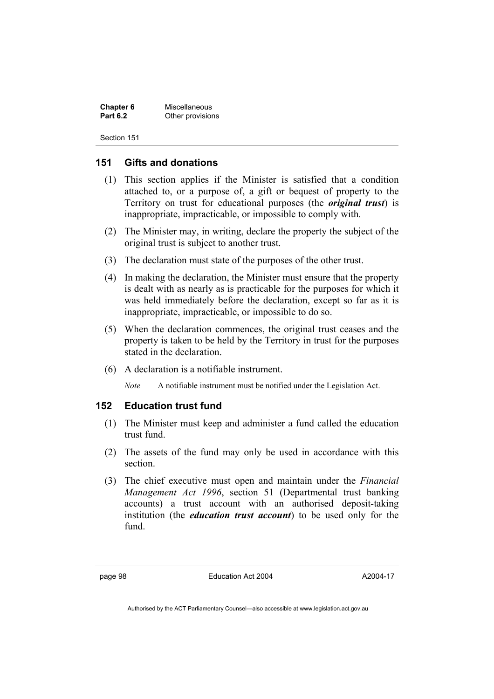| <b>Chapter 6</b> | Miscellaneous    |
|------------------|------------------|
| <b>Part 6.2</b>  | Other provisions |

### **151 Gifts and donations**

- (1) This section applies if the Minister is satisfied that a condition attached to, or a purpose of, a gift or bequest of property to the Territory on trust for educational purposes (the *original trust*) is inappropriate, impracticable, or impossible to comply with.
- (2) The Minister may, in writing, declare the property the subject of the original trust is subject to another trust.
- (3) The declaration must state of the purposes of the other trust.
- (4) In making the declaration, the Minister must ensure that the property is dealt with as nearly as is practicable for the purposes for which it was held immediately before the declaration, except so far as it is inappropriate, impracticable, or impossible to do so.
- (5) When the declaration commences, the original trust ceases and the property is taken to be held by the Territory in trust for the purposes stated in the declaration.
- (6) A declaration is a notifiable instrument.

*Note* A notifiable instrument must be notified under the Legislation Act.

### **152 Education trust fund**

- (1) The Minister must keep and administer a fund called the education trust fund.
- (2) The assets of the fund may only be used in accordance with this section.
- (3) The chief executive must open and maintain under the *Financial Management Act 1996*, section 51 (Departmental trust banking accounts) a trust account with an authorised deposit-taking institution (the *education trust account*) to be used only for the fund.

page 98 Education Act 2004

A2004-17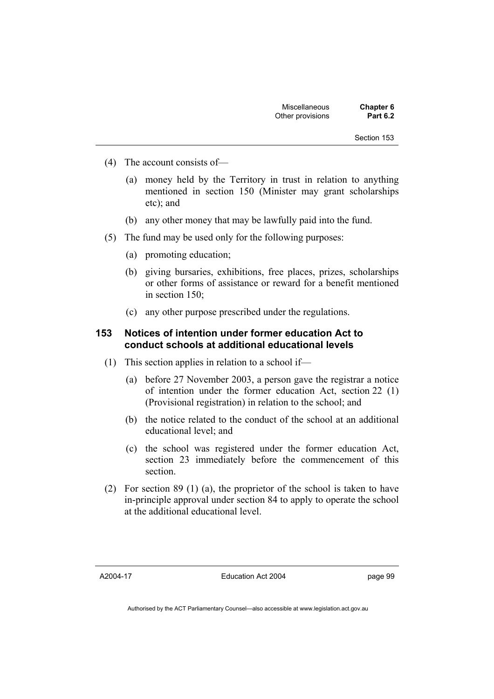- (4) The account consists of—
	- (a) money held by the Territory in trust in relation to anything mentioned in section 150 (Minister may grant scholarships etc); and
	- (b) any other money that may be lawfully paid into the fund.
- (5) The fund may be used only for the following purposes:
	- (a) promoting education;
	- (b) giving bursaries, exhibitions, free places, prizes, scholarships or other forms of assistance or reward for a benefit mentioned in section 150;
	- (c) any other purpose prescribed under the regulations.

#### **153 Notices of intention under former education Act to conduct schools at additional educational levels**

- (1) This section applies in relation to a school if—
	- (a) before 27 November 2003, a person gave the registrar a notice of intention under the former education Act, section 22 (1) (Provisional registration) in relation to the school; and
	- (b) the notice related to the conduct of the school at an additional educational level; and
	- (c) the school was registered under the former education Act, section 23 immediately before the commencement of this section.
- (2) For section 89 (1) (a), the proprietor of the school is taken to have in-principle approval under section 84 to apply to operate the school at the additional educational level.

A2004-17

Education Act 2004

page 99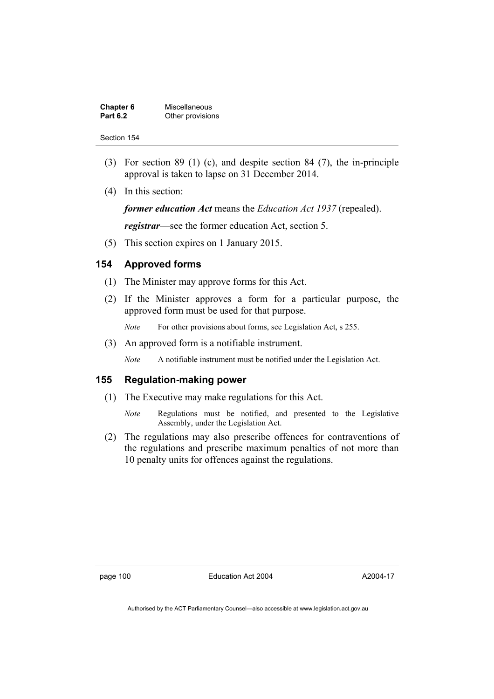| <b>Chapter 6</b> | Miscellaneous    |
|------------------|------------------|
| <b>Part 6.2</b>  | Other provisions |

- (3) For section 89 (1) (c), and despite section 84 (7), the in-principle approval is taken to lapse on 31 December 2014.
- (4) In this section:

*former education Act* means the *Education Act 1937* (repealed).

*registrar*—see the former education Act, section 5.

(5) This section expires on 1 January 2015.

#### **154 Approved forms**

- (1) The Minister may approve forms for this Act.
- (2) If the Minister approves a form for a particular purpose, the approved form must be used for that purpose.

*Note* For other provisions about forms, see Legislation Act, s 255.

(3) An approved form is a notifiable instrument.

*Note* A notifiable instrument must be notified under the Legislation Act.

#### **155 Regulation-making power**

- (1) The Executive may make regulations for this Act.
	- *Note* Regulations must be notified, and presented to the Legislative Assembly, under the Legislation Act.
- (2) The regulations may also prescribe offences for contraventions of the regulations and prescribe maximum penalties of not more than 10 penalty units for offences against the regulations.

page 100 Education Act 2004

A2004-17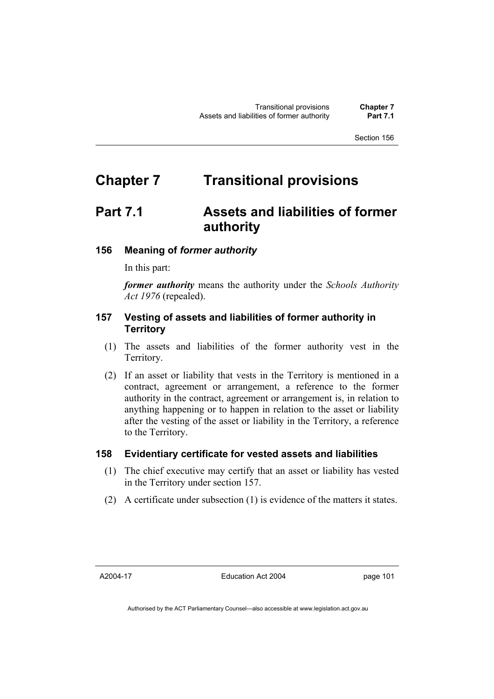# **Chapter 7 Transitional provisions**

# **Part 7.1 Assets and liabilities of former authority**

# **156 Meaning of** *former authority*

In this part:

*former authority* means the authority under the *Schools Authority Act 1976* (repealed).

## **157 Vesting of assets and liabilities of former authority in Territory**

- (1) The assets and liabilities of the former authority vest in the Territory.
- (2) If an asset or liability that vests in the Territory is mentioned in a contract, agreement or arrangement, a reference to the former authority in the contract, agreement or arrangement is, in relation to anything happening or to happen in relation to the asset or liability after the vesting of the asset or liability in the Territory, a reference to the Territory.

#### **158 Evidentiary certificate for vested assets and liabilities**

- (1) The chief executive may certify that an asset or liability has vested in the Territory under section 157.
- (2) A certificate under subsection (1) is evidence of the matters it states.

A2004-17

Education Act 2004

page 101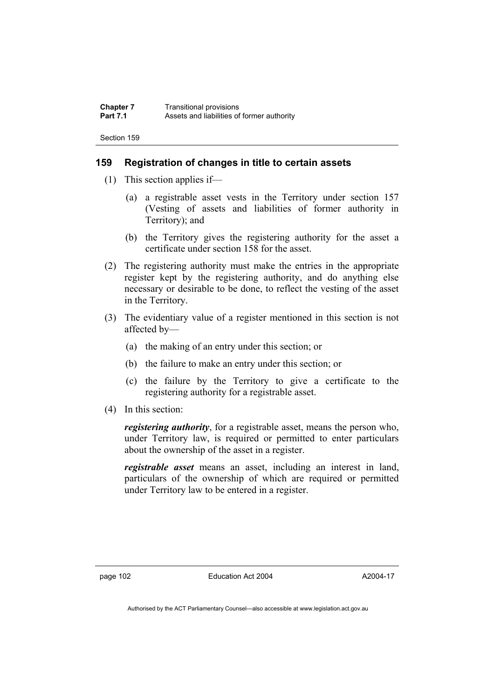### **159 Registration of changes in title to certain assets**

- (1) This section applies if—
	- (a) a registrable asset vests in the Territory under section 157 (Vesting of assets and liabilities of former authority in Territory); and
	- (b) the Territory gives the registering authority for the asset a certificate under section 158 for the asset.
- (2) The registering authority must make the entries in the appropriate register kept by the registering authority, and do anything else necessary or desirable to be done, to reflect the vesting of the asset in the Territory.
- (3) The evidentiary value of a register mentioned in this section is not affected by—
	- (a) the making of an entry under this section; or
	- (b) the failure to make an entry under this section; or
	- (c) the failure by the Territory to give a certificate to the registering authority for a registrable asset.
- (4) In this section:

*registering authority*, for a registrable asset, means the person who, under Territory law, is required or permitted to enter particulars about the ownership of the asset in a register.

*registrable asset* means an asset, including an interest in land, particulars of the ownership of which are required or permitted under Territory law to be entered in a register.

page 102 Education Act 2004

A2004-17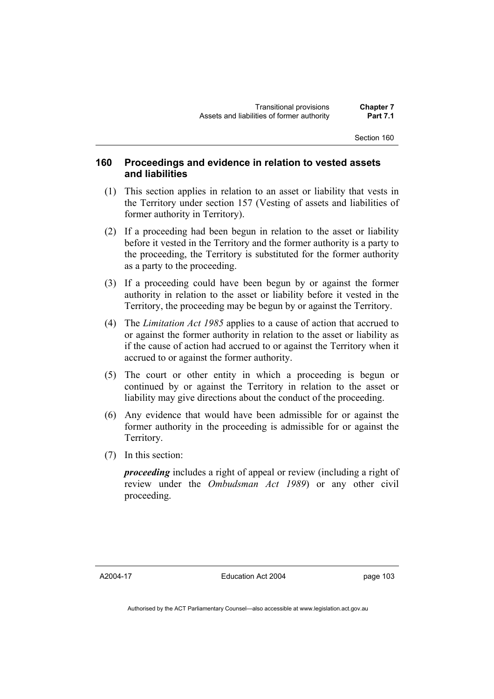### **160 Proceedings and evidence in relation to vested assets and liabilities**

- (1) This section applies in relation to an asset or liability that vests in the Territory under section 157 (Vesting of assets and liabilities of former authority in Territory).
- (2) If a proceeding had been begun in relation to the asset or liability before it vested in the Territory and the former authority is a party to the proceeding, the Territory is substituted for the former authority as a party to the proceeding.
- (3) If a proceeding could have been begun by or against the former authority in relation to the asset or liability before it vested in the Territory, the proceeding may be begun by or against the Territory.
- (4) The *Limitation Act 1985* applies to a cause of action that accrued to or against the former authority in relation to the asset or liability as if the cause of action had accrued to or against the Territory when it accrued to or against the former authority.
- (5) The court or other entity in which a proceeding is begun or continued by or against the Territory in relation to the asset or liability may give directions about the conduct of the proceeding.
- (6) Any evidence that would have been admissible for or against the former authority in the proceeding is admissible for or against the Territory.
- (7) In this section:

*proceeding* includes a right of appeal or review (including a right of review under the *Ombudsman Act 1989*) or any other civil proceeding.

A2004-17

Education Act 2004

page 103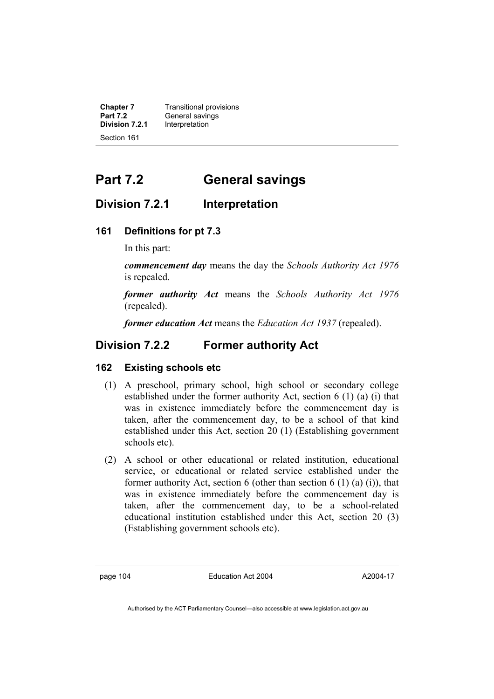| <b>Chapter 7</b> | <b>Transitional provisions</b> |
|------------------|--------------------------------|
| <b>Part 7.2</b>  | General savings                |
| Division 7.2.1   | Interpretation                 |
| Section 161      |                                |

# **Part 7.2 General savings**

# **Division 7.2.1 Interpretation**

## **161 Definitions for pt 7.3**

In this part:

*commencement day* means the day the *Schools Authority Act 1976* is repealed.

*former authority Act* means the *Schools Authority Act 1976*  (repealed).

*former education Act* means the *Education Act 1937* (repealed).

# **Division 7.2.2 Former authority Act**

#### **162 Existing schools etc**

- (1) A preschool, primary school, high school or secondary college established under the former authority Act, section 6 (1) (a) (i) that was in existence immediately before the commencement day is taken, after the commencement day, to be a school of that kind established under this Act, section 20 (1) (Establishing government schools etc).
- (2) A school or other educational or related institution, educational service, or educational or related service established under the former authority Act, section 6 (other than section  $6(1)(a)(i)$ ), that was in existence immediately before the commencement day is taken, after the commencement day, to be a school-related educational institution established under this Act, section 20 (3) (Establishing government schools etc).

page 104 Education Act 2004

A2004-17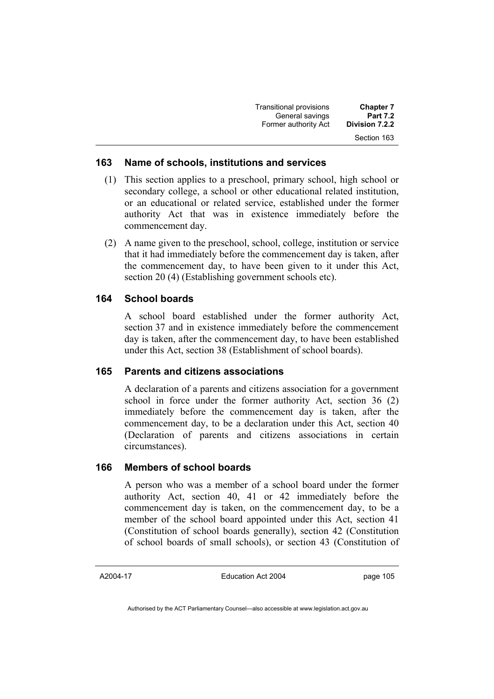| <b>Chapter 7</b> | Transitional provisions |
|------------------|-------------------------|
| <b>Part 7.2</b>  | General savings         |
| Division 7.2.2   | Former authority Act    |
| Section 163      |                         |

### **163 Name of schools, institutions and services**

- (1) This section applies to a preschool, primary school, high school or secondary college, a school or other educational related institution, or an educational or related service, established under the former authority Act that was in existence immediately before the commencement day.
- (2) A name given to the preschool, school, college, institution or service that it had immediately before the commencement day is taken, after the commencement day, to have been given to it under this Act, section 20 (4) (Establishing government schools etc).

# **164 School boards**

A school board established under the former authority Act, section 37 and in existence immediately before the commencement day is taken, after the commencement day, to have been established under this Act, section 38 (Establishment of school boards).

## **165 Parents and citizens associations**

A declaration of a parents and citizens association for a government school in force under the former authority Act, section 36 (2) immediately before the commencement day is taken, after the commencement day, to be a declaration under this Act, section 40 (Declaration of parents and citizens associations in certain circumstances).

#### **166 Members of school boards**

A person who was a member of a school board under the former authority Act, section 40, 41 or 42 immediately before the commencement day is taken, on the commencement day, to be a member of the school board appointed under this Act, section 41 (Constitution of school boards generally), section 42 (Constitution of school boards of small schools), or section 43 (Constitution of

#### A2004-17

Education Act 2004

page 105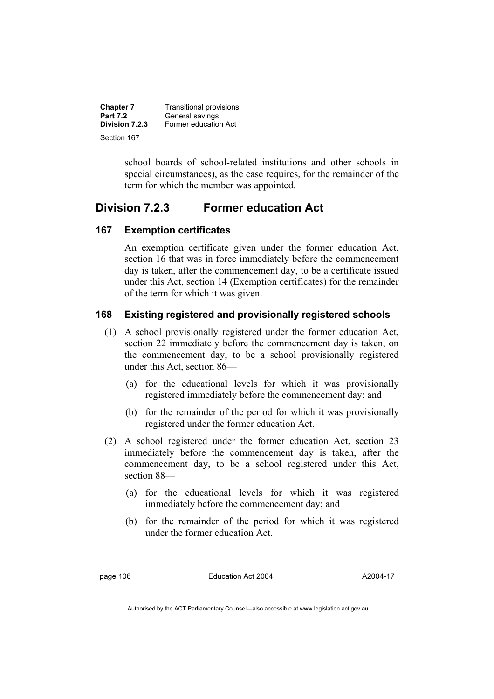| <b>Chapter 7</b>              | Transitional provisions |
|-------------------------------|-------------------------|
| <b>Part 7.2</b>               | General savings         |
| Division 7.2.3<br>Section 167 | Former education Act    |

school boards of school-related institutions and other schools in special circumstances), as the case requires, for the remainder of the term for which the member was appointed.

# **Division 7.2.3 Former education Act**

# **167 Exemption certificates**

An exemption certificate given under the former education Act, section 16 that was in force immediately before the commencement day is taken, after the commencement day, to be a certificate issued under this Act, section 14 (Exemption certificates) for the remainder of the term for which it was given.

# **168 Existing registered and provisionally registered schools**

- (1) A school provisionally registered under the former education Act, section 22 immediately before the commencement day is taken, on the commencement day, to be a school provisionally registered under this Act, section 86—
	- (a) for the educational levels for which it was provisionally registered immediately before the commencement day; and
	- (b) for the remainder of the period for which it was provisionally registered under the former education Act.
- (2) A school registered under the former education Act, section 23 immediately before the commencement day is taken, after the commencement day, to be a school registered under this Act, section 88—
	- (a) for the educational levels for which it was registered immediately before the commencement day; and
	- (b) for the remainder of the period for which it was registered under the former education Act.

page 106 Education Act 2004

A2004-17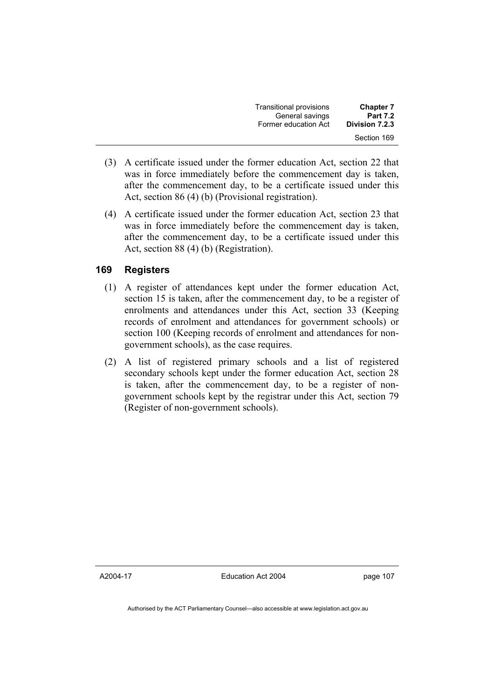| <b>Transitional provisions</b> | <b>Chapter 7</b> |
|--------------------------------|------------------|
| General savings                | <b>Part 7.2</b>  |
| Former education Act           | Division 7.2.3   |
|                                | Section 169      |

- (3) A certificate issued under the former education Act, section 22 that was in force immediately before the commencement day is taken, after the commencement day, to be a certificate issued under this Act, section 86 (4) (b) (Provisional registration).
- (4) A certificate issued under the former education Act, section 23 that was in force immediately before the commencement day is taken, after the commencement day, to be a certificate issued under this Act, section 88 (4) (b) (Registration).

## **169 Registers**

- (1) A register of attendances kept under the former education Act, section 15 is taken, after the commencement day, to be a register of enrolments and attendances under this Act, section 33 (Keeping records of enrolment and attendances for government schools) or section 100 (Keeping records of enrolment and attendances for nongovernment schools), as the case requires.
- (2) A list of registered primary schools and a list of registered secondary schools kept under the former education Act, section 28 is taken, after the commencement day, to be a register of nongovernment schools kept by the registrar under this Act, section 79 (Register of non-government schools).

A2004-17

Education Act 2004

page 107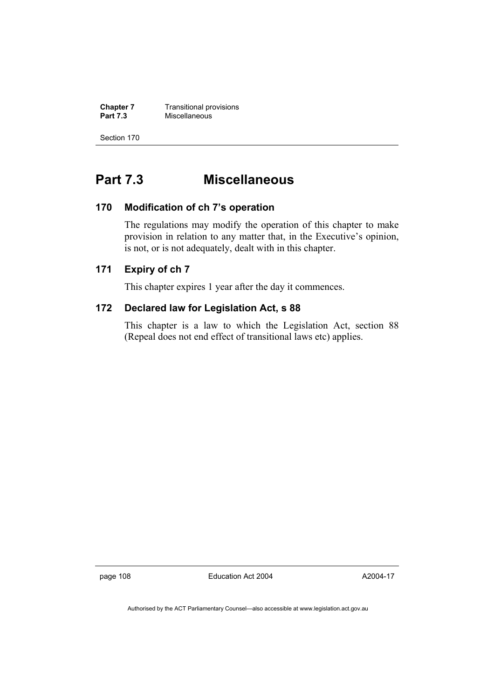**Chapter 7 Transitional provisions**<br>**Part 7.3 Miscellaneous Part 7.3** Miscellaneous

Section 170

# **Part 7.3 Miscellaneous**

### **170 Modification of ch 7's operation**

The regulations may modify the operation of this chapter to make provision in relation to any matter that, in the Executive's opinion, is not, or is not adequately, dealt with in this chapter.

# **171 Expiry of ch 7**

This chapter expires 1 year after the day it commences.

### **172 Declared law for Legislation Act, s 88**

This chapter is a law to which the Legislation Act, section 88 (Repeal does not end effect of transitional laws etc) applies.

page 108 Education Act 2004

A2004-17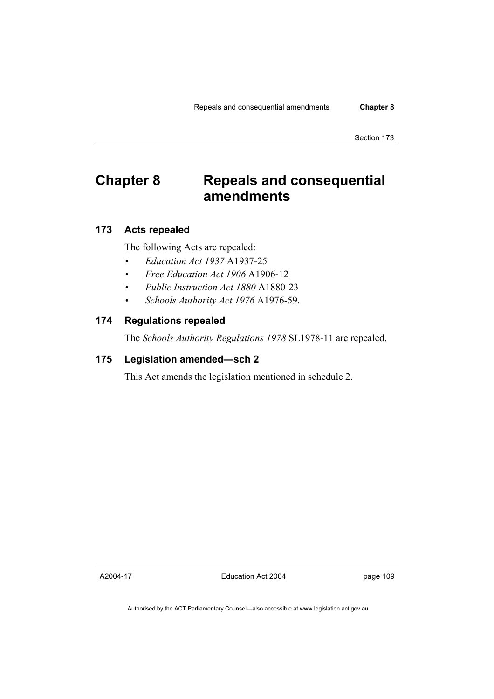# **Chapter 8 Repeals and consequential amendments**

## **173 Acts repealed**

The following Acts are repealed:

- *Education Act 1937* A1937-25
- *Free Education Act 1906* A1906-12
- *Public Instruction Act 1880* A1880-23
- *Schools Authority Act 1976* A1976-59.

## **174 Regulations repealed**

The *Schools Authority Regulations 1978* SL1978-11 are repealed.

# **175 Legislation amended—sch 2**

This Act amends the legislation mentioned in schedule 2.

A2004-17

Education Act 2004

page 109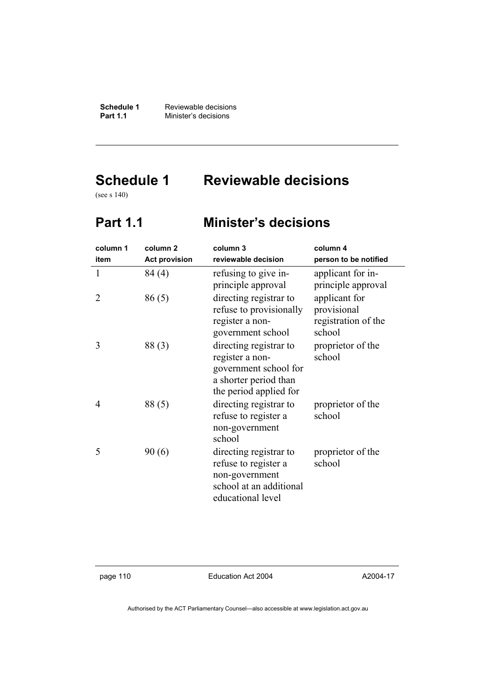**Schedule 1 Reviewable decisions**<br>**Part 1.1 Minister's decisions Minister's decisions** 

# **Schedule 1 Reviewable decisions**

(see s 140)

# **Part 1.1 Minister's decisions**

| column 1 | column <sub>2</sub>  | column 3                                                                                                              | column 4                                                      |
|----------|----------------------|-----------------------------------------------------------------------------------------------------------------------|---------------------------------------------------------------|
| item     | <b>Act provision</b> | reviewable decision                                                                                                   | person to be notified                                         |
| 1        | 84 (4)               | refusing to give in-<br>principle approval                                                                            | applicant for in-<br>principle approval                       |
| 2        | 86(5)                | directing registrar to<br>refuse to provisionally<br>register a non-<br>government school                             | applicant for<br>provisional<br>registration of the<br>school |
| 3        | 88(3)                | directing registrar to<br>register a non-<br>government school for<br>a shorter period than<br>the period applied for | proprietor of the<br>school                                   |
| 4        | 88(5)                | directing registrar to<br>refuse to register a<br>non-government<br>school                                            | proprietor of the<br>school                                   |
| 5        | 90(6)                | directing registrar to<br>refuse to register a<br>non-government<br>school at an additional<br>educational level      | proprietor of the<br>school                                   |

page 110 Education Act 2004

A2004-17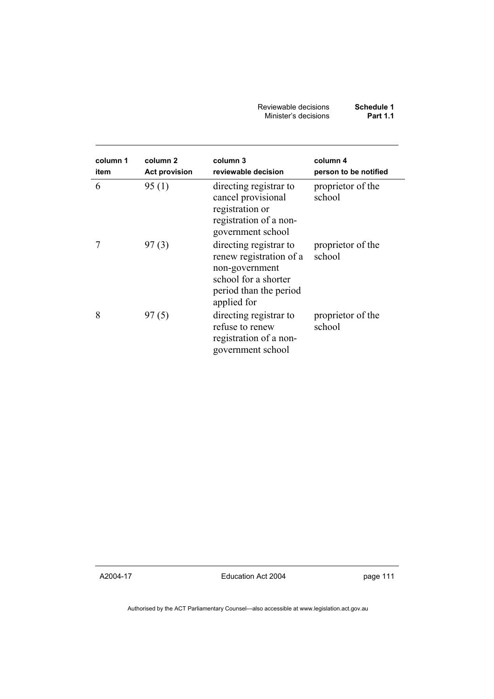| Reviewable decisions | Schedule 1      |
|----------------------|-----------------|
| Minister's decisions | <b>Part 1.1</b> |

| column 1<br>item | column 2<br><b>Act provision</b> | column 3<br>reviewable decision                                                                                                      | column 4<br>person to be notified |
|------------------|----------------------------------|--------------------------------------------------------------------------------------------------------------------------------------|-----------------------------------|
| 6                | 95(1)                            | directing registrar to<br>cancel provisional<br>registration or<br>registration of a non-<br>government school                       | proprietor of the<br>school       |
|                  | 97(3)                            | directing registrar to<br>renew registration of a<br>non-government<br>school for a shorter<br>period than the period<br>applied for | proprietor of the<br>school       |
| 8                | 97(5)                            | directing registrar to<br>refuse to renew<br>registration of a non-<br>government school                                             | proprietor of the<br>school       |

A2004-17

Education Act 2004

page 111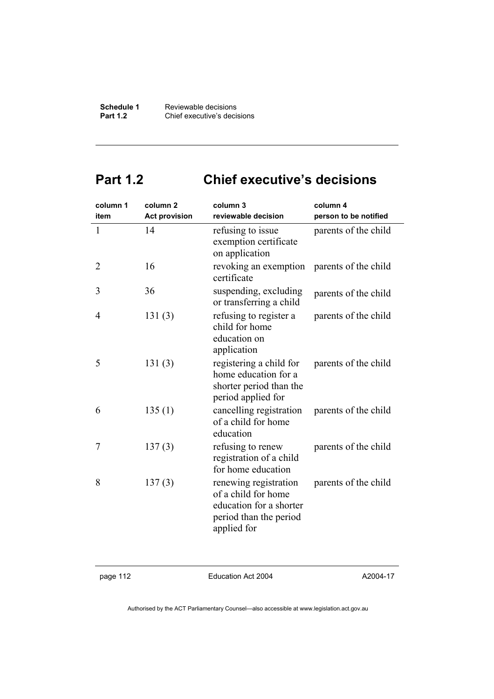**Schedule 1** Reviewable decisions<br>**Part 1.2** Chief executive's decis **Part 1.2** Chief executive's decisions

# **Part 1.2 Chief executive's decisions**

| column 1       | column <sub>2</sub>  | column 3                                                                                                         | column 4              |
|----------------|----------------------|------------------------------------------------------------------------------------------------------------------|-----------------------|
| item           | <b>Act provision</b> | reviewable decision                                                                                              | person to be notified |
| $\mathbf{1}$   | 14                   | refusing to issue<br>exemption certificate<br>on application                                                     | parents of the child  |
| $\overline{2}$ | 16                   | revoking an exemption<br>certificate                                                                             | parents of the child  |
| 3              | 36                   | suspending, excluding<br>or transferring a child                                                                 | parents of the child  |
| 4              | 131(3)               | refusing to register a<br>child for home<br>education on<br>application                                          | parents of the child  |
| 5              | 131(3)               | registering a child for<br>home education for a<br>shorter period than the<br>period applied for                 | parents of the child  |
| 6              | 135(1)               | cancelling registration<br>of a child for home<br>education                                                      | parents of the child  |
| 7              | 137(3)               | refusing to renew<br>registration of a child<br>for home education                                               | parents of the child  |
| 8              | 137(3)               | renewing registration<br>of a child for home<br>education for a shorter<br>period than the period<br>applied for | parents of the child  |

page 112 Education Act 2004

A2004-17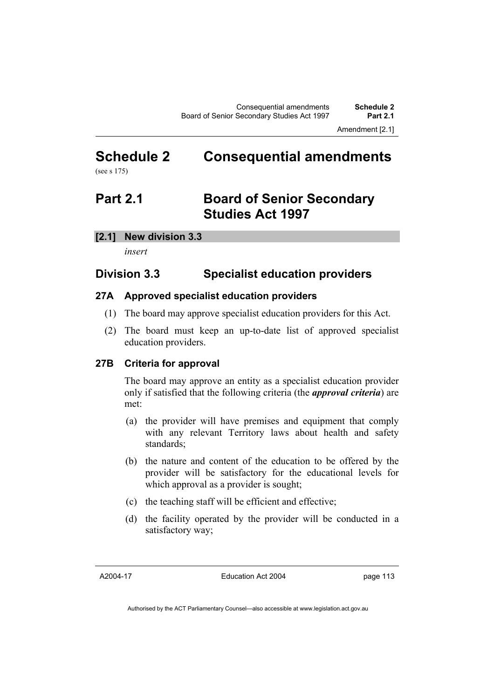Amendment [2.1]

# **Schedule 2 Consequential amendments**  (see s 175)

# **Part 2.1 Board of Senior Secondary Studies Act 1997**

#### **[2.1] New division 3.3**

*insert* 

# **Division 3.3 Specialist education providers**

## **27A Approved specialist education providers**

- (1) The board may approve specialist education providers for this Act.
- (2) The board must keep an up-to-date list of approved specialist education providers.

#### **27B Criteria for approval**

The board may approve an entity as a specialist education provider only if satisfied that the following criteria (the *approval criteria*) are met:

- (a) the provider will have premises and equipment that comply with any relevant Territory laws about health and safety standards;
- (b) the nature and content of the education to be offered by the provider will be satisfactory for the educational levels for which approval as a provider is sought;
- (c) the teaching staff will be efficient and effective;
- (d) the facility operated by the provider will be conducted in a satisfactory way;

A2004-17

Education Act 2004

page 113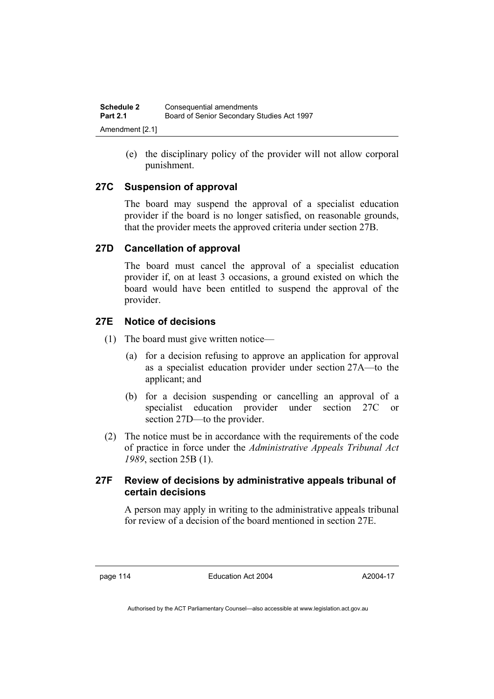(e) the disciplinary policy of the provider will not allow corporal punishment.

## **27C Suspension of approval**

The board may suspend the approval of a specialist education provider if the board is no longer satisfied, on reasonable grounds, that the provider meets the approved criteria under section 27B.

## **27D Cancellation of approval**

The board must cancel the approval of a specialist education provider if, on at least 3 occasions, a ground existed on which the board would have been entitled to suspend the approval of the provider.

## **27E Notice of decisions**

- (1) The board must give written notice—
	- (a) for a decision refusing to approve an application for approval as a specialist education provider under section 27A—to the applicant; and
	- (b) for a decision suspending or cancelling an approval of a specialist education provider under section 27C or section 27D—to the provider.
- (2) The notice must be in accordance with the requirements of the code of practice in force under the *Administrative Appeals Tribunal Act 1989*, section 25B (1).

### **27F Review of decisions by administrative appeals tribunal of certain decisions**

A person may apply in writing to the administrative appeals tribunal for review of a decision of the board mentioned in section 27E.

page 114 Education Act 2004

A2004-17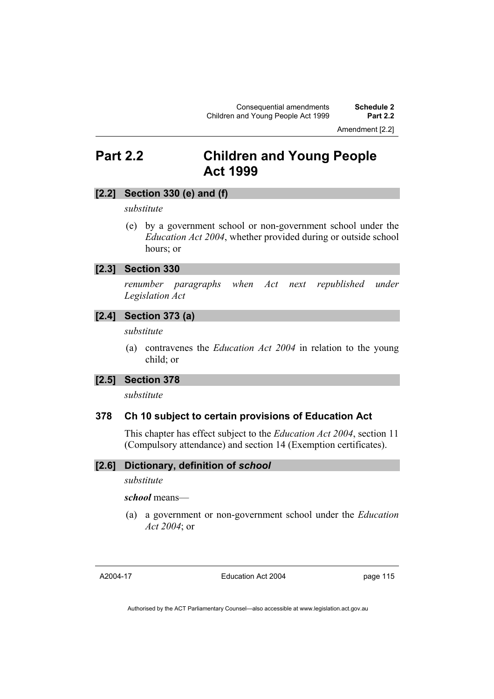Amendment [2.2]

# **Part 2.2 Children and Young People Act 1999**

#### **[2.2] Section 330 (e) and (f)**

*substitute* 

 (e) by a government school or non-government school under the *Education Act 2004*, whether provided during or outside school hours; or

#### **[2.3] Section 330**

*renumber paragraphs when Act next republished under Legislation Act* 

#### **[2.4] Section 373 (a)**

*substitute* 

 (a) contravenes the *Education Act 2004* in relation to the young child; or

#### **[2.5] Section 378**

*substitute* 

#### **378 Ch 10 subject to certain provisions of Education Act**

This chapter has effect subject to the *Education Act 2004*, section 11 (Compulsory attendance) and section 14 (Exemption certificates).

#### **[2.6] Dictionary, definition of** *school*

*substitute* 

#### *school* means—

 (a) a government or non-government school under the *Education Act 2004*; or

A2004-17

Education Act 2004

page 115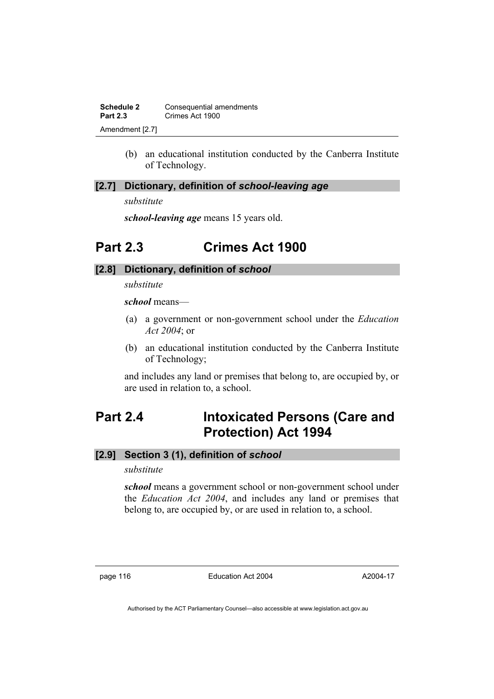**Schedule 2 Consequential amendments**<br>**Part 2.3 Crimes Act 1900 Part 2.3** Crimes Act 1900 Amendment [2.7]

> (b) an educational institution conducted by the Canberra Institute of Technology.

#### **[2.7] Dictionary, definition of** *school-leaving age*

*substitute* 

*school-leaving age* means 15 years old.

# **Part 2.3 Crimes Act 1900**

#### **[2.8] Dictionary, definition of** *school*

*substitute* 

*school* means—

- (a) a government or non-government school under the *Education Act 2004*; or
- (b) an educational institution conducted by the Canberra Institute of Technology;

and includes any land or premises that belong to, are occupied by, or are used in relation to, a school.

# **Part 2.4 Intoxicated Persons (Care and Protection) Act 1994**

### **[2.9] Section 3 (1), definition of** *school*

*substitute* 

*school* means a government school or non-government school under the *Education Act 2004*, and includes any land or premises that belong to, are occupied by, or are used in relation to, a school.

page 116 Education Act 2004

A2004-17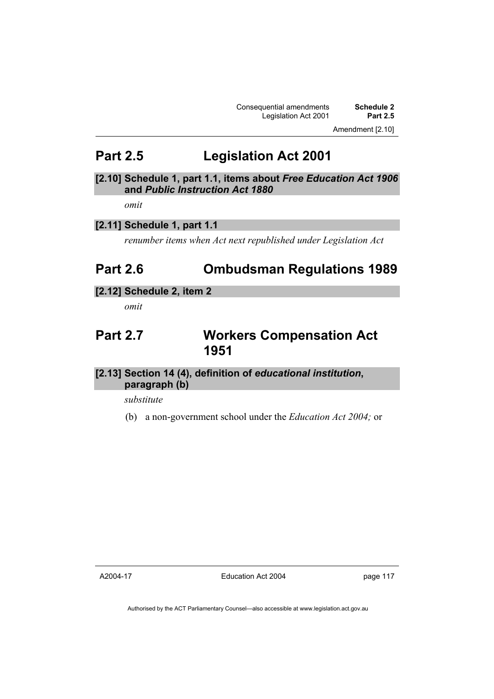Consequential amendments **Schedule 2**  Legislation Act 2001

Amendment [2.10]

# **Part 2.5 Legislation Act 2001**

## **[2.10] Schedule 1, part 1.1, items about** *Free Education Act 1906* **and** *Public Instruction Act 1880*

*omit* 

# **[2.11] Schedule 1, part 1.1**

*renumber items when Act next republished under Legislation Act* 

# **Part 2.6 Ombudsman Regulations 1989**

#### **[2.12] Schedule 2, item 2**

*omit* 

# **Part 2.7 Workers Compensation Act 1951**

## **[2.13] Section 14 (4), definition of** *educational institution***, paragraph (b)**

*substitute* 

(b) a non-government school under the *Education Act 2004;* or

A2004-17

Education Act 2004

page 117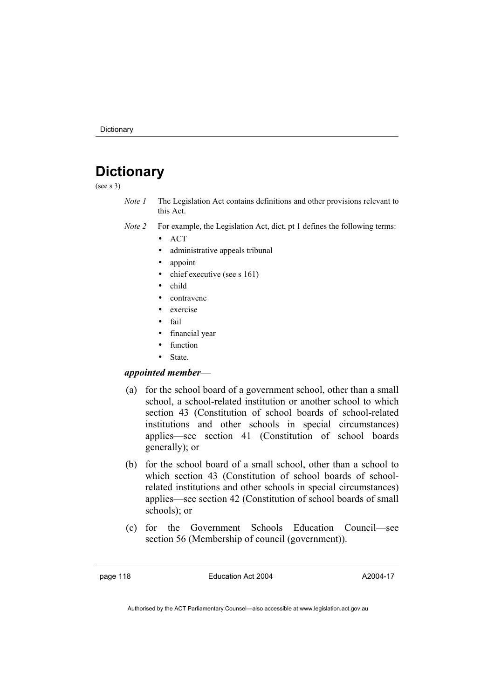# **Dictionary**

(see s 3)

- *Note 1* The Legislation Act contains definitions and other provisions relevant to this Act.
- *Note 2* For example, the Legislation Act, dict, pt 1 defines the following terms:
	- ACT
	- administrative appeals tribunal
	- appoint
	- chief executive (see s 161)
	- child
	- contravene
	- exercise
	- fail
	- financial year
	- function
	- State.

#### *appointed member*—

- (a) for the school board of a government school, other than a small school, a school-related institution or another school to which section 43 (Constitution of school boards of school-related institutions and other schools in special circumstances) applies—see section 41 (Constitution of school boards generally); or
- (b) for the school board of a small school, other than a school to which section 43 (Constitution of school boards of schoolrelated institutions and other schools in special circumstances) applies—see section 42 (Constitution of school boards of small schools); or
- (c) for the Government Schools Education Council—see section 56 (Membership of council (government)).

page 118 **Education Act 2004** 

A2004-17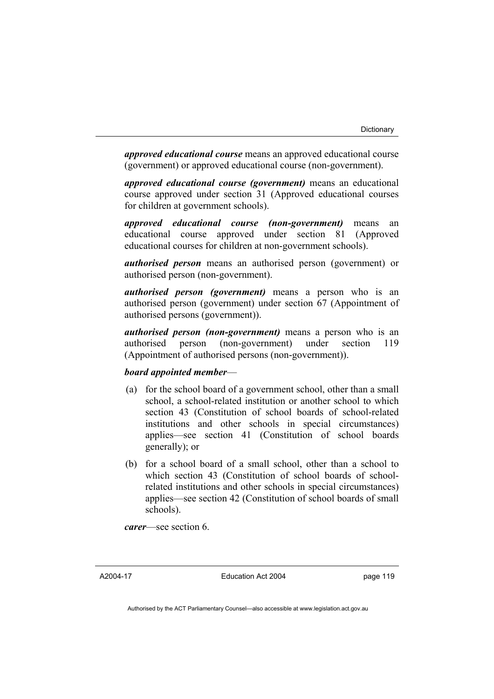*approved educational course* means an approved educational course (government) or approved educational course (non-government).

*approved educational course (government)* means an educational course approved under section 31 (Approved educational courses for children at government schools).

*approved educational course (non-government)* means an educational course approved under section 81 (Approved educational courses for children at non-government schools).

*authorised person* means an authorised person (government) or authorised person (non-government).

*authorised person (government)* means a person who is an authorised person (government) under section 67 (Appointment of authorised persons (government)).

*authorised person (non-government)* means a person who is an authorised person (non-government) under section 119 (Appointment of authorised persons (non-government)).

#### *board appointed member*—

- (a) for the school board of a government school, other than a small school, a school-related institution or another school to which section 43 (Constitution of school boards of school-related institutions and other schools in special circumstances) applies—see section 41 (Constitution of school boards generally); or
- (b) for a school board of a small school, other than a school to which section 43 (Constitution of school boards of schoolrelated institutions and other schools in special circumstances) applies—see section 42 (Constitution of school boards of small schools).

*carer*—see section 6.

A2004-17

Education Act 2004

page 119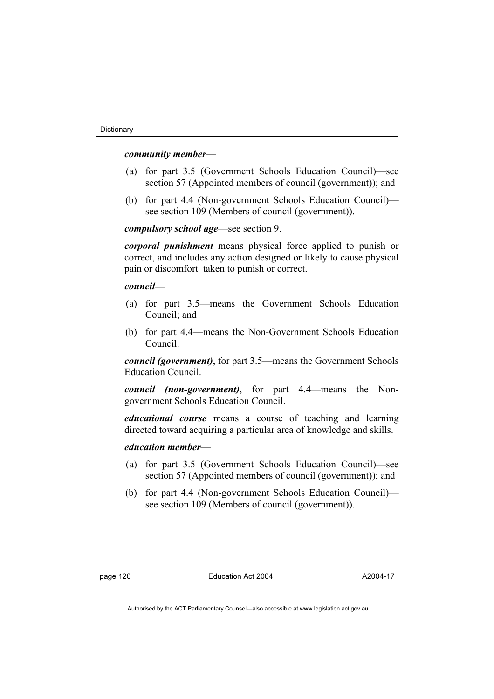#### *community member*—

- (a) for part 3.5 (Government Schools Education Council)—see section 57 (Appointed members of council (government)); and
- (b) for part 4.4 (Non-government Schools Education Council) see section 109 (Members of council (government)).

#### *compulsory school age*—see section 9.

*corporal punishment* means physical force applied to punish or correct, and includes any action designed or likely to cause physical pain or discomfort taken to punish or correct.

#### *council*—

- (a) for part 3.5—means the Government Schools Education Council; and
- (b) for part 4.4—means the Non-Government Schools Education Council.

*council (government)*, for part 3.5—means the Government Schools Education Council.

*council (non-government)*, for part 4.4—means the Nongovernment Schools Education Council.

*educational course* means a course of teaching and learning directed toward acquiring a particular area of knowledge and skills.

#### *education member*—

- (a) for part 3.5 (Government Schools Education Council)—see section 57 (Appointed members of council (government)); and
- (b) for part 4.4 (Non-government Schools Education Council) see section 109 (Members of council (government)).

A2004-17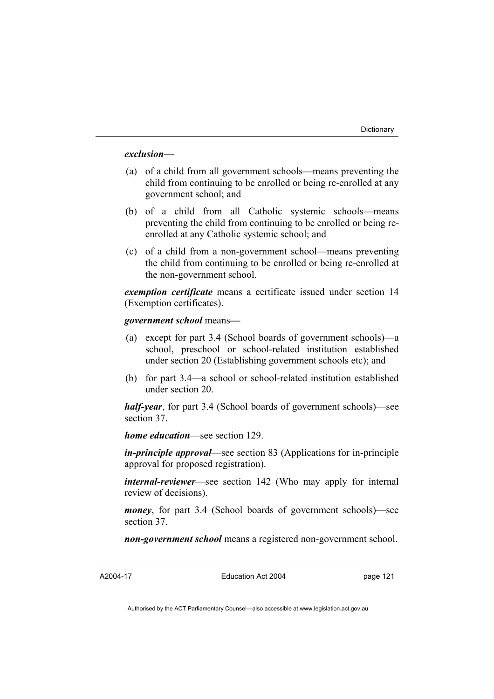#### *exclusion***—**

- (a) of a child from all government schools—means preventing the child from continuing to be enrolled or being re-enrolled at any government school; and
- (b) of a child from all Catholic systemic schools—means preventing the child from continuing to be enrolled or being reenrolled at any Catholic systemic school; and
- (c) of a child from a non-government school—means preventing the child from continuing to be enrolled or being re-enrolled at the non-government school.

*exemption certificate* means a certificate issued under section 14 (Exemption certificates).

*government school* means*—*

- (a) except for part 3.4 (School boards of government schools)—a school, preschool or school-related institution established under section 20 (Establishing government schools etc); and
- (b) for part 3.4—a school or school-related institution established under section 20.

*half-year*, for part 3.4 (School boards of government schools)—see section 37.

*home education*—see section 129.

*in-principle approval*—see section 83 (Applications for in-principle approval for proposed registration).

*internal-reviewer*—see section 142 (Who may apply for internal review of decisions).

*money*, for part 3.4 (School boards of government schools)—see section 37.

*non-government school* means a registered non-government school.

Education Act 2004

page 121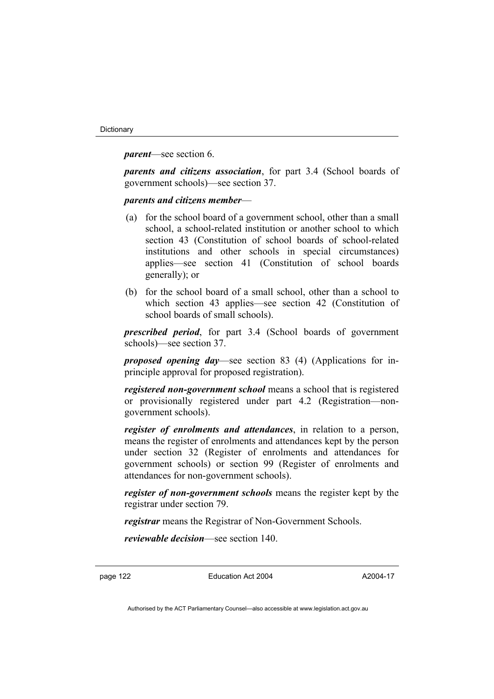*parent*—see section 6.

*parents and citizens association*, for part 3.4 (School boards of government schools)—see section 37.

*parents and citizens member*—

- (a) for the school board of a government school, other than a small school, a school-related institution or another school to which section 43 (Constitution of school boards of school-related institutions and other schools in special circumstances) applies—see section 41 (Constitution of school boards generally); or
- (b) for the school board of a small school, other than a school to which section 43 applies—see section 42 (Constitution of school boards of small schools).

*prescribed period*, for part 3.4 (School boards of government schools)—see section 37.

*proposed opening day*—see section 83 (4) (Applications for inprinciple approval for proposed registration).

*registered non-government school* means a school that is registered or provisionally registered under part 4.2 (Registration—nongovernment schools).

*register of enrolments and attendances*, in relation to a person, means the register of enrolments and attendances kept by the person under section 32 (Register of enrolments and attendances for government schools) or section 99 (Register of enrolments and attendances for non-government schools).

*register of non-government schools* means the register kept by the registrar under section 79.

*registrar* means the Registrar of Non-Government Schools.

*reviewable decision*—see section 140.

page 122 Education Act 2004

A2004-17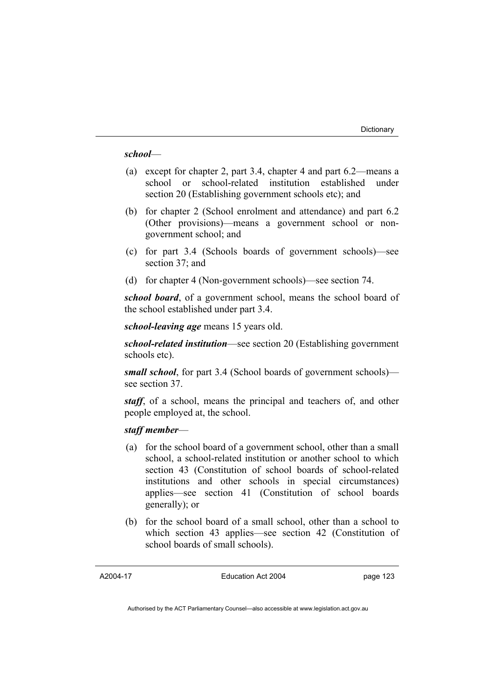#### *school*—

- (a) except for chapter 2, part 3.4, chapter 4 and part 6.2—means a school or school-related institution established under section 20 (Establishing government schools etc); and
- (b) for chapter 2 (School enrolment and attendance) and part 6.2 (Other provisions)—means a government school or nongovernment school; and
- (c) for part 3.4 (Schools boards of government schools)—see section 37; and
- (d) for chapter 4 (Non-government schools)—see section 74.

*school board*, of a government school, means the school board of the school established under part 3.4.

*school-leaving age* means 15 years old.

*school-related institution*—see section 20 (Establishing government schools etc).

*small school*, for part 3.4 (School boards of government schools) see section 37.

*staff*, of a school, means the principal and teachers of, and other people employed at, the school.

#### *staff member*—

- (a) for the school board of a government school, other than a small school, a school-related institution or another school to which section 43 (Constitution of school boards of school-related institutions and other schools in special circumstances) applies—see section 41 (Constitution of school boards generally); or
- (b) for the school board of a small school, other than a school to which section 43 applies—see section 42 (Constitution of school boards of small schools).

A2004-17

Education Act 2004

page 123